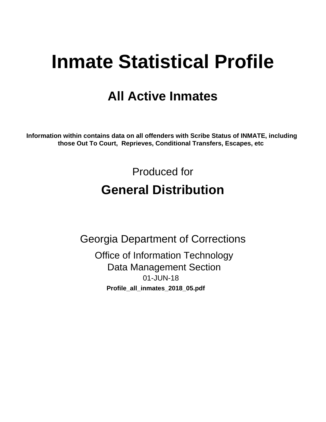# **Inmate Statistical Profile**

# **All Active Inmates**

Information within contains data on all offenders with Scribe Status of INMATE, including those Out To Court, Reprieves, Conditional Transfers, Escapes, etc

> Produced for **General Distribution**

**Georgia Department of Corrections Office of Information Technology Data Management Section** 01-JUN-18 Profile\_all\_inmates\_2018\_05.pdf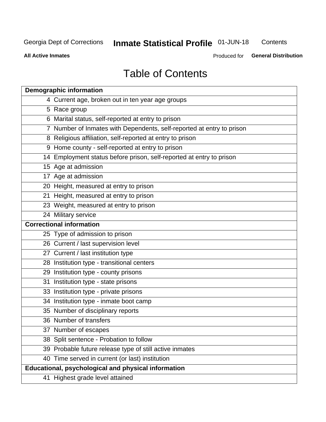# **Inmate Statistical Profile 01-JUN-18**

Contents

**All Active Inmates** 

Produced for General Distribution

# **Table of Contents**

| <b>Demographic information</b>                                        |
|-----------------------------------------------------------------------|
| 4 Current age, broken out in ten year age groups                      |
| 5 Race group                                                          |
| 6 Marital status, self-reported at entry to prison                    |
| 7 Number of Inmates with Dependents, self-reported at entry to prison |
| 8 Religious affiliation, self-reported at entry to prison             |
| 9 Home county - self-reported at entry to prison                      |
| 14 Employment status before prison, self-reported at entry to prison  |
| 15 Age at admission                                                   |
| 17 Age at admission                                                   |
| 20 Height, measured at entry to prison                                |
| 21 Height, measured at entry to prison                                |
| 23 Weight, measured at entry to prison                                |
| 24 Military service                                                   |
| <b>Correctional information</b>                                       |
| 25 Type of admission to prison                                        |
| 26 Current / last supervision level                                   |
| 27 Current / last institution type                                    |
| 28 Institution type - transitional centers                            |
| 29 Institution type - county prisons                                  |
| 31 Institution type - state prisons                                   |
| 33 Institution type - private prisons                                 |
| 34 Institution type - inmate boot camp                                |
| 35 Number of disciplinary reports                                     |
| 36 Number of transfers                                                |
| 37 Number of escapes                                                  |
| 38 Split sentence - Probation to follow                               |
| 39 Probable future release type of still active inmates               |
| 40 Time served in current (or last) institution                       |
| Educational, psychological and physical information                   |
| 41 Highest grade level attained                                       |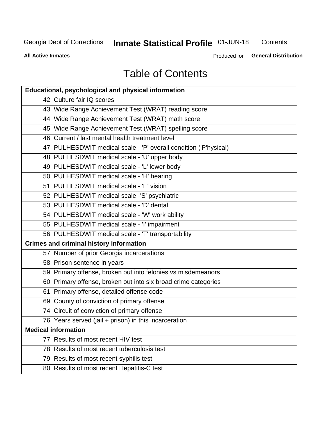# **Inmate Statistical Profile 01-JUN-18**

Contents

**All Active Inmates** 

Produced for General Distribution

# **Table of Contents**

| <b>Educational, psychological and physical information</b>       |
|------------------------------------------------------------------|
| 42 Culture fair IQ scores                                        |
| 43 Wide Range Achievement Test (WRAT) reading score              |
| 44 Wide Range Achievement Test (WRAT) math score                 |
| 45 Wide Range Achievement Test (WRAT) spelling score             |
| 46 Current / last mental health treatment level                  |
| 47 PULHESDWIT medical scale - 'P' overall condition ('P'hysical) |
| 48 PULHESDWIT medical scale - 'U' upper body                     |
| 49 PULHESDWIT medical scale - 'L' lower body                     |
| 50 PULHESDWIT medical scale - 'H' hearing                        |
| 51 PULHESDWIT medical scale - 'E' vision                         |
| 52 PULHESDWIT medical scale -'S' psychiatric                     |
| 53 PULHESDWIT medical scale - 'D' dental                         |
| 54 PULHESDWIT medical scale - 'W' work ability                   |
| 55 PULHESDWIT medical scale - 'I' impairment                     |
| 56 PULHESDWIT medical scale - 'T' transportability               |
| <b>Crimes and criminal history information</b>                   |
| 57 Number of prior Georgia incarcerations                        |
| 58 Prison sentence in years                                      |
| 59 Primary offense, broken out into felonies vs misdemeanors     |
| 60 Primary offense, broken out into six broad crime categories   |
| 61 Primary offense, detailed offense code                        |
| 69 County of conviction of primary offense                       |
| 74 Circuit of conviction of primary offense                      |
| 76 Years served (jail + prison) in this incarceration            |
| <b>Medical information</b>                                       |
| 77 Results of most recent HIV test                               |
| 78 Results of most recent tuberculosis test                      |
| 79 Results of most recent syphilis test                          |
| 80 Results of most recent Hepatitis-C test                       |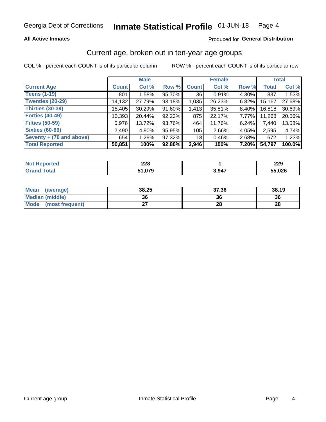### **All Active Inmates**

### Produced for General Distribution

# Current age, broken out in ten-year age groups

COL % - percent each COUNT is of its particular column

|                          |              | <b>Male</b> |        |              | <b>Female</b> |          |        | <b>Total</b> |  |
|--------------------------|--------------|-------------|--------|--------------|---------------|----------|--------|--------------|--|
| <b>Current Age</b>       | <b>Count</b> | Col %       | Row %  | <b>Count</b> | Col %         | Row %    | Total  | Col %        |  |
| <b>Teens (1-19)</b>      | 801          | 1.58%       | 95.70% | 36           | 0.91%         | 4.30%    | 837    | 1.53%        |  |
| <b>Twenties (20-29)</b>  | 14,132       | 27.79%      | 93.18% | 1,035        | 26.23%        | $6.82\%$ | 15,167 | 27.68%       |  |
| <b>Thirties (30-39)</b>  | 15,405       | 30.29%      | 91.60% | 1,413        | 35.81%        | $8.40\%$ | 16,818 | 30.69%       |  |
| <b>Forties (40-49)</b>   | 10,393       | 20.44%      | 92.23% | 875          | 22.17%        | 7.77%    | 11,268 | 20.56%       |  |
| <b>Fifties (50-59)</b>   | 6,976        | 13.72%      | 93.76% | 464          | 11.76%        | 6.24%    | 7,440  | 13.58%       |  |
| <b>Sixties (60-69)</b>   | 2,490        | 4.90%       | 95.95% | 105          | 2.66%         | 4.05%    | 2,595  | 4.74%        |  |
| Seventy + (70 and above) | 654          | 1.29%       | 97.32% | 18           | 0.46%         | $2.68\%$ | 672    | 1.23%        |  |
| <b>Total Reported</b>    | 50,851       | 100%        | 92.80% | 3,946        | 100%          | 7.20%    | 54,797 | 100.0%       |  |

| <b>ported</b> | າາດ    |       | nne.        |
|---------------|--------|-------|-------------|
| <b>NOT</b>    | LLU    |       | <i>LL</i> J |
| <b>Total</b>  | $\sim$ | 3,947 | 55,026      |

| Mean<br>(average)       | 38.25     | 37.36 | 38.19 |
|-------------------------|-----------|-------|-------|
| <b>Median (middle)</b>  | 36        | 36    | 36    |
| Mode<br>(most frequent) | ^-<br>. . | 28    | 28    |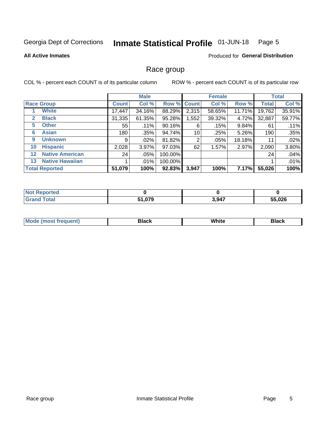#### Inmate Statistical Profile 01-JUN-18 Page 5

### **All Active Inmates**

## **Produced for General Distribution**

# Race group

COL % - percent each COUNT is of its particular column

|                   |                        | <b>Male</b>  |         |           | <b>Female</b> |        |        | <b>Total</b> |        |
|-------------------|------------------------|--------------|---------|-----------|---------------|--------|--------|--------------|--------|
|                   | <b>Race Group</b>      | <b>Count</b> | Col %   |           | Row % Count   | Col %  | Row %  | <b>Total</b> | Col %  |
|                   | <b>White</b>           | 17,447       | 34.16%  | 88.29%    | 2,315         | 58.65% | 11.71% | 19,762       | 35.91% |
| $\mathbf{2}$      | <b>Black</b>           | 31,335       | 61.35%  | 95.28%    | 1,552         | 39.32% | 4.72%  | 32,887       | 59.77% |
| 5.                | <b>Other</b>           | 55           | .11%    | 90.16%    | 6             | .15%   | 9.84%  | 61           | .11%   |
| 6                 | <b>Asian</b>           | 180          | .35%    | 94.74%    | 10            | .25%   | 5.26%  | 190          | .35%   |
| 9                 | <b>Unknown</b>         | 9            | $.02\%$ | 81.82%    | 2             | .05%   | 18.18% | 11           | .02%   |
| 10                | <b>Hispanic</b>        | 2,028        | 3.97%   | 97.03%    | 62            | 1.57%  | 2.97%  | 2,090        | 3.80%  |
| $12 \overline{ }$ | <b>Native American</b> | 24           | $.05\%$ | 100.00%   |               |        |        | 24           | .04%   |
| 13                | <b>Native Hawaiian</b> |              | .01%    | 100.00%   |               |        |        |              | .01%   |
|                   | <b>Total Reported</b>  | 51,079       | 100%    | $92.83\%$ | 3,947         | 100%   | 7.17%  | 55,026       | 100%   |

| <b>Not Reported</b>  |               |       |        |
|----------------------|---------------|-------|--------|
| <b>Total</b><br>Gran | 51,079<br>- - | 3,947 | 55,026 |

| <b>Mode</b><br>---<br>most frequent) | Black | White | <b>Black</b> |
|--------------------------------------|-------|-------|--------------|
|                                      |       |       |              |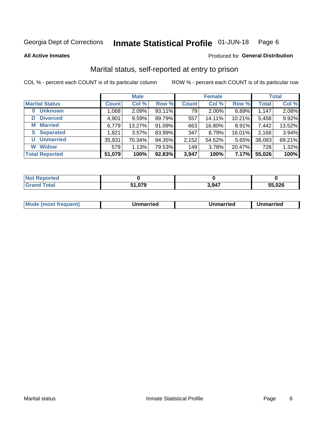#### Inmate Statistical Profile 01-JUN-18 Page 6

**All Active Inmates** 

### Produced for General Distribution

# Marital status, self-reported at entry to prison

COL % - percent each COUNT is of its particular column

|                            | <b>Male</b>  |          |        |              | <b>Female</b> | <b>Total</b> |              |        |
|----------------------------|--------------|----------|--------|--------------|---------------|--------------|--------------|--------|
| <b>Marital Status</b>      | <b>Count</b> | Col %    | Row %  | <b>Count</b> | Col %         | Row %        | <b>Total</b> | Col %  |
| <b>Unknown</b><br>$\bf{0}$ | 1,068        | 2.09%    | 93.11% | 79           | 2.00%         | 6.89%        | 1,147        | 2.08%  |
| <b>Divorced</b><br>D       | 4,901        | 9.59%    | 89.79% | 557          | 14.11%        | 10.21%       | 5,458        | 9.92%  |
| <b>Married</b><br>М        | 6,779        | 13.27%   | 91.09% | 663          | 16.80%        | 8.91%        | 7,442        | 13.52% |
| <b>Separated</b><br>S.     | 1,821        | $3.57\%$ | 83.99% | 347          | 8.79%         | 16.01%       | 2,168        | 3.94%  |
| <b>Unmarried</b><br>U      | 35,931       | 70.34%   | 94.35% | 2,152        | 54.52%        | 5.65%        | 38,083       | 69.21% |
| <b>Widow</b><br>W          | 579          | 1.13%    | 79.53% | 149          | 3.78%         | 20.47%       | 728          | 1.32%  |
| <b>Total Reported</b>      | 51,079       | 100%     | 92.83% | 3,947        | 100%          | 7.17%        | 55,026       | 100%   |

| ----<br>rted<br><b>NOT</b> |        |       |        |
|----------------------------|--------|-------|--------|
| $\sim$ $\sim$ $\sim$       | $\sim$ | 3,947 | 55,026 |

|--|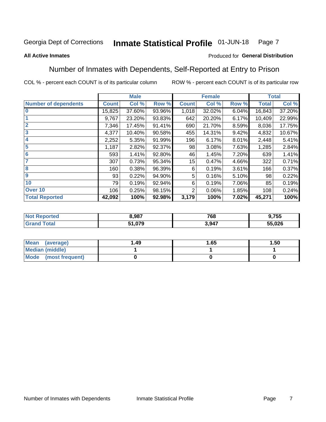#### **Inmate Statistical Profile 01-JUN-18** Page 7

### **All Active Inmates**

### Produced for General Distribution

# Number of Inmates with Dependents, Self-Reported at Entry to Prison

COL % - percent each COUNT is of its particular column

|                             |              | <b>Male</b> |        |              | <b>Female</b> |       |              | <b>Total</b> |
|-----------------------------|--------------|-------------|--------|--------------|---------------|-------|--------------|--------------|
| <b>Number of dependents</b> | <b>Count</b> | Col %       | Row %  | <b>Count</b> | Col %         | Row % | <b>Total</b> | Col %        |
| l 0                         | 15,825       | 37.60%      | 93.96% | 1,018        | 32.02%        | 6.04% | 16,843       | 37.20%       |
|                             | 9,767        | 23.20%      | 93.83% | 642          | 20.20%        | 6.17% | 10,409       | 22.99%       |
| $\overline{2}$              | 7,346        | 17.45%      | 91.41% | 690          | 21.70%        | 8.59% | 8,036        | 17.75%       |
| $\overline{\mathbf{3}}$     | 4,377        | 10.40%      | 90.58% | 455          | 14.31%        | 9.42% | 4,832        | 10.67%       |
| 4                           | 2,252        | 5.35%       | 91.99% | 196          | 6.17%         | 8.01% | 2,448        | 5.41%        |
| 5                           | 1,187        | 2.82%       | 92.37% | 98           | 3.08%         | 7.63% | 1,285        | 2.84%        |
| 6                           | 593          | 1.41%       | 92.80% | 46           | 1.45%         | 7.20% | 639          | 1.41%        |
| 7                           | 307          | 0.73%       | 95.34% | 15           | 0.47%         | 4.66% | 322          | 0.71%        |
| $\overline{\mathbf{8}}$     | 160          | 0.38%       | 96.39% | 6            | 0.19%         | 3.61% | 166          | 0.37%        |
| 9                           | 93           | 0.22%       | 94.90% | 5            | 0.16%         | 5.10% | 98           | 0.22%        |
| 10                          | 79           | 0.19%       | 92.94% | 6            | 0.19%         | 7.06% | 85           | 0.19%        |
| Over 10                     | 106          | 0.25%       | 98.15% | 2            | 0.06%         | 1.85% | 108          | 0.24%        |
| <b>Total Reported</b>       | 42,092       | 100%        | 92.98% | 3,179        | 100%          | 7.02% | 45,271       | 100%         |

| 8,987               | 768   | 9,755  |
|---------------------|-------|--------|
| -4070<br>. . ,ບ / 9 | 3,947 | 55,026 |

| Mean (average)          | 1.49 | 1.65 | 1.50 |
|-------------------------|------|------|------|
| <b>Median (middle)</b>  |      |      |      |
| Mode<br>(most frequent) |      |      |      |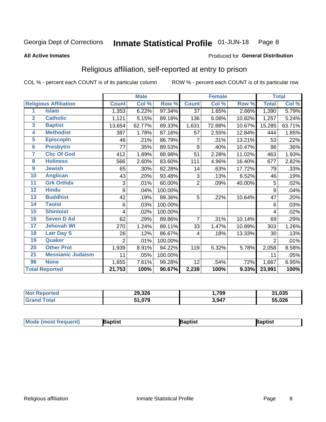#### Inmate Statistical Profile 01-JUN-18 Page 8

### **All Active Inmates**

### Produced for General Distribution

# Religious affiliation, self-reported at entry to prison

COL % - percent each COUNT is of its particular column

|                  |                              |                | <b>Male</b> |         |                | <b>Female</b> |        |                | <b>Total</b> |
|------------------|------------------------------|----------------|-------------|---------|----------------|---------------|--------|----------------|--------------|
|                  | <b>Religious Affiliation</b> | <b>Count</b>   | Col %       | Row %   | <b>Count</b>   | Col %         | Row %  | <b>Total</b>   | Col %        |
| 1                | <b>Islam</b>                 | 1,353          | 6.22%       | 97.34%  | 37             | 1.65%         | 2.66%  | 1,390          | 5.79%        |
| $\overline{2}$   | <b>Catholic</b>              | 1,121          | 5.15%       | 89.18%  | 136            | 6.08%         | 10.82% | 1,257          | 5.24%        |
| $\mathbf{3}$     | <b>Baptist</b>               | 13,654         | 62.77%      | 89.33%  | 1,631          | 72.88%        | 10.67% | 15,285         | 63.71%       |
| 4                | <b>Methodist</b>             | 387            | 1.78%       | 87.16%  | 57             | 2.55%         | 12.84% | 444            | 1.85%        |
| 5                | <b>EpiscopIn</b>             | 46             | .21%        | 86.79%  | 7              | .31%          | 13.21% | 53             | .22%         |
| $6\phantom{a}$   | <b>Presbytrn</b>             | 77             | .35%        | 89.53%  | 9              | .40%          | 10.47% | 86             | .36%         |
| 7                | <b>Chc Of God</b>            | 412            | 1.89%       | 88.98%  | 51             | 2.28%         | 11.02% | 463            | 1.93%        |
| 8                | <b>Holiness</b>              | 566            | 2.60%       | 83.60%  | 111            | 4.96%         | 16.40% | 677            | 2.82%        |
| $\boldsymbol{9}$ | <b>Jewish</b>                | 65             | .30%        | 82.28%  | 14             | .63%          | 17.72% | 79             | .33%         |
| 10               | <b>Anglican</b>              | 43             | .20%        | 93.48%  | 3              | .13%          | 6.52%  | 46             | .19%         |
| 11               | <b>Grk Orthdx</b>            | 3              | .01%        | 60.00%  | $\overline{2}$ | .09%          | 40.00% | 5              | .02%         |
| 12               | <b>Hindu</b>                 | 9              | .04%        | 100.00% |                |               |        | 9              | .04%         |
| 13               | <b>Buddhist</b>              | 42             | .19%        | 89.36%  | 5              | .22%          | 10.64% | 47             | .20%         |
| 14               | <b>Taoist</b>                | 6              | .03%        | 100.00% |                |               |        | 6              | .03%         |
| 15               | <b>Shintoist</b>             | 4              | .02%        | 100.00% |                |               |        | 4              | .02%         |
| 16               | <b>Seven D Ad</b>            | 62             | .29%        | 89.86%  | $\overline{7}$ | .31%          | 10.14% | 69             | .29%         |
| $\overline{17}$  | <b>Jehovah Wt</b>            | 270            | 1.24%       | 89.11%  | 33             | 1.47%         | 10.89% | 303            | 1.26%        |
| 18               | <b>Latr Day S</b>            | 26             | .12%        | 86.67%  | 4              | .18%          | 13.33% | 30             | .13%         |
| 19               | Quaker                       | $\overline{2}$ | .01%        | 100.00% |                |               |        | $\overline{2}$ | .01%         |
| 20               | <b>Other Prot</b>            | 1,939          | 8.91%       | 94.22%  | 119            | 5.32%         | 5.78%  | 2,058          | 8.58%        |
| $\overline{21}$  | <b>Messianic Judaism</b>     | 11             | .05%        | 100.00% |                |               |        | 11             | .05%         |
| 96               | <b>None</b>                  | 1,655          | 7.61%       | 99.28%  | 12             | .54%          | .72%   | 1,667          | 6.95%        |
|                  | <b>Total Reported</b>        | 21,753         | 100%        | 90.67%  | 2,238          | 100%          | 9.33%  | 23,991         | 100%         |

| orted | 29,326       | ,709  | ,035<br>$\sim$ |
|-------|--------------|-------|----------------|
| ſotal | 51,079<br>E4 | 3,947 | 55,026<br>ჂჂ   |

| <b>Mode (most frequent)</b> | <b>Japtist</b> | Baptist | Baptist |
|-----------------------------|----------------|---------|---------|
|-----------------------------|----------------|---------|---------|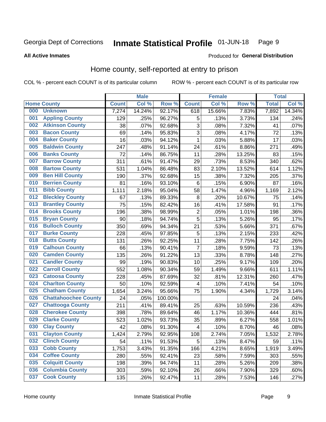#### Inmate Statistical Profile 01-JUN-18 Page 9

### **All Active Inmates**

### Produced for General Distribution

# Home county, self-reported at entry to prison

COL % - percent each COUNT is of its particular column

|     |                             |              | <b>Male</b> |                  |                         | <b>Female</b> |        | <b>Total</b>       |        |
|-----|-----------------------------|--------------|-------------|------------------|-------------------------|---------------|--------|--------------------|--------|
|     | <b>Home County</b>          | <b>Count</b> | Col %       | Row <sup>%</sup> | <b>Count</b>            | Col %         | Row %  | <b>Total</b>       | Col %  |
| 000 | <b>Unknown</b>              | 7,274        | 14.24%      | 92.17%           | 618                     | 15.66%        | 7.83%  | 7,892              | 14.34% |
| 001 | <b>Appling County</b>       | 129          | .25%        | 96.27%           | 5                       | .13%          | 3.73%  | 134                | .24%   |
| 002 | <b>Atkinson County</b>      | 38           | .07%        | 92.68%           | 3                       | .08%          | 7.32%  | 41                 | .07%   |
| 003 | <b>Bacon County</b>         | 69           | .14%        | 95.83%           | 3                       | .08%          | 4.17%  | 72                 | .13%   |
| 004 | <b>Baker County</b>         | 16           | .03%        | 94.12%           | $\mathbf{1}$            | .03%          | 5.88%  | 17                 | .03%   |
| 005 | <b>Baldwin County</b>       | 247          | .48%        | 91.14%           | 24                      | .61%          | 8.86%  | 271                | .49%   |
| 006 | <b>Banks County</b>         | 72           | .14%        | 86.75%           | 11                      | .28%          | 13.25% | 83                 | .15%   |
| 007 | <b>Barrow County</b>        | 311          | .61%        | 91.47%           | 29                      | .73%          | 8.53%  | 340                | .62%   |
| 008 | <b>Bartow County</b>        | 531          | 1.04%       | 86.48%           | 83                      | 2.10%         | 13.52% | 614                | 1.12%  |
| 009 | <b>Ben Hill County</b>      | 190          | .37%        | 92.68%           | 15                      | .38%          | 7.32%  | 205                | .37%   |
| 010 | <b>Berrien County</b>       | 81           | .16%        | 93.10%           | $\,6$                   | .15%          | 6.90%  | 87                 | .16%   |
| 011 | <b>Bibb County</b>          | 1,111        | 2.18%       | 95.04%           | 58                      | 1.47%         | 4.96%  | 1,169              | 2.12%  |
| 012 | <b>Bleckley County</b>      | 67           | .13%        | 89.33%           | 8                       | .20%          | 10.67% | 75                 | .14%   |
| 013 | <b>Brantley County</b>      | 75           | .15%        | 82.42%           | 16                      | .41%          | 17.58% | 91                 | .17%   |
| 014 | <b>Brooks County</b>        | 196          | .38%        | 98.99%           | $\overline{c}$          | .05%          | 1.01%  | 198                | .36%   |
| 015 | <b>Bryan County</b>         | 90           | .18%        | 94.74%           | 5                       | .13%          | 5.26%  | 95                 | .17%   |
| 016 | <b>Bulloch County</b>       | 350          | .69%        | 94.34%           | 21                      | .53%          | 5.66%  | 371                | .67%   |
| 017 | <b>Burke County</b>         | 228          | .45%        | 97.85%           | 5                       | .13%          | 2.15%  | 233                | .42%   |
| 018 | <b>Butts County</b>         | 131          | .26%        | 92.25%           | 11                      | .28%          | 7.75%  | 142                | .26%   |
| 019 | <b>Calhoun County</b>       | 66           | .13%        | 90.41%           | $\overline{7}$          | .18%          | 9.59%  | 73                 | .13%   |
| 020 | <b>Camden County</b>        | 135          | .26%        | 91.22%           | 13                      | .33%          | 8.78%  | 148                | .27%   |
| 021 | <b>Candler County</b>       | 99           | .19%        | 90.83%           | 10                      | .25%          | 9.17%  | 109                | .20%   |
| 022 | <b>Carroll County</b>       | 552          | 1.08%       | 90.34%           | 59                      | 1.49%         | 9.66%  | 611                | 1.11%  |
| 023 | <b>Catoosa County</b>       | 228          | .45%        | 87.69%           | 32                      | .81%          | 12.31% | 260                | .47%   |
| 024 | <b>Charlton County</b>      | 50           | .10%        | 92.59%           | 4                       | .10%          | 7.41%  | 54                 | .10%   |
| 025 | <b>Chatham County</b>       | 1,654        | 3.24%       | 95.66%           | 75                      | 1.90%         | 4.34%  | $\overline{1,729}$ | 3.14%  |
| 026 | <b>Chattahoochee County</b> | 24           | .05%        | 100.00%          |                         |               |        | 24                 | .04%   |
| 027 | <b>Chattooga County</b>     | 211          | .41%        | 89.41%           | 25                      | .63%          | 10.59% | 236                | .43%   |
| 028 | <b>Cherokee County</b>      | 398          | .78%        | 89.64%           | 46                      | 1.17%         | 10.36% | 444                | .81%   |
| 029 | <b>Clarke County</b>        | 523          | 1.02%       | 93.73%           | 35                      | .89%          | 6.27%  | 558                | 1.01%  |
| 030 | <b>Clay County</b>          | 42           | .08%        | 91.30%           | $\overline{\mathbf{4}}$ | .10%          | 8.70%  | 46                 | .08%   |
| 031 | <b>Clayton County</b>       | 1,424        | 2.79%       | 92.95%           | 108                     | 2.74%         | 7.05%  | 1,532              | 2.78%  |
| 032 | <b>Clinch County</b>        | 54           | .11%        | 91.53%           | 5                       | .13%          | 8.47%  | 59                 | .11%   |
| 033 | <b>Cobb County</b>          | 1,753        | 3.43%       | 91.35%           | 166                     | 4.21%         | 8.65%  | 1,919              | 3.49%  |
| 034 | <b>Coffee County</b>        | 280          | .55%        | 92.41%           | 23                      | .58%          | 7.59%  | 303                | .55%   |
| 035 | <b>Colquitt County</b>      | 198          | .39%        | 94.74%           | 11                      | .28%          | 5.26%  | 209                | .38%   |
| 036 | <b>Columbia County</b>      | 303          | .59%        | 92.10%           | 26                      | .66%          | 7.90%  | 329                | .60%   |
| 037 | <b>Cook County</b>          | 135          | .26%        | 92.47%           | 11                      | .28%          | 7.53%  | 146                | .27%   |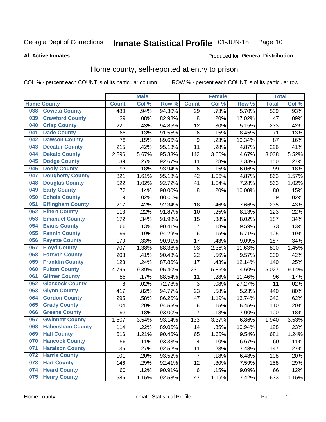#### Inmate Statistical Profile 01-JUN-18 Page 10

**All Active Inmates** 

### Produced for General Distribution

# Home county, self-reported at entry to prison

COL % - percent each COUNT is of its particular column

|     |                         |                    | <b>Male</b> |         |                         | <b>Female</b> |        | <b>Total</b> |       |
|-----|-------------------------|--------------------|-------------|---------|-------------------------|---------------|--------|--------------|-------|
|     | <b>Home County</b>      | <b>Count</b>       | Col %       | Row %   | <b>Count</b>            | Col %         | Row %  | <b>Total</b> | Col % |
| 038 | <b>Coweta County</b>    | 480                | .94%        | 94.30%  | 29                      | .73%          | 5.70%  | 509          | .93%  |
| 039 | <b>Crawford County</b>  | 39                 | .08%        | 82.98%  | $\bf 8$                 | .20%          | 17.02% | 47           | .09%  |
| 040 | <b>Crisp County</b>     | 221                | .43%        | 94.85%  | 12                      | .30%          | 5.15%  | 233          | .42%  |
| 041 | <b>Dade County</b>      | 65                 | .13%        | 91.55%  | $\,6$                   | .15%          | 8.45%  | 71           | .13%  |
| 042 | <b>Dawson County</b>    | 78                 | .15%        | 89.66%  | $\boldsymbol{9}$        | .23%          | 10.34% | 87           | .16%  |
| 043 | <b>Decatur County</b>   | 215                | .42%        | 95.13%  | 11                      | .28%          | 4.87%  | 226          | .41%  |
| 044 | <b>Dekalb County</b>    | 2,896              | 5.67%       | 95.33%  | 142                     | 3.60%         | 4.67%  | 3,038        | 5.52% |
| 045 | <b>Dodge County</b>     | 139                | .27%        | 92.67%  | 11                      | .28%          | 7.33%  | 150          | .27%  |
| 046 | <b>Dooly County</b>     | 93                 | .18%        | 93.94%  | 6                       | .15%          | 6.06%  | 99           | .18%  |
| 047 | <b>Dougherty County</b> | 821                | 1.61%       | 95.13%  | 42                      | 1.06%         | 4.87%  | 863          | 1.57% |
| 048 | <b>Douglas County</b>   | 522                | 1.02%       | 92.72%  | 41                      | 1.04%         | 7.28%  | 563          | 1.02% |
| 049 | <b>Early County</b>     | 72                 | .14%        | 90.00%  | 8                       | .20%          | 10.00% | 80           | .15%  |
| 050 | <b>Echols County</b>    | $\boldsymbol{9}$   | .02%        | 100.00% |                         |               |        | 9            | .02%  |
| 051 | <b>Effingham County</b> | 217                | .42%        | 92.34%  | 18                      | .46%          | 7.66%  | 235          | .43%  |
| 052 | <b>Elbert County</b>    | 113                | .22%        | 91.87%  | 10                      | .25%          | 8.13%  | 123          | .22%  |
| 053 | <b>Emanuel County</b>   | 172                | .34%        | 91.98%  | 15                      | .38%          | 8.02%  | 187          | .34%  |
| 054 | <b>Evans County</b>     | 66                 | .13%        | 90.41%  | $\overline{\mathbf{7}}$ | .18%          | 9.59%  | 73           | .13%  |
| 055 | <b>Fannin County</b>    | 99                 | .19%        | 94.29%  | $\,6$                   | .15%          | 5.71%  | 105          | .19%  |
| 056 | <b>Fayette County</b>   | 170                | .33%        | 90.91%  | 17                      | .43%          | 9.09%  | 187          | .34%  |
| 057 | <b>Floyd County</b>     | 707                | 1.38%       | 88.38%  | 93                      | 2.36%         | 11.63% | 800          | 1.45% |
| 058 | <b>Forsyth County</b>   | 208                | .41%        | 90.43%  | 22                      | .56%          | 9.57%  | 230          | .42%  |
| 059 | <b>Franklin County</b>  | 123                | .24%        | 87.86%  | 17                      | .43%          | 12.14% | 140          | .25%  |
| 060 | <b>Fulton County</b>    | 4,796              | 9.39%       | 95.40%  | 231                     | 5.85%         | 4.60%  | 5,027        | 9.14% |
| 061 | <b>Gilmer County</b>    | 85                 | .17%        | 88.54%  | 11                      | .28%          | 11.46% | 96           | .17%  |
| 062 | <b>Glascock County</b>  | 8                  | .02%        | 72.73%  | 3                       | .08%          | 27.27% | 11           | .02%  |
| 063 | <b>Glynn County</b>     | 417                | .82%        | 94.77%  | 23                      | .58%          | 5.23%  | 440          | .80%  |
| 064 | <b>Gordon County</b>    | 295                | .58%        | 86.26%  | 47                      | 1.19%         | 13.74% | 342          | .62%  |
| 065 | <b>Grady County</b>     | 104                | .20%        | 94.55%  | $\,6$                   | .15%          | 5.45%  | 110          | .20%  |
| 066 | <b>Greene County</b>    | 93                 | .18%        | 93.00%  | 7                       | .18%          | 7.00%  | 100          | .18%  |
| 067 | <b>Gwinnett County</b>  | $\overline{1,807}$ | 3.54%       | 93.14%  | 133                     | 3.37%         | 6.86%  | 1,940        | 3.53% |
| 068 | <b>Habersham County</b> | 114                | .22%        | 89.06%  | 14                      | .35%          | 10.94% | 128          | .23%  |
| 069 | <b>Hall County</b>      | 616                | 1.21%       | 90.46%  | 65                      | 1.65%         | 9.54%  | 681          | 1.24% |
| 070 | <b>Hancock County</b>   | 56                 | .11%        | 93.33%  | 4                       | .10%          | 6.67%  | 60           | .11%  |
| 071 | <b>Haralson County</b>  | 136                | .27%        | 92.52%  | 11                      | .28%          | 7.48%  | 147          | .27%  |
| 072 | <b>Harris County</b>    | 101                | .20%        | 93.52%  | $\overline{7}$          | .18%          | 6.48%  | 108          | .20%  |
| 073 | <b>Hart County</b>      | 146                | .29%        | 92.41%  | 12                      | .30%          | 7.59%  | 158          | .29%  |
| 074 | <b>Heard County</b>     | 60                 | .12%        | 90.91%  | 6                       | .15%          | 9.09%  | 66           | .12%  |
| 075 | <b>Henry County</b>     | 586                | 1.15%       | 92.58%  | 47                      | 1.19%         | 7.42%  | 633          | 1.15% |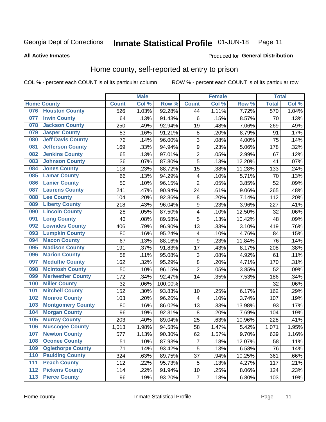#### Inmate Statistical Profile 01-JUN-18 Page 11

### **All Active Inmates**

# Produced for General Distribution

# Home county, self-reported at entry to prison

COL % - percent each COUNT is of its particular column

|     |                          |              | <b>Male</b> |         |                         | <b>Female</b> |        | <b>Total</b> |       |
|-----|--------------------------|--------------|-------------|---------|-------------------------|---------------|--------|--------------|-------|
|     | <b>Home County</b>       | <b>Count</b> | Col %       | Row %   | <b>Count</b>            | Col %         | Row %  | <b>Total</b> | Col % |
| 076 | <b>Houston County</b>    | 526          | 1.03%       | 92.28%  | 44                      | 1.11%         | 7.72%  | 570          | 1.04% |
| 077 | <b>Irwin County</b>      | 64           | .13%        | 91.43%  | 6                       | .15%          | 8.57%  | 70           | .13%  |
| 078 | <b>Jackson County</b>    | 250          | .49%        | 92.94%  | 19                      | .48%          | 7.06%  | 269          | .49%  |
| 079 | <b>Jasper County</b>     | 83           | .16%        | 91.21%  | 8                       | .20%          | 8.79%  | 91           | .17%  |
| 080 | <b>Jeff Davis County</b> | 72           | .14%        | 96.00%  | 3                       | .08%          | 4.00%  | 75           | .14%  |
| 081 | <b>Jefferson County</b>  | 169          | .33%        | 94.94%  | $\boldsymbol{9}$        | .23%          | 5.06%  | 178          | .32%  |
| 082 | <b>Jenkins County</b>    | 65           | .13%        | 97.01%  | $\overline{2}$          | .05%          | 2.99%  | 67           | .12%  |
| 083 | <b>Johnson County</b>    | 36           | .07%        | 87.80%  | $\overline{5}$          | .13%          | 12.20% | 41           | .07%  |
| 084 | <b>Jones County</b>      | 118          | .23%        | 88.72%  | 15                      | .38%          | 11.28% | 133          | .24%  |
| 085 | <b>Lamar County</b>      | 66           | .13%        | 94.29%  | $\overline{\mathbf{4}}$ | .10%          | 5.71%  | 70           | .13%  |
| 086 | <b>Lanier County</b>     | 50           | .10%        | 96.15%  | $\overline{2}$          | .05%          | 3.85%  | 52           | .09%  |
| 087 | <b>Laurens County</b>    | 241          | .47%        | 90.94%  | 24                      | .61%          | 9.06%  | 265          | .48%  |
| 088 | <b>Lee County</b>        | 104          | .20%        | 92.86%  | 8                       | .20%          | 7.14%  | 112          | .20%  |
| 089 | <b>Liberty County</b>    | 218          | .43%        | 96.04%  | 9                       | .23%          | 3.96%  | 227          | .41%  |
| 090 | <b>Lincoln County</b>    | 28           | .05%        | 87.50%  | $\overline{\mathbf{4}}$ | .10%          | 12.50% | 32           | .06%  |
| 091 | <b>Long County</b>       | 43           | .08%        | 89.58%  | $\overline{5}$          | .13%          | 10.42% | 48           | .09%  |
| 092 | <b>Lowndes County</b>    | 406          | .79%        | 96.90%  | 13                      | .33%          | 3.10%  | 419          | .76%  |
| 093 | <b>Lumpkin County</b>    | 80           | .16%        | 95.24%  | $\overline{\mathbf{4}}$ | .10%          | 4.76%  | 84           | .15%  |
| 094 | <b>Macon County</b>      | 67           | .13%        | 88.16%  | $\boldsymbol{9}$        | .23%          | 11.84% | 76           | .14%  |
| 095 | <b>Madison County</b>    | 191          | .37%        | 91.83%  | 17                      | .43%          | 8.17%  | 208          | .38%  |
| 096 | <b>Marion County</b>     | 58           | .11%        | 95.08%  | 3                       | .08%          | 4.92%  | 61           | .11%  |
| 097 | <b>Mcduffie County</b>   | 162          | .32%        | 95.29%  | 8                       | .20%          | 4.71%  | 170          | .31%  |
| 098 | <b>Mcintosh County</b>   | 50           | .10%        | 96.15%  | $\overline{2}$          | .05%          | 3.85%  | 52           | .09%  |
| 099 | <b>Meriwether County</b> | 172          | .34%        | 92.47%  | 14                      | .35%          | 7.53%  | 186          | .34%  |
| 100 | <b>Miller County</b>     | 32           | .06%        | 100.00% |                         |               |        | 32           | .06%  |
| 101 | <b>Mitchell County</b>   | 152          | .30%        | 93.83%  | 10                      | .25%          | 6.17%  | 162          | .29%  |
| 102 | <b>Monroe County</b>     | 103          | .20%        | 96.26%  | $\overline{\mathbf{4}}$ | .10%          | 3.74%  | 107          | .19%  |
| 103 | <b>Montgomery County</b> | 80           | .16%        | 86.02%  | 13                      | .33%          | 13.98% | 93           | .17%  |
| 104 | <b>Morgan County</b>     | 96           | .19%        | 92.31%  | 8                       | .20%          | 7.69%  | 104          | .19%  |
| 105 | <b>Murray County</b>     | 203          | .40%        | 89.04%  | 25                      | .63%          | 10.96% | 228          | .41%  |
| 106 | <b>Muscogee County</b>   | 1,013        | 1.98%       | 94.58%  | 58                      | 1.47%         | 5.42%  | 1,071        | 1.95% |
| 107 | <b>Newton County</b>     | 577          | 1.13%       | 90.30%  | 62                      | 1.57%         | 9.70%  | 639          | 1.16% |
| 108 | <b>Oconee County</b>     | 51           | .10%        | 87.93%  | $\overline{7}$          | .18%          | 12.07% | 58           | .11%  |
| 109 | <b>Oglethorpe County</b> | 71           | .14%        | 93.42%  | 5                       | .13%          | 6.58%  | 76           | .14%  |
| 110 | <b>Paulding County</b>   | 324          | .63%        | 89.75%  | 37                      | .94%          | 10.25% | 361          | .66%  |
| 111 | <b>Peach County</b>      | 112          | .22%        | 95.73%  | 5                       | .13%          | 4.27%  | 117          | .21%  |
| 112 | <b>Pickens County</b>    | 114          | .22%        | 91.94%  | 10                      | .25%          | 8.06%  | 124          | .23%  |
| 113 | <b>Pierce County</b>     | 96           | .19%        | 93.20%  | $\overline{7}$          | .18%          | 6.80%  | 103          | .19%  |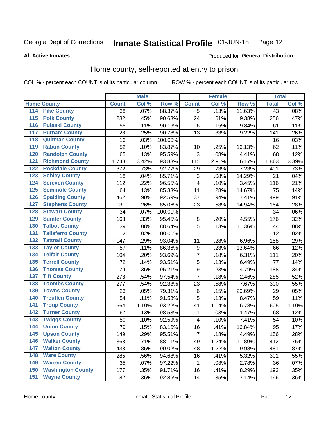#### Inmate Statistical Profile 01-JUN-18 Page 12

**All Active Inmates** 

### Produced for General Distribution

# Home county, self-reported at entry to prison

COL % - percent each COUNT is of its particular column

|                  |                          |              | <b>Male</b> |         |                         | <b>Female</b> |        | <b>Total</b>    |         |
|------------------|--------------------------|--------------|-------------|---------|-------------------------|---------------|--------|-----------------|---------|
|                  | <b>Home County</b>       | <b>Count</b> | Col %       | Row %   | <b>Count</b>            | Col %         | Row %  | <b>Total</b>    | Col %   |
| 114              | <b>Pike County</b>       | 38           | .07%        | 88.37%  | 5                       | .13%          | 11.63% | $\overline{43}$ | .08%    |
| $\overline{115}$ | <b>Polk County</b>       | 232          | .45%        | 90.63%  | 24                      | .61%          | 9.38%  | 256             | .47%    |
| 116              | <b>Pulaski County</b>    | 55           | .11%        | 90.16%  | $\,6$                   | .15%          | 9.84%  | 61              | .11%    |
| 117              | <b>Putnam County</b>     | 128          | .25%        | 90.78%  | 13                      | .33%          | 9.22%  | 141             | .26%    |
| 118              | <b>Quitman County</b>    | 16           | .03%        | 100.00% |                         |               |        | 16              | .03%    |
| 119              | <b>Rabun County</b>      | 52           | .10%        | 83.87%  | 10                      | .25%          | 16.13% | 62              | .11%    |
| 120              | <b>Randolph County</b>   | 65           | .13%        | 95.59%  | 3                       | .08%          | 4.41%  | 68              | .12%    |
| 121              | <b>Richmond County</b>   | 1,748        | 3.42%       | 93.83%  | 115                     | 2.91%         | 6.17%  | 1,863           | 3.39%   |
| 122              | <b>Rockdale County</b>   | 372          | .73%        | 92.77%  | 29                      | .73%          | 7.23%  | 401             | .73%    |
| 123              | <b>Schley County</b>     | 18           | .04%        | 85.71%  | 3                       | .08%          | 14.29% | 21              | .04%    |
| 124              | <b>Screven County</b>    | 112          | .22%        | 96.55%  | $\overline{\mathbf{4}}$ | .10%          | 3.45%  | 116             | .21%    |
| 125              | <b>Seminole County</b>   | 64           | .13%        | 85.33%  | 11                      | .28%          | 14.67% | 75              | .14%    |
| 126              | <b>Spalding County</b>   | 462          | .90%        | 92.59%  | 37                      | .94%          | 7.41%  | 499             | .91%    |
| 127              | <b>Stephens County</b>   | 131          | .26%        | 85.06%  | 23                      | .58%          | 14.94% | 154             | .28%    |
| 128              | <b>Stewart County</b>    | 34           | .07%        | 100.00% |                         |               |        | 34              | .06%    |
| 129              | <b>Sumter County</b>     | 168          | .33%        | 95.45%  | 8                       | .20%          | 4.55%  | 176             | .32%    |
| 130              | <b>Talbot County</b>     | 39           | .08%        | 88.64%  | 5                       | .13%          | 11.36% | 44              | .08%    |
| 131              | <b>Taliaferro County</b> | 12           | .02%        | 100.00% |                         |               |        | $\overline{12}$ | .02%    |
| 132              | <b>Tattnall County</b>   | 147          | .29%        | 93.04%  | 11                      | .28%          | 6.96%  | 158             | .29%    |
| 133              | <b>Taylor County</b>     | 57           | .11%        | 86.36%  | $\boldsymbol{9}$        | .23%          | 13.64% | 66              | .12%    |
| 134              | <b>Telfair County</b>    | 104          | .20%        | 93.69%  | 7                       | .18%          | 6.31%  | 111             | .20%    |
| 135              | <b>Terrell County</b>    | 72           | .14%        | 93.51%  | 5                       | .13%          | 6.49%  | 77              | .14%    |
| 136              | <b>Thomas County</b>     | 179          | .35%        | 95.21%  | $\overline{9}$          | .23%          | 4.79%  | 188             | .34%    |
| 137              | <b>Tift County</b>       | 278          | .54%        | 97.54%  | $\overline{7}$          | .18%          | 2.46%  | 285             | .52%    |
| 138              | <b>Toombs County</b>     | 277          | .54%        | 92.33%  | 23                      | .58%          | 7.67%  | 300             | .55%    |
| 139              | <b>Towns County</b>      | 23           | .05%        | 79.31%  | $\,6$                   | .15%          | 20.69% | 29              | .05%    |
| 140              | <b>Treutlen County</b>   | 54           | .11%        | 91.53%  | 5                       | .13%          | 8.47%  | 59              | .11%    |
| 141              | <b>Troup County</b>      | 564          | 1.10%       | 93.22%  | 41                      | 1.04%         | 6.78%  | 605             | 1.10%   |
| $\overline{142}$ | <b>Turner County</b>     | 67           | .13%        | 98.53%  | 1                       | .03%          | 1.47%  | 68              | .12%    |
| 143              | <b>Twiggs County</b>     | 50           | .10%        | 92.59%  | $\overline{\mathbf{4}}$ | .10%          | 7.41%  | 54              | .10%    |
| 144              | <b>Union County</b>      | 79           | .15%        | 83.16%  | 16                      | .41%          | 16.84% | 95              | .17%    |
| 145              | <b>Upson County</b>      | 149          | .29%        | 95.51%  | $\overline{7}$          | .18%          | 4.49%  | 156             | .28%    |
| 146              | <b>Walker County</b>     | 363          | .71%        | 88.11%  | 49                      | 1.24%         | 11.89% | 412             | .75%    |
| 147              | <b>Walton County</b>     | 433          | .85%        | 90.02%  | 48                      | 1.22%         | 9.98%  | 481             | .87%    |
| 148              | <b>Ware County</b>       | 285          | .56%        | 94.68%  | 16                      | .41%          | 5.32%  | 301             | .55%    |
| 149              | <b>Warren County</b>     | 35           | .07%        | 97.22%  | 1                       | .03%          | 2.78%  | 36              | .07%    |
| 150              | <b>Washington County</b> | 177          | .35%        | 91.71%  | 16                      | .41%          | 8.29%  | 193             | .35%    |
| 151              | <b>Wayne County</b>      | 182          | .36%        | 92.86%  | 14                      | .35%          | 7.14%  | 196             | $.36\%$ |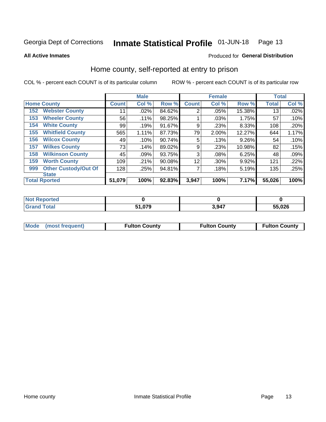#### Inmate Statistical Profile 01-JUN-18 Page 13

**All Active Inmates** 

### Produced for General Distribution

# Home county, self-reported at entry to prison

COL % - percent each COUNT is of its particular column

|     |                             |              | <b>Male</b> |        |                | <b>Female</b> |          | <b>Total</b> |       |
|-----|-----------------------------|--------------|-------------|--------|----------------|---------------|----------|--------------|-------|
|     | <b>Home County</b>          | <b>Count</b> | Col %       | Row %  | <b>Count</b>   | Col %         | Row %    | <b>Total</b> | Col % |
| 152 | <b>Webster County</b>       | 11           | .02%        | 84.62% | $\overline{2}$ | .05%          | 15.38%   | 13           | .02%  |
| 153 | <b>Wheeler County</b>       | 56           | .11%        | 98.25% |                | .03%          | 1.75%    | 57           | .10%  |
| 154 | <b>White County</b>         | 99           | .19%        | 91.67% | 9              | .23%          | 8.33%    | 108          | .20%  |
| 155 | <b>Whitfield County</b>     | 565          | 1.11%       | 87.73% | 79             | 2.00%         | 12.27%   | 644          | 1.17% |
| 156 | <b>Wilcox County</b>        | 49           | .10%        | 90.74% | 5              | .13%          | $9.26\%$ | 54           | .10%  |
| 157 | <b>Wilkes County</b>        | 73           | .14%        | 89.02% | 9              | .23%          | 10.98%   | 82           | .15%  |
| 158 | <b>Wilkinson County</b>     | 45           | .09%        | 93.75% | 3              | .08%          | 6.25%    | 48           | .09%  |
| 159 | <b>Worth County</b>         | 109          | .21%        | 90.08% | 12             | .30%          | 9.92%    | 121          | .22%  |
| 999 | <b>Other Custody/Out Of</b> | 128          | .25%        | 94.81% | 7              | .18%          | 5.19%    | 135          | .25%  |
|     | <b>State</b>                |              |             |        |                |               |          |              |       |
|     | <b>Total Rported</b>        | 51,079       | 100%        | 92.83% | 3,947          | 100%          | 7.17%    | 55,026       | 100%  |

| ueo |            |      |        |
|-----|------------|------|--------|
|     | በ79<br>C 4 | 3947 | 55,026 |

| Mode (most frequent) | <b>Fulton County</b> | <b>Fulton County</b> | <b>Fulton County</b> |
|----------------------|----------------------|----------------------|----------------------|
|                      |                      |                      |                      |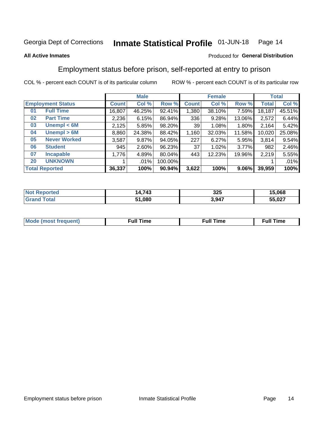#### Inmate Statistical Profile 01-JUN-18 Page 14

### **All Active Inmates**

## Produced for General Distribution

# Employment status before prison, self-reported at entry to prison

COL % - percent each COUNT is of its particular column

|                                    | <b>Male</b>  |        |         |                 | <b>Female</b> | <b>Total</b> |        |        |
|------------------------------------|--------------|--------|---------|-----------------|---------------|--------------|--------|--------|
| <b>Employment Status</b>           | <b>Count</b> | Col %  | Row %   | <b>Count</b>    | Col %         | Row %        | Total  | Col %  |
| <b>Full Time</b><br>0 <sub>1</sub> | 16,807       | 46.25% | 92.41%  | 1,380           | 38.10%        | 7.59%        | 18,187 | 45.51% |
| <b>Part Time</b><br>02             | 2,236        | 6.15%  | 86.94%  | 336             | 9.28%         | 13.06%       | 2,572  | 6.44%  |
| Unempl $<$ 6M<br>03                | 2,125        | 5.85%  | 98.20%  | 39 <sub>1</sub> | 1.08%         | 1.80%        | 2,164  | 5.42%  |
| Unempl > 6M<br>04                  | 8,860        | 24.38% | 88.42%  | 1,160           | 32.03%        | 11.58%       | 10,020 | 25.08% |
| <b>Never Worked</b><br>05          | 3,587        | 9.87%  | 94.05%  | 227             | 6.27%         | 5.95%        | 3,814  | 9.54%  |
| <b>Student</b><br>06               | 945          | 2.60%  | 96.23%  | 37              | 1.02%         | 3.77%        | 982    | 2.46%  |
| <b>Incapable</b><br>07             | 1,776        | 4.89%  | 80.04%  | 443             | 12.23%        | 19.96%       | 2,219  | 5.55%  |
| <b>UNKNOWN</b><br>20               |              | .01%   | 100.00% |                 |               |              |        | .01%   |
| <b>Total Reported</b>              | 36,337       | 100%   | 90.94%  | 3,622           | 100%          | 9.06%        | 39,959 | 100%   |

| <b>Not Reported</b>   | 14,743 | 325   | 15,068 |
|-----------------------|--------|-------|--------|
| Total<br><b>Grand</b> | 51,080 | 3,947 | 55,027 |

| <b>Mode (most frequent)</b> | $^{\prime\prime}$ Time | <b>Time</b><br>rull i |
|-----------------------------|------------------------|-----------------------|
|                             |                        |                       |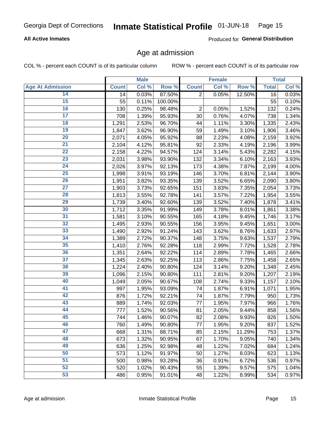## **All Active Inmates**

Produced for General Distribution

# Age at admission

COL % - percent each COUNT is of its particular column

|                         |              | <b>Male</b> |         |                | <b>Female</b> |        |              | <b>Total</b> |
|-------------------------|--------------|-------------|---------|----------------|---------------|--------|--------------|--------------|
| <b>Age At Admission</b> | <b>Count</b> | Col %       | Row %   | <b>Count</b>   | Col %         | Row %  | <b>Total</b> | Col %        |
| 14                      | 14           | 0.03%       | 87.50%  | $\overline{2}$ | 0.05%         | 12.50% | 16           | 0.03%        |
| 15                      | 55           | 0.11%       | 100.00% |                |               |        | 55           | 0.10%        |
| 16                      | 130          | 0.25%       | 98.48%  | $\overline{2}$ | 0.05%         | 1.52%  | 132          | 0.24%        |
| $\overline{17}$         | 708          | 1.39%       | 95.93%  | 30             | 0.76%         | 4.07%  | 738          | 1.34%        |
| $\overline{18}$         | 1,291        | 2.53%       | 96.70%  | 44             | 1.11%         | 3.30%  | 1,335        | 2.43%        |
| 19                      | 1,847        | 3.62%       | 96.90%  | 59             | 1.49%         | 3.10%  | 1,906        | 3.46%        |
| 20                      | 2,071        | 4.05%       | 95.92%  | 88             | 2.23%         | 4.08%  | 2,159        | 3.92%        |
| $\overline{21}$         | 2,104        | 4.12%       | 95.81%  | 92             | 2.33%         | 4.19%  | 2,196        | 3.99%        |
| $\overline{22}$         | 2,158        | 4.22%       | 94.57%  | 124            | 3.14%         | 5.43%  | 2,282        | 4.15%        |
| 23                      | 2,031        | 3.98%       | 93.90%  | 132            | 3.34%         | 6.10%  | 2,163        | 3.93%        |
| 24                      | 2,026        | 3.97%       | 92.13%  | 173            | 4.38%         | 7.87%  | 2,199        | 4.00%        |
| $\overline{25}$         | 1,998        | 3.91%       | 93.19%  | 146            | 3.70%         | 6.81%  | 2,144        | 3.90%        |
| $\overline{26}$         | 1,951        | 3.82%       | 93.35%  | 139            | 3.52%         | 6.65%  | 2,090        | 3.80%        |
| $\overline{27}$         | 1,903        | 3.73%       | 92.65%  | 151            | 3.83%         | 7.35%  | 2,054        | 3.73%        |
| 28                      | 1,813        | 3.55%       | 92.78%  | 141            | 3.57%         | 7.22%  | 1,954        | 3.55%        |
| 29                      | 1,739        | 3.40%       | 92.60%  | 139            | 3.52%         | 7.40%  | 1,878        | 3.41%        |
| 30                      | 1,712        | 3.35%       | 91.99%  | 149            | 3.78%         | 8.01%  | 1,861        | 3.38%        |
| 31                      | 1,581        | 3.10%       | 90.55%  | 165            | 4.18%         | 9.45%  | 1,746        | 3.17%        |
| 32                      | 1,495        | 2.93%       | 90.55%  | 156            | 3.95%         | 9.45%  | 1,651        | 3.00%        |
| 33                      | 1,490        | 2.92%       | 91.24%  | 143            | 3.62%         | 8.76%  | 1,633        | 2.97%        |
| 34                      | 1,389        | 2.72%       | 90.37%  | 148            | 3.75%         | 9.63%  | 1,537        | 2.79%        |
| 35                      | 1,410        | 2.76%       | 92.28%  | 118            | 2.99%         | 7.72%  | 1,528        | 2.78%        |
| 36                      | 1,351        | 2.64%       | 92.22%  | 114            | 2.89%         | 7.78%  | 1,465        | 2.66%        |
| $\overline{37}$         | 1,345        | 2.63%       | 92.25%  | 113            | 2.86%         | 7.75%  | 1,458        | 2.65%        |
| 38                      | 1,224        | 2.40%       | 90.80%  | 124            | 3.14%         | 9.20%  | 1,348        | 2.45%        |
| 39                      | 1,096        | 2.15%       | 90.80%  | 111            | 2.81%         | 9.20%  | 1,207        | 2.19%        |
| 40                      | 1,049        | 2.05%       | 90.67%  | 108            | 2.74%         | 9.33%  | 1,157        | 2.10%        |
| 41                      | 997          | 1.95%       | 93.09%  | 74             | 1.87%         | 6.91%  | 1,071        | 1.95%        |
| 42                      | 876          | 1.72%       | 92.21%  | 74             | 1.87%         | 7.79%  | 950          | 1.73%        |
| 43                      | 889          | 1.74%       | 92.03%  | 77             | 1.95%         | 7.97%  | 966          | 1.76%        |
| 44                      | 777          | 1.52%       | 90.56%  | 81             | 2.05%         | 9.44%  | 858          | 1.56%        |
| 45                      | 744          | 1.46%       | 90.07%  | 82             | 2.08%         | 9.93%  | 826          | 1.50%        |
| 46                      | 760          | 1.49%       | 90.80%  | 77             | 1.95%         | 9.20%  | 837          | 1.52%        |
| 47                      | 668          | 1.31%       | 88.71%  | 85             | 2.15%         | 11.29% | 753          | 1.37%        |
| 48                      | 673          | 1.32%       | 90.95%  | 67             | 1.70%         | 9.05%  | 740          | 1.34%        |
| 49                      | 636          | 1.25%       | 92.98%  | 48             | 1.22%         | 7.02%  | 684          | 1.24%        |
| 50                      | 573          | 1.12%       | 91.97%  | 50             | 1.27%         | 8.03%  | 623          | 1.13%        |
| 51                      | 500          | 0.98%       | 93.28%  | 36             | 0.91%         | 6.72%  | 536          | 0.97%        |
| 52                      | 520          | 1.02%       | 90.43%  | 55             | 1.39%         | 9.57%  | 575          | 1.04%        |
| 53                      | 486          | 0.95%       | 91.01%  | 48             | 1.22%         | 8.99%  | 534          | 0.97%        |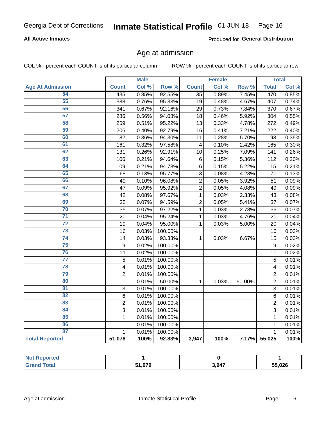## **All Active Inmates**

Produced for General Distribution

# Age at admission

COL % - percent each COUNT is of its particular column

|                         |                         | <b>Male</b> |         |                 | <b>Female</b> |        |                | <b>Total</b> |
|-------------------------|-------------------------|-------------|---------|-----------------|---------------|--------|----------------|--------------|
| <b>Age At Admission</b> | <b>Count</b>            | Col %       | Row %   | <b>Count</b>    | Col %         | Row %  | <b>Total</b>   | Col %        |
| 54                      | 435                     | 0.85%       | 92.55%  | $\overline{35}$ | 0.89%         | 7.45%  | 470            | 0.85%        |
| 55                      | 388                     | 0.76%       | 95.33%  | 19              | 0.48%         | 4.67%  | 407            | 0.74%        |
| 56                      | 341                     | 0.67%       | 92.16%  | 29              | 0.73%         | 7.84%  | 370            | 0.67%        |
| 57                      | 286                     | 0.56%       | 94.08%  | 18              | 0.46%         | 5.92%  | 304            | 0.55%        |
| 58                      | 259                     | 0.51%       | 95.22%  | 13              | 0.33%         | 4.78%  | 272            | 0.49%        |
| 59                      | 206                     | 0.40%       | 92.79%  | 16              | 0.41%         | 7.21%  | 222            | 0.40%        |
| 60                      | 182                     | 0.36%       | 94.30%  | 11              | 0.28%         | 5.70%  | 193            | 0.35%        |
| 61                      | 161                     | 0.32%       | 97.58%  | $\overline{4}$  | 0.10%         | 2.42%  | 165            | 0.30%        |
| 62                      | 131                     | 0.26%       | 92.91%  | 10              | 0.25%         | 7.09%  | 141            | 0.26%        |
| 63                      | 106                     | 0.21%       | 94.64%  | $\,6$           | 0.15%         | 5.36%  | 112            | 0.20%        |
| 64                      | 109                     | 0.21%       | 94.78%  | $\,6$           | 0.15%         | 5.22%  | 115            | 0.21%        |
| 65                      | 68                      | 0.13%       | 95.77%  | 3               | 0.08%         | 4.23%  | 71             | 0.13%        |
| 66                      | 49                      | 0.10%       | 96.08%  | $\overline{c}$  | 0.05%         | 3.92%  | 51             | 0.09%        |
| 67                      | 47                      | 0.09%       | 95.92%  | $\overline{2}$  | 0.05%         | 4.08%  | 49             | 0.09%        |
| 68                      | 42                      | 0.08%       | 97.67%  | 1               | 0.03%         | 2.33%  | 43             | 0.08%        |
| 69                      | 35                      | 0.07%       | 94.59%  | $\overline{2}$  | 0.05%         | 5.41%  | 37             | 0.07%        |
| 70                      | 35                      | 0.07%       | 97.22%  | $\mathbf{1}$    | 0.03%         | 2.78%  | 36             | 0.07%        |
| $\overline{71}$         | 20                      | 0.04%       | 95.24%  | $\mathbf{1}$    | 0.03%         | 4.76%  | 21             | 0.04%        |
| $\overline{72}$         | 19                      | 0.04%       | 95.00%  | 1               | 0.03%         | 5.00%  | 20             | 0.04%        |
| 73                      | 16                      | 0.03%       | 100.00% |                 |               |        | 16             | 0.03%        |
| $\overline{74}$         | 14                      | 0.03%       | 93.33%  | $\mathbf{1}$    | 0.03%         | 6.67%  | 15             | 0.03%        |
| 75                      | 9                       | 0.02%       | 100.00% |                 |               |        | 9              | 0.02%        |
| 76                      | 11                      | 0.02%       | 100.00% |                 |               |        | 11             | 0.02%        |
| $\overline{77}$         | 5                       | 0.01%       | 100.00% |                 |               |        | 5              | 0.01%        |
| 78                      | $\overline{\mathbf{4}}$ | 0.01%       | 100.00% |                 |               |        | 4              | 0.01%        |
| 79                      | $\overline{2}$          | 0.01%       | 100.00% |                 |               |        | $\overline{2}$ | 0.01%        |
| 80                      | $\mathbf 1$             | 0.01%       | 50.00%  | $\mathbf{1}$    | 0.03%         | 50.00% | $\overline{2}$ | 0.01%        |
| 81                      | 3                       | 0.01%       | 100.00% |                 |               |        | 3              | 0.01%        |
| 82                      | 6                       | 0.01%       | 100.00% |                 |               |        | 6              | 0.01%        |
| 83                      | $\overline{2}$          | 0.01%       | 100.00% |                 |               |        | $\overline{2}$ | 0.01%        |
| 84                      | 3                       | 0.01%       | 100.00% |                 |               |        | 3              | 0.01%        |
| 85                      | 1                       | 0.01%       | 100.00% |                 |               |        | $\mathbf{1}$   | 0.01%        |
| 86                      | 1                       | 0.01%       | 100.00% |                 |               |        | $\mathbf{1}$   | 0.01%        |
| 87                      | 1                       | 0.01%       | 100.00% |                 |               |        | $\mathbf{1}$   | 0.01%        |
| <b>Total Reported</b>   | 51,078                  | 100%        | 92.83%  | 3,947           | 100%          | 7.17%  | 55,025         | 100%         |

| <b>Not Reported</b>    |        |       |        |
|------------------------|--------|-------|--------|
| Totai<br><b>'Granc</b> | 51,079 | 3,947 | 55,026 |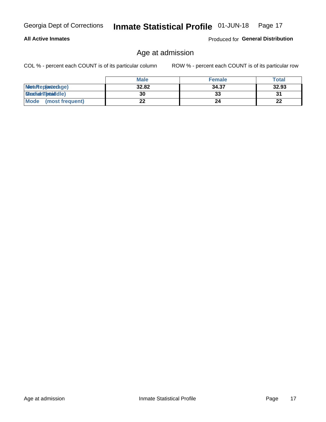### **All Active Inmates**

Produced for General Distribution

# Age at admission

COL % - percent each COUNT is of its particular column

|                         | <b>Male</b> | <b>Female</b> | <b>Total</b> |
|-------------------------|-------------|---------------|--------------|
| MetaRep(anterage)       | 32.82       | 34.37         | 32.93        |
| <b>MeatianTotaddle)</b> | 30          | 33            | 31           |
| Mode<br>(most frequent) | 22          | 24            | 22           |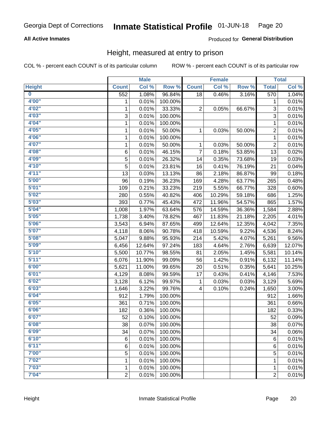## **All Active Inmates**

### Produced for General Distribution

# Height, measured at entry to prison

COL % - percent each COUNT is of its particular column

|                         |                | <b>Male</b> |         |                | <b>Female</b> |        |                | <b>Total</b>        |
|-------------------------|----------------|-------------|---------|----------------|---------------|--------|----------------|---------------------|
| <b>Height</b>           | <b>Count</b>   | Col %       | Row %   | <b>Count</b>   | Col %         | Row %  | <b>Total</b>   | Col %               |
| $\overline{\mathbf{0}}$ | 552            | 1.08%       | 96.84%  | 18             | 0.46%         | 3.16%  | 570            | 1.04%               |
| 4'00"                   | 1              | 0.01%       | 100.00% |                |               |        | 1              | 0.01%               |
| 4'02"                   | $\mathbf{1}$   | 0.01%       | 33.33%  | 2              | 0.05%         | 66.67% | 3              | 0.01%               |
| 4'03''                  | 3              | 0.01%       | 100.00% |                |               |        | 3              | 0.01%               |
| 4'04"                   | 1              | 0.01%       | 100.00% |                |               |        | 1              | 0.01%               |
| 4'05"                   | $\mathbf{1}$   | 0.01%       | 50.00%  | 1              | 0.03%         | 50.00% | $\overline{c}$ | 0.01%               |
| 4'06"                   | $\mathbf{1}$   | 0.01%       | 100.00% |                |               |        | $\mathbf{1}$   | 0.01%               |
| 4'07"                   | 1              | 0.01%       | 50.00%  | 1              | 0.03%         | 50.00% | $\overline{c}$ | 0.01%               |
| 4'08"                   | 6              | 0.01%       | 46.15%  | $\overline{7}$ | 0.18%         | 53.85% | 13             | 0.02%               |
| 4'09"                   | 5              | 0.01%       | 26.32%  | 14             | 0.35%         | 73.68% | 19             | 0.03%               |
| 4'10"                   | 5              | 0.01%       | 23.81%  | 16             | 0.41%         | 76.19% | 21             | 0.04%               |
| 4'11''                  | 13             | 0.03%       | 13.13%  | 86             | 2.18%         | 86.87% | 99             | 0.18%               |
| 5'00''                  | 96             | 0.19%       | 36.23%  | 169            | 4.28%         | 63.77% | 265            | 0.48%               |
| 5'01"                   | 109            | 0.21%       | 33.23%  | 219            | 5.55%         | 66.77% | 328            | 0.60%               |
| 5'02"                   | 280            | 0.55%       | 40.82%  | 406            | 10.29%        | 59.18% | 686            | 1.25%               |
| 5'03"                   | 393            | 0.77%       | 45.43%  | 472            | 11.96%        | 54.57% | 865            | 1.57%               |
| 5'04"                   | 1,008          | 1.97%       | 63.64%  | 576            | 14.59%        | 36.36% | 1,584          | 2.88%               |
| 5'05"                   | 1,738          | 3.40%       | 78.82%  | 467            | 11.83%        | 21.18% | 2,205          | 4.01%               |
| 5'06''                  | 3,543          | 6.94%       | 87.65%  | 499            | 12.64%        | 12.35% | 4,042          | 7.35%               |
| 5'07''                  | 4,118          | 8.06%       | 90.78%  | 418            | 10.59%        | 9.22%  | 4,536          | 8.24%               |
| 5'08''                  | 5,047          | 9.88%       | 95.93%  | 214            | 5.42%         | 4.07%  | 5,261          | 9.56%               |
| 5'09''                  | 6,456          | 12.64%      | 97.24%  | 183            | 4.64%         | 2.76%  | 6,639          | 12.07%              |
| 5'10''                  | 5,500          | 10.77%      | 98.55%  | 81             | 2.05%         | 1.45%  | 5,581          | 10.14%              |
| 5'11"                   | 6,076          | 11.90%      | 99.09%  | 56             | 1.42%         | 0.91%  | 6,132          | 11.14%              |
| 6'00''                  | 5,621          | 11.00%      | 99.65%  | 20             | 0.51%         | 0.35%  | 5,641          | 10.25%              |
| 6'01''                  | 4,129          | 8.08%       | 99.59%  | 17             | 0.43%         | 0.41%  | 4,146          | 7.53%               |
| 6'02"                   | 3,128          | 6.12%       | 99.97%  | 1              | 0.03%         | 0.03%  | 3,129          | 5.69%               |
| 6'03''                  | 1,646          | 3.22%       | 99.76%  | 4              | 0.10%         | 0.24%  | 1,650          | 3.00%               |
| 6'04"                   | 912            | 1.79%       | 100.00% |                |               |        | 912            | 1.66%               |
| 6'05"                   | 361            | 0.71%       | 100.00% |                |               |        | 361            | 0.66%               |
| 6'06"                   | 182            | 0.36%       | 100.00% |                |               |        | 182            | 0.33%               |
| 6'07"                   | 52             | 0.10%       | 100.00% |                |               |        | 52             | 0.09%               |
| 6'08''                  | 38             | 0.07%       | 100.00% |                |               |        | 38             | 0.07%               |
| 6'09''                  | 34             | 0.07%       | 100.00% |                |               |        | 34             | 0.06%               |
| 6'10''                  | 6              | 0.01%       | 100.00% |                |               |        | $\,6$          | 0.01%               |
| 6'11''                  | 6              | 0.01%       | 100.00% |                |               |        | 6              | $\overline{0.01\%}$ |
| 7'00"                   | 5              | 0.01%       | 100.00% |                |               |        | 5              | 0.01%               |
| 7'02"                   | 1              | 0.01%       | 100.00% |                |               |        | 1              | 0.01%               |
| 7'03''                  | 1              | 0.01%       | 100.00% |                |               |        | 1              | 0.01%               |
| 7'04"                   | $\overline{2}$ | 0.01%       | 100.00% |                |               |        | $\overline{2}$ | $\overline{0.01\%}$ |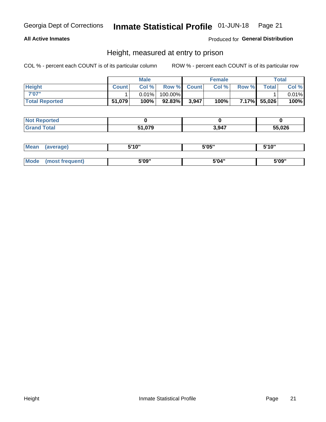### **All Active Inmates**

### Produced for General Distribution

# Height, measured at entry to prison

COL % - percent each COUNT is of its particular column

|                       | <b>Male</b>  |          | <b>Female</b> |             |       | Total |              |       |
|-----------------------|--------------|----------|---------------|-------------|-------|-------|--------------|-------|
| <b>Height</b>         | <b>Count</b> | Col %    |               | Row % Count | Col % | Row % | <b>Total</b> | Col % |
| 7'07"                 |              | $0.01\%$ | 100.00%       |             |       |       |              | 0.01% |
| <b>Total Reported</b> | 51,079       | 100%     | $92.83\%$     | 3,947       | 100%  |       | 7.17% 55,026 | 100%  |

| <b>Not Reported</b> |        |       |        |
|---------------------|--------|-------|--------|
| <b>Grand Total</b>  | 51,079 | 3,947 | 55,026 |

| <b>Mean</b> | (average)       | 5'10" | 5'05" | 5'10" |
|-------------|-----------------|-------|-------|-------|
|             |                 |       |       |       |
| <b>Mode</b> | (most frequent) | 5'09" | 5'04" | 5'09" |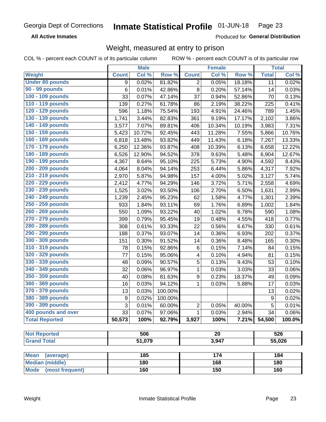**All Active Inmates** 

Produced for General Distribution

# Weight, measured at entry to prison

COL % - percent each COUNT is of its particular column

|                                |                  | <b>Male</b> |         |                  | Female          |        |                  | <b>Total</b> |
|--------------------------------|------------------|-------------|---------|------------------|-----------------|--------|------------------|--------------|
| Weight                         | <b>Count</b>     | Col %       | Row %   | <b>Count</b>     | Col %           | Row %  | <b>Total</b>     | Col %        |
| <b>Under 80 pounds</b>         | 9                | 0.02%       | 81.82%  | 2                | 0.05%           | 18.18% | 11               | 0.02%        |
| 90 - 99 pounds                 | 6                | 0.01%       | 42.86%  | 8                | 0.20%           | 57.14% | 14               | 0.03%        |
| 100 - 109 pounds               | 33               | 0.07%       | 47.14%  | 37               | 0.94%           | 52.86% | 70               | 0.13%        |
| 110 - 119 pounds               | 139              | 0.27%       | 61.78%  | 86               | 2.19%           | 38.22% | 225              | 0.41%        |
| 120 - 129 pounds               | 596              | 1.18%       | 75.54%  | 193              | 4.91%           | 24.46% | 789              | 1.45%        |
| 130 - 139 pounds               | 1,741            | 3.44%       | 82.83%  | 361              | 9.19%           | 17.17% | 2,102            | 3.86%        |
| 140 - 149 pounds               | 3,577            | 7.07%       | 89.81%  | 406              | 10.34%          | 10.19% | 3,983            | 7.31%        |
| 150 - 159 pounds               | 5,423            | 10.72%      | 92.45%  | 443              | 11.28%          | 7.55%  | 5,866            | 10.76%       |
| 160 - 169 pounds               | 6,818            | 13.48%      | 93.82%  | 449              | 11.43%          | 6.18%  | 7,267            | 13.33%       |
| 170 - 179 pounds               | 6,250            | 12.36%      | 93.87%  | 408              | 10.39%          | 6.13%  | 6,658            | 12.22%       |
| 180 - 189 pounds               | 6,526            | 12.90%      | 94.52%  | 378              | 9.63%           | 5.48%  | 6,904            | 12.67%       |
| 190 - 199 pounds               | 4,367            | 8.64%       | 95.10%  | 225              | 5.73%           | 4.90%  | 4,592            | 8.43%        |
| 200 - 209 pounds               | 4,064            | 8.04%       | 94.14%  | 253              | 6.44%           | 5.86%  | 4,317            | 7.92%        |
| 210 - 219 pounds               | 2,970            | 5.87%       | 94.98%  | 157              | 4.00%           | 5.02%  | 3,127            | 5.74%        |
| 220 - 229 pounds               | 2,412            | 4.77%       | 94.29%  | 146              | 3.72%           | 5.71%  | 2,558            | 4.69%        |
| 230 - 239 pounds               | 1,525            | 3.02%       | 93.50%  | 106              | 2.70%           | 6.50%  | 1,631            | 2.99%        |
| 240 - 249 pounds               | 1,239            | 2.45%       | 95.23%  | 62               | 1.58%           | 4.77%  | 1,301            | 2.39%        |
| 250 - 259 pounds               | 933              | 1.84%       | 93.11%  | 69               | 1.76%           | 6.89%  | 1,002            | 1.84%        |
| 260 - 269 pounds               | 550              | 1.09%       | 93.22%  | 40               | 1.02%           | 6.78%  | 590              | 1.08%        |
| 270 - 279 pounds               | 399              | 0.79%       | 95.45%  | 19               | 0.48%           | 4.55%  | 418              | 0.77%        |
| 280 - 289 pounds               | 308              | 0.61%       | 93.33%  | 22               | 0.56%           | 6.67%  | 330              | 0.61%        |
| 290 - 299 pounds               | 188              | 0.37%       | 93.07%  | 14               | 0.36%           | 6.93%  | 202              | 0.37%        |
| 300 - 309 pounds               | 151              | 0.30%       | 91.52%  | 14               | 0.36%           | 8.48%  | 165              | 0.30%        |
| 310 - 319 pounds               | 78               | 0.15%       | 92.86%  | $\,6$            | 0.15%           | 7.14%  | 84               | 0.15%        |
| 320 - 329 pounds               | 77               | 0.15%       | 95.06%  | 4                | 0.10%           | 4.94%  | 81               | 0.15%        |
| 330 - 339 pounds               | 48               | 0.09%       | 90.57%  | 5                | 0.13%           | 9.43%  | 53               | 0.10%        |
| 340 - 349 pounds               | 32               | 0.06%       | 96.97%  | 1                | 0.03%           | 3.03%  | 33               | 0.06%        |
| 350 - 359 pounds               | 40               | 0.08%       | 81.63%  | $\boldsymbol{9}$ | 0.23%           | 18.37% | 49               | 0.09%        |
| 360 - 369 pounds               | 16               | 0.03%       | 94.12%  | $\mathbf{1}$     | 0.03%           | 5.88%  | 17               | 0.03%        |
| 370 - 379 pounds               | 13               | 0.03%       | 100.00% |                  |                 |        | 13               | 0.02%        |
| 380 - 389 pounds               | $\boldsymbol{9}$ | 0.02%       | 100.00% |                  |                 |        | $\boldsymbol{9}$ | 0.02%        |
| 390 - 399 pounds               | 3                | 0.01%       | 60.00%  | 2                | 0.05%           | 40.00% | 5                | 0.01%        |
| 400 pounds and over            | 33               | 0.07%       | 97.06%  | $\mathbf{1}$     | 0.03%           | 2.94%  | 34               | 0.06%        |
| <b>Total Reported</b>          | 50,573           | 100%        | 92.79%  | 3,927            | 100%            | 7.21%  | 54,500           | 100.0%       |
|                                |                  |             |         |                  |                 |        |                  |              |
| <b>Not Reported</b>            |                  | 506         |         |                  | $\overline{20}$ |        |                  | 526          |
| <b>Grand Total</b>             |                  | 51,079      |         |                  | 3,947           |        |                  | 55,026       |
| <b>Mean</b><br>(average)       |                  | 185         |         |                  | 174             |        |                  | 184          |
| <b>Median (middle)</b>         |                  | 180         |         |                  | 168             |        |                  | 180          |
| <b>Mode</b><br>(most frequent) |                  | 160         |         |                  | 150             |        |                  | 160          |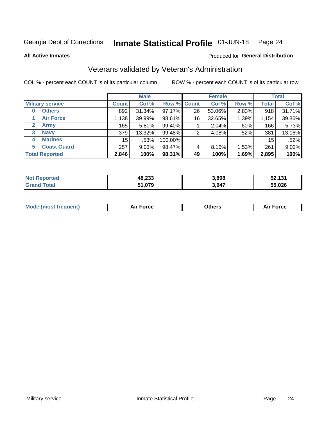#### Inmate Statistical Profile 01-JUN-18 Page 24

**All Active Inmates** 

## Produced for General Distribution

# Veterans validated by Veteran's Administration

COL % - percent each COUNT is of its particular column

|                             |                 | <b>Male</b> |                    |    | <b>Female</b> |          |              | <b>Total</b> |
|-----------------------------|-----------------|-------------|--------------------|----|---------------|----------|--------------|--------------|
| <b>Military service</b>     | <b>Count</b>    | Col %       | <b>Row % Count</b> |    | Col %         | Row %    | <b>Total</b> | Col %        |
| <b>Others</b><br>0          | 892             | 31.34%      | 97.17%             | 26 | 53.06%        | 2.83%    | 918          | 31.71%       |
| <b>Air Force</b>            | 1,138           | 39.99%      | 98.61%             | 16 | 32.65%        | 1.39%    | 1,154        | 39.86%       |
| <b>Army</b><br>$\mathbf{2}$ | 165             | $5.80\%$    | 99.40%             |    | 2.04%         | .60%     | 166          | 5.73%        |
| <b>Navy</b><br>3            | 379             | 13.32%      | 99.48%             | 2  | 4.08%         | .52%     | 381          | 13.16%       |
| <b>Marines</b><br>4         | 15 <sup>1</sup> | .53%        | 100.00%            |    |               |          | 15           | .52%         |
| <b>Coast Guard</b><br>5.    | 257             | 9.03%       | 98.47%             | 4  | 8.16%         | $1.53\%$ | 261          | 9.02%        |
| <b>Total Reported</b>       | 2,846           | 100%        | 98.31%             | 49 | 100%          | 1.69%    | 2,895        | 100%         |

| <b>ported</b><br><b>Not</b> | 48,233 | 3,898 | 52,131 |
|-----------------------------|--------|-------|--------|
| <b>otal</b>                 | 51,079 | 3,947 | 55,026 |

|  |  | <b>Mode (most frequent)</b> | <b>Force</b><br>Aır | วthers | orce |
|--|--|-----------------------------|---------------------|--------|------|
|--|--|-----------------------------|---------------------|--------|------|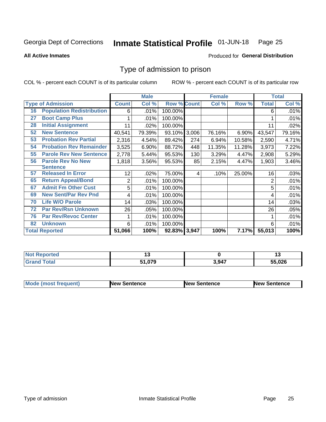#### Inmate Statistical Profile 01-JUN-18 Page 25

Produced for General Distribution

### **All Active Inmates**

# Type of admission to prison

COL % - percent each COUNT is of its particular column

|    |                                  |                 | <b>Male</b> |                    |       | <b>Female</b> |        |                | <b>Total</b> |
|----|----------------------------------|-----------------|-------------|--------------------|-------|---------------|--------|----------------|--------------|
|    | <b>Type of Admission</b>         | <b>Count</b>    | Col %       | <b>Row % Count</b> |       | Col %         | Row %  | <b>Total</b>   | Col %        |
| 16 | <b>Population Redistribution</b> | 6               | .01%        | 100.00%            |       |               |        | 6              | .01%         |
| 27 | <b>Boot Camp Plus</b>            |                 | .01%        | 100.00%            |       |               |        |                | .01%         |
| 28 | <b>Initial Assignment</b>        | 11              | .02%        | 100.00%            |       |               |        | 11             | .02%         |
| 52 | <b>New Sentence</b>              | 40,541          | 79.39%      | 93.10%             | 3,006 | 76.16%        | 6.90%  | 43,547         | 79.16%       |
| 53 | <b>Probation Rev Partial</b>     | 2,316           | 4.54%       | 89.42%             | 274   | 6.94%         | 10.58% | 2,590          | 4.71%        |
| 54 | <b>Probation Rev Remainder</b>   | 3,525           | 6.90%       | 88.72%             | 448   | 11.35%        | 11.28% | 3,973          | 7.22%        |
| 55 | <b>Parole Rev New Sentence</b>   | 2,778           | 5.44%       | 95.53%             | 130   | 3.29%         | 4.47%  | 2,908          | 5.29%        |
| 56 | <b>Parole Rev No New</b>         | 1,818           | 3.56%       | 95.53%             | 85    | 2.15%         | 4.47%  | 1,903          | 3.46%        |
|    | <b>Sentence</b>                  |                 |             |                    |       |               |        |                |              |
| 57 | <b>Released In Error</b>         | 12 <sub>2</sub> | $.02\%$     | 75.00%             | 4     | .10%          | 25.00% | 16             | .03%         |
| 65 | <b>Return Appeal/Bond</b>        | $\overline{2}$  | .01%        | 100.00%            |       |               |        | $\overline{2}$ | .01%         |
| 67 | <b>Admit Fm Other Cust</b>       | 5               | .01%        | 100.00%            |       |               |        | 5              | .01%         |
| 69 | <b>New Sent/Par Rev Pnd</b>      | 4               | .01%        | 100.00%            |       |               |        | 4              | .01%         |
| 70 | <b>Life W/O Parole</b>           | 14              | .03%        | 100.00%            |       |               |        | 14             | .03%         |
| 72 | <b>Par Rev/Rsn Unknown</b>       | 26              | .05%        | 100.00%            |       |               |        | 26             | .05%         |
| 76 | <b>Par Rev/Revoc Center</b>      | 1               | .01%        | 100.00%            |       |               |        |                | .01%         |
| 82 | <b>Unknown</b>                   | 6               | .01%        | 100.00%            |       |               |        | 6              | .01%         |
|    | <b>Total Reported</b>            | 51,066          | 100%        | 92.83% 3,947       |       | 100%          | 7.17%  | 55,013         | 100%         |

| <b>Not Reported</b> |        |       | . .    |
|---------------------|--------|-------|--------|
| <b>Total</b>        | 51,079 | 3,947 | 55,026 |

| <b>Mode (most frequent)</b> | <b>New Sentence</b> | <b>New Sentence</b> | <b>New Sentence</b> |
|-----------------------------|---------------------|---------------------|---------------------|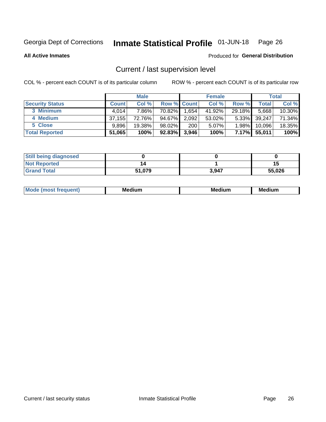#### Inmate Statistical Profile 01-JUN-18 Page 26

**All Active Inmates** 

### Produced for General Distribution

# Current / last supervision level

COL % - percent each COUNT is of its particular column

|                        |              | <b>Male</b> |                    |       | <b>Female</b> |          |        | <b>Total</b> |
|------------------------|--------------|-------------|--------------------|-------|---------------|----------|--------|--------------|
| <b>Security Status</b> | <b>Count</b> | Col %       | <b>Row % Count</b> |       | Col %         | Row %    | Total  | Col %        |
| 3 Minimum              | 4.014        | 7.86%l      | 70.82%             | 1,654 | 41.92%        | 29.18%   | 5,668  | 10.30%       |
| 4 Medium               | 37.155       | 72.76%      | 94.67%             | 2,092 | 53.02%        | $5.33\%$ | 39,247 | 71.34%       |
| 5 Close                | 9.896        | 19.38%      | 98.02%             | 200   | 5.07%         | 1.98%    | 10,096 | 18.35%       |
| <b>Total Reported</b>  | 51,065       | 100%        | $92.83\%$          | 3,946 | 100%          | $7.17\%$ | 55,011 | 100%         |

| <b>Still being diagnosed</b> |        |       |        |
|------------------------------|--------|-------|--------|
| <b>Not Reported</b>          |        |       | 15     |
| <b>Grand Total</b>           | 51,079 | 3,947 | 55,026 |

| M | . | -- |
|---|---|----|
|   |   |    |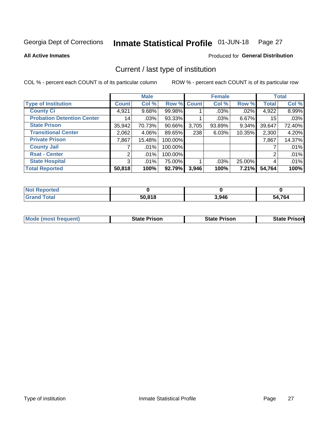#### Inmate Statistical Profile 01-JUN-18 Page 27

**All Active Inmates** 

### Produced for General Distribution

# Current / last type of institution

COL % - percent each COUNT is of its particular column

|                                   |                 | <b>Male</b> |             |       | <b>Female</b> |        |              | <b>Total</b> |
|-----------------------------------|-----------------|-------------|-------------|-------|---------------|--------|--------------|--------------|
| <b>Type of Institution</b>        | <b>Count</b>    | Col %       | Row % Count |       | Col %         | Row %  | <b>Total</b> | Col %        |
| <b>County Ci</b>                  | 4,921           | $9.68\%$    | 99.98%      |       | $.03\%$       | .02%   | 4,922        | 8.99%        |
| <b>Probation Detention Center</b> | 14 <sub>1</sub> | .03%        | 93.33%      |       | .03%          | 6.67%  | 15           | .03%         |
| <b>State Prison</b>               | 35,942          | 70.73%      | $90.66\%$   | 3,705 | 93.89%        | 9.34%  | 39,647       | 72.40%       |
| <b>Transitional Center</b>        | 2,062           | 4.06%       | 89.65%      | 238   | 6.03%         | 10.35% | 2,300        | 4.20%        |
| <b>Private Prison</b>             | 7,867           | 15.48%      | 100.00%     |       |               |        | 7,867        | 14.37%       |
| <b>County Jail</b>                |                 | .01%        | 100.00%     |       |               |        |              | .01%         |
| <b>Rsat - Center</b>              | 2 <sub>1</sub>  | $.01\%$     | 100.00%     |       |               |        | 2            | .01%         |
| <b>State Hospital</b>             | 3 <sup>1</sup>  | $.01\%$     | 75.00%      |       | .03%          | 25.00% | 4            | .01%         |
| <b>Total Reported</b>             | 50,818          | 100%        | 92.79%      | 3,946 | 100%          | 7.21%  | 54,764       | 100%         |

| $Not$<br>Reported  |        |       |              |
|--------------------|--------|-------|--------------|
| <b>Grand Total</b> | 50.818 | 3,946 | 4,764<br>54. |

| <b>Mode (most frequent)</b> | <b>State Prison</b> | <b>State Prison</b> | <b>State Prisonl</b> |
|-----------------------------|---------------------|---------------------|----------------------|
|                             |                     |                     |                      |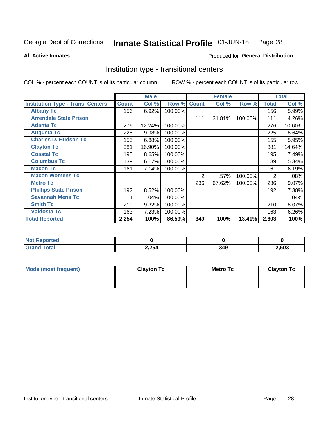#### Inmate Statistical Profile 01-JUN-18 Page 28

**All Active Inmates** 

### Produced for General Distribution

# Institution type - transitional centers

COL % - percent each COUNT is of its particular column

|                                          |              | <b>Male</b> |         |              | <b>Female</b> |         |              | <b>Total</b> |
|------------------------------------------|--------------|-------------|---------|--------------|---------------|---------|--------------|--------------|
| <b>Institution Type - Trans. Centers</b> | <b>Count</b> | Col %       | Row %   | <b>Count</b> | Col %         | Row %   | <b>Total</b> | Col %        |
| <b>Albany Tc</b>                         | 156          | 6.92%       | 100.00% |              |               |         | 156          | 5.99%        |
| <b>Arrendale State Prison</b>            |              |             |         | 111          | 31.81%        | 100.00% | 111          | 4.26%        |
| <b>Atlanta Tc</b>                        | 276          | 12.24%      | 100.00% |              |               |         | 276          | 10.60%       |
| <b>Augusta Tc</b>                        | 225          | 9.98%       | 100.00% |              |               |         | 225          | 8.64%        |
| <b>Charles D. Hudson Tc</b>              | 155          | 6.88%       | 100.00% |              |               |         | 155          | 5.95%        |
| <b>Clayton Tc</b>                        | 381          | 16.90%      | 100.00% |              |               |         | 381          | 14.64%       |
| <b>Coastal Tc</b>                        | 195          | 8.65%       | 100.00% |              |               |         | 195          | 7.49%        |
| <b>Columbus Tc</b>                       | 139          | 6.17%       | 100.00% |              |               |         | 139          | 5.34%        |
| <b>Macon Tc</b>                          | 161          | 7.14%       | 100.00% |              |               |         | 161          | 6.19%        |
| <b>Macon Womens Tc</b>                   |              |             |         | 2            | .57%          | 100.00% | 2            | .08%         |
| <b>Metro Tc</b>                          |              |             |         | 236          | 67.62%        | 100.00% | 236          | 9.07%        |
| <b>Phillips State Prison</b>             | 192          | 8.52%       | 100.00% |              |               |         | 192          | 7.38%        |
| <b>Savannah Mens Tc</b>                  |              | .04%        | 100.00% |              |               |         |              | .04%         |
| <b>Smith Tc</b>                          | 210          | 9.32%       | 100.00% |              |               |         | 210          | 8.07%        |
| <b>Valdosta Tc</b>                       | 163          | 7.23%       | 100.00% |              |               |         | 163          | 6.26%        |
| <b>Total Reported</b>                    | 2,254        | 100%        | 86.59%  | 349          | 100%          | 13.41%  | 2,603        | 100%         |

| τeα         |       |            |      |
|-------------|-------|------------|------|
| $\sim$ 0000 | 2,254 | ` 40<br>л. | ,603 |

| Mode (most frequent) | <b>Clayton Tc</b> | Metro Tc | <b>Clayton Tc</b> |
|----------------------|-------------------|----------|-------------------|
|                      |                   |          |                   |
|                      |                   |          |                   |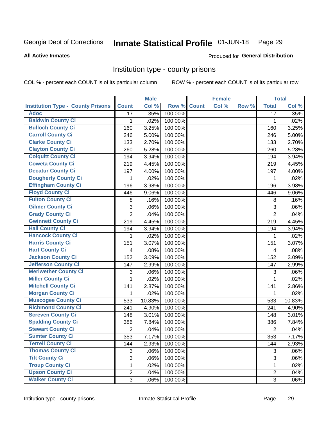#### Inmate Statistical Profile 01-JUN-18 Page 29

### **All Active Inmates**

# Produced for General Distribution

## Institution type - county prisons

COL % - percent each COUNT is of its particular column

|                                          |                 | <b>Male</b> |         |              | <b>Female</b> |       |                         | <b>Total</b> |
|------------------------------------------|-----------------|-------------|---------|--------------|---------------|-------|-------------------------|--------------|
| <b>Institution Type - County Prisons</b> | <b>Count</b>    | Col %       | Row %   | <b>Count</b> | Col %         | Row % | <b>Total</b>            | Col %        |
| <b>Adoc</b>                              | $\overline{17}$ | .35%        | 100.00% |              |               |       | $\overline{17}$         | .35%         |
| <b>Baldwin County Ci</b>                 | 1               | .02%        | 100.00% |              |               |       | 1                       | .02%         |
| <b>Bulloch County Ci</b>                 | 160             | 3.25%       | 100.00% |              |               |       | 160                     | 3.25%        |
| <b>Carroll County Ci</b>                 | 246             | 5.00%       | 100.00% |              |               |       | 246                     | 5.00%        |
| <b>Clarke County Ci</b>                  | 133             | 2.70%       | 100.00% |              |               |       | 133                     | 2.70%        |
| <b>Clayton County Ci</b>                 | 260             | 5.28%       | 100.00% |              |               |       | 260                     | 5.28%        |
| <b>Colquitt County Ci</b>                | 194             | 3.94%       | 100.00% |              |               |       | 194                     | 3.94%        |
| <b>Coweta County Ci</b>                  | 219             | 4.45%       | 100.00% |              |               |       | 219                     | 4.45%        |
| <b>Decatur County Ci</b>                 | 197             | 4.00%       | 100.00% |              |               |       | 197                     | 4.00%        |
| <b>Dougherty County Ci</b>               | 1               | .02%        | 100.00% |              |               |       | 1                       | .02%         |
| <b>Effingham County Ci</b>               | 196             | 3.98%       | 100.00% |              |               |       | 196                     | 3.98%        |
| <b>Floyd County Ci</b>                   | 446             | 9.06%       | 100.00% |              |               |       | 446                     | 9.06%        |
| <b>Fulton County Ci</b>                  | 8               | .16%        | 100.00% |              |               |       | 8                       | .16%         |
| <b>Gilmer County Ci</b>                  | 3               | .06%        | 100.00% |              |               |       | 3                       | .06%         |
| <b>Grady County Ci</b>                   | $\overline{2}$  | .04%        | 100.00% |              |               |       | $\overline{2}$          | .04%         |
| <b>Gwinnett County Ci</b>                | 219             | 4.45%       | 100.00% |              |               |       | 219                     | 4.45%        |
| <b>Hall County Ci</b>                    | 194             | 3.94%       | 100.00% |              |               |       | 194                     | 3.94%        |
| <b>Hancock County Ci</b>                 | 1               | .02%        | 100.00% |              |               |       | 1                       | .02%         |
| <b>Harris County Ci</b>                  | 151             | 3.07%       | 100.00% |              |               |       | 151                     | 3.07%        |
| <b>Hart County Ci</b>                    | 4               | .08%        | 100.00% |              |               |       | $\overline{\mathbf{4}}$ | .08%         |
| <b>Jackson County Ci</b>                 | 152             | 3.09%       | 100.00% |              |               |       | 152                     | 3.09%        |
| Jefferson County Ci                      | 147             | 2.99%       | 100.00% |              |               |       | 147                     | 2.99%        |
| <b>Meriwether County Ci</b>              | 3               | .06%        | 100.00% |              |               |       | 3                       | .06%         |
| <b>Miller County Ci</b>                  | 1               | .02%        | 100.00% |              |               |       | $\mathbf 1$             | .02%         |
| <b>Mitchell County Ci</b>                | 141             | 2.87%       | 100.00% |              |               |       | 141                     | 2.86%        |
| <b>Morgan County Ci</b>                  | 1               | .02%        | 100.00% |              |               |       | 1                       | .02%         |
| <b>Muscogee County Ci</b>                | 533             | 10.83%      | 100.00% |              |               |       | 533                     | 10.83%       |
| <b>Richmond County Ci</b>                | 241             | 4.90%       | 100.00% |              |               |       | 241                     | 4.90%        |
| <b>Screven County Ci</b>                 | 148             | 3.01%       | 100.00% |              |               |       | 148                     | 3.01%        |
| <b>Spalding County Ci</b>                | 386             | 7.84%       | 100.00% |              |               |       | 386                     | 7.84%        |
| <b>Stewart County Ci</b>                 | $\overline{c}$  | .04%        | 100.00% |              |               |       | $\overline{2}$          | .04%         |
| <b>Sumter County Ci</b>                  | 353             | 7.17%       | 100.00% |              |               |       | 353                     | 7.17%        |
| <b>Terrell County Ci</b>                 | 144             | 2.93%       | 100.00% |              |               |       | 144                     | 2.93%        |
| <b>Thomas County Ci</b>                  | 3               | .06%        | 100.00% |              |               |       | 3                       | .06%         |
| <b>Tift County Ci</b>                    | $\overline{3}$  | .06%        | 100.00% |              |               |       | 3                       | .06%         |
| <b>Troup County Ci</b>                   | 1               | .02%        | 100.00% |              |               |       | 1                       | .02%         |
| <b>Upson County Ci</b>                   | $\overline{2}$  | .04%        | 100.00% |              |               |       | $\overline{2}$          | .04%         |
| <b>Walker County Ci</b>                  | 3               | .06%        | 100.00% |              |               |       | 3                       | .06%         |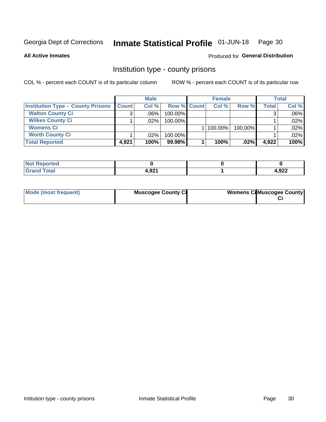#### Inmate Statistical Profile 01-JUN-18 Page 30

### **All Active Inmates**

## Produced for General Distribution

# Institution type - county prisons

COL % - percent each COUNT is of its particular column

|                                          |              | <b>Male</b> |                    | <b>Female</b> |         |       | <b>Total</b> |
|------------------------------------------|--------------|-------------|--------------------|---------------|---------|-------|--------------|
| <b>Institution Type - County Prisons</b> | <b>Count</b> | Col%        | <b>Row % Count</b> | Col%          | Row %   | Total | Col %        |
| <b>Walton County Ci</b>                  | 3            | $.06\%$     | 100.00%            |               |         |       | $.06\%$      |
| <b>Wilkes County Ci</b>                  |              | $.02\%$     | 100.00%            |               |         |       | $.02\%$      |
| <b>Womens Ci</b>                         |              |             |                    | $ 100.00\% $  | 100.00% |       | .02%         |
| <b>Worth County Ci</b>                   |              | $.02\%$     | 100.00%            |               |         |       | $.02\%$      |
| <b>Total Reported</b>                    | 4,921        | 100%        | 99.98%             | 100%          | .02%    | 4,922 | 100%         |

| Reported<br>$\sim$  |                 |       |
|---------------------|-----------------|-------|
| <b>ota</b><br>_____ | റാ<br>$-1,32$ . | 4,922 |

| Mode (most frequent) | <b>Muscogee County Ci</b> | <b>Womens Ci</b> Muscogee County |
|----------------------|---------------------------|----------------------------------|
|                      |                           |                                  |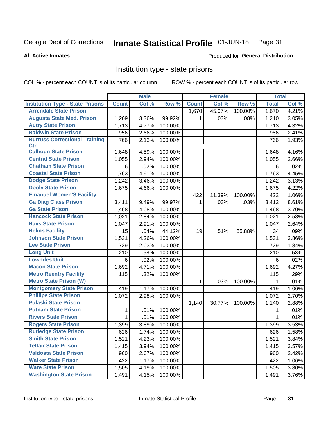#### Inmate Statistical Profile 01-JUN-18 Page 31

Produced for General Distribution

### **All Active Inmates**

# Institution type - state prisons

COL % - percent each COUNT is of its particular column

|                                         |              | <b>Male</b> |         |              | <b>Female</b> |         | <b>Total</b> |         |
|-----------------------------------------|--------------|-------------|---------|--------------|---------------|---------|--------------|---------|
| <b>Institution Type - State Prisons</b> | <b>Count</b> | Col %       | Row %   | <b>Count</b> | Col %         | Row %   | <b>Total</b> | Col %   |
| <b>Arrendale State Prison</b>           |              |             |         | 1,670        | 45.07%        | 100.00% | 1,670        | 4.21%   |
| <b>Augusta State Med. Prison</b>        | 1,209        | 3.36%       | 99.92%  | 1.           | .03%          | .08%    | 1,210        | 3.05%   |
| <b>Autry State Prison</b>               | 1,713        | 4.77%       | 100.00% |              |               |         | 1,713        | 4.32%   |
| <b>Baldwin State Prison</b>             | 956          | 2.66%       | 100.00% |              |               |         | 956          | 2.41%   |
| <b>Burruss Correctional Training</b>    | 766          | 2.13%       | 100.00% |              |               |         | 766          | 1.93%   |
| <b>Ctr</b>                              |              |             |         |              |               |         |              |         |
| <b>Calhoun State Prison</b>             | 1,648        | 4.59%       | 100.00% |              |               |         | 1,648        | 4.16%   |
| <b>Central State Prison</b>             | 1,055        | 2.94%       | 100.00% |              |               |         | 1,055        | 2.66%   |
| <b>Chatham State Prison</b>             | 6            | .02%        | 100.00% |              |               |         | 6            | .02%    |
| <b>Coastal State Prison</b>             | 1,763        | 4.91%       | 100.00% |              |               |         | 1,763        | 4.45%   |
| <b>Dodge State Prison</b>               | 1,242        | 3.46%       | 100.00% |              |               |         | 1,242        | 3.13%   |
| <b>Dooly State Prison</b>               | 1,675        | 4.66%       | 100.00% |              |               |         | 1,675        | 4.22%   |
| <b>Emanuel Women'S Facility</b>         |              |             |         | 422          | 11.39%        | 100.00% | 422          | 1.06%   |
| <b>Ga Diag Class Prison</b>             | 3,411        | 9.49%       | 99.97%  | 1.           | .03%          | .03%    | 3,412        | 8.61%   |
| <b>Ga State Prison</b>                  | 1,468        | 4.08%       | 100.00% |              |               |         | 1,468        | 3.70%   |
| <b>Hancock State Prison</b>             | 1,021        | 2.84%       | 100.00% |              |               |         | 1,021        | 2.58%   |
| <b>Hays State Prison</b>                | 1,047        | 2.91%       | 100.00% |              |               |         | 1,047        | 2.64%   |
| <b>Helms Facility</b>                   | 15           | .04%        | 44.12%  | 19           | .51%          | 55.88%  | 34           | .09%    |
| <b>Johnson State Prison</b>             | 1,531        | 4.26%       | 100.00% |              |               |         | 1,531        | 3.86%   |
| <b>Lee State Prison</b>                 | 729          | 2.03%       | 100.00% |              |               |         | 729          | 1.84%   |
| <b>Long Unit</b>                        | 210          | .58%        | 100.00% |              |               |         | 210          | .53%    |
| <b>Lowndes Unit</b>                     | 6            | .02%        | 100.00% |              |               |         | 6            | .02%    |
| <b>Macon State Prison</b>               | 1,692        | 4.71%       | 100.00% |              |               |         | 1,692        | 4.27%   |
| <b>Metro Reentry Facility</b>           | 115          | .32%        | 100.00% |              |               |         | 115          | .29%    |
| <b>Metro State Prison (W)</b>           |              |             |         | $\mathbf{1}$ | .03%          | 100.00% | 1            | $.01\%$ |
| <b>Montgomery State Prison</b>          | 419          | 1.17%       | 100.00% |              |               |         | 419          | 1.06%   |
| <b>Phillips State Prison</b>            | 1,072        | 2.98%       | 100.00% |              |               |         | 1,072        | 2.70%   |
| <b>Pulaski State Prison</b>             |              |             |         | 1,140        | 30.77%        | 100.00% | 1,140        | 2.88%   |
| <b>Putnam State Prison</b>              | 1            | .01%        | 100.00% |              |               |         |              | .01%    |
| <b>Rivers State Prison</b>              | $\mathbf{1}$ | .01%        | 100.00% |              |               |         | 1            | $.01\%$ |
| <b>Rogers State Prison</b>              | 1,399        | 3.89%       | 100.00% |              |               |         | 1,399        | 3.53%   |
| <b>Rutledge State Prison</b>            | 626          | 1.74%       | 100.00% |              |               |         | 626          | 1.58%   |
| <b>Smith State Prison</b>               | 1,521        | 4.23%       | 100.00% |              |               |         | 1,521        | 3.84%   |
| <b>Telfair State Prison</b>             | 1,415        | 3.94%       | 100.00% |              |               |         | 1,415        | 3.57%   |
| <b>Valdosta State Prison</b>            | 960          | 2.67%       | 100.00% |              |               |         | 960          | 2.42%   |
| <b>Walker State Prison</b>              | 422          | 1.17%       | 100.00% |              |               |         | 422          | 1.06%   |
| <b>Ware State Prison</b>                | 1,505        | 4.19%       | 100.00% |              |               |         | 1,505        | 3.80%   |
| <b>Washington State Prison</b>          | 1,491        | 4.15%       | 100.00% |              |               |         | 1,491        | 3.76%   |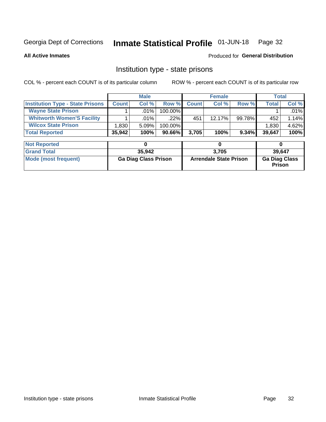#### Inmate Statistical Profile 01-JUN-18 Page 32

**All Active Inmates** 

### Produced for General Distribution

# Institution type - state prisons

COL % - percent each COUNT is of its particular column

|                                         |              | <b>Male</b> |            |              | <b>Female</b> |        |        | Total |
|-----------------------------------------|--------------|-------------|------------|--------------|---------------|--------|--------|-------|
| <b>Institution Type - State Prisons</b> | <b>Count</b> | Col %       | Row %      | <b>Count</b> | Col %         | Row %  | Total  | Col % |
| <b>Wayne State Prison</b>               |              | $.01\%$     | $100.00\%$ |              |               |        |        | .01%  |
| <b>Whitworth Women'S Facility</b>       |              | $.01\%$     | $.22\%$    | 451          | 12.17%        | 99.78% | 452    | 1.14% |
| <b>Wilcox State Prison</b>              | .830         | 5.09%       | $100.00\%$ |              |               |        | 1,830  | 4.62% |
| <b>Total Reported</b>                   | 35,942       | 100%        | $90.66\%$  | 3.705        | 100%          | 9.34%  | 39,647 | 100%  |

| <b>Not Reported</b>  |                             |                               |                                       |
|----------------------|-----------------------------|-------------------------------|---------------------------------------|
| <b>Grand Total</b>   | 35,942                      | 3.705                         | 39.647                                |
| Mode (most frequent) | <b>Ga Diag Class Prison</b> | <b>Arrendale State Prison</b> | <b>Ga Diag Class</b><br><b>Prison</b> |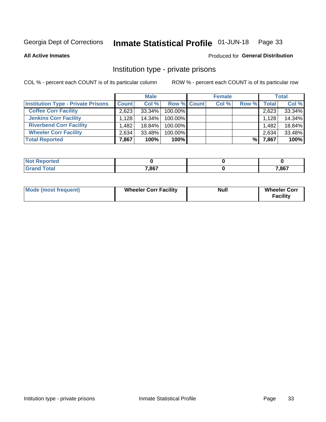#### Inmate Statistical Profile 01-JUN-18 Page 33

**All Active Inmates** 

### Produced for General Distribution

# Institution type - private prisons

COL % - percent each COUNT is of its particular column

|                                           |              | <b>Male</b> |                    | <b>Female</b> |       |       | <b>Total</b> |
|-------------------------------------------|--------------|-------------|--------------------|---------------|-------|-------|--------------|
| <b>Institution Type - Private Prisons</b> | <b>Count</b> | Col %       | <b>Row % Count</b> | Col %         | Row % | Total | Col %        |
| <b>Coffee Corr Facility</b>               | 2.623        | 33.34%      | 100.00%            |               |       | 2,623 | 33.34%       |
| <b>Jenkins Corr Facility</b>              | 1,128        | 14.34%      | 100.00%            |               |       | 1,128 | 14.34%       |
| <b>Riverbend Corr Facility</b>            | .482         | 18.84%      | 100.00%            |               |       | 1,482 | 18.84%       |
| <b>Wheeler Corr Facility</b>              | 2.634        | 33.48%      | 100.00%            |               |       | 2,634 | 33.48%       |
| <b>Total Reported</b>                     | 7,867        | 100%        | $100\%$            |               | %     | 7,867 | 100%         |

| oorted<br>NO |       |       |
|--------------|-------|-------|
| int          | 7,867 | 7,867 |

| <b>Mode (most frequent)</b> | <b>Wheeler Corr Facility</b> | <b>Null</b> | <b>Wheeler Corr</b><br><b>Facility</b> |
|-----------------------------|------------------------------|-------------|----------------------------------------|
|-----------------------------|------------------------------|-------------|----------------------------------------|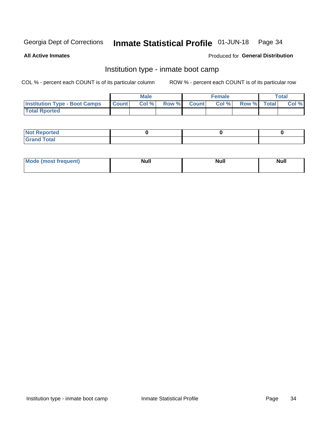#### Inmate Statistical Profile 01-JUN-18 Page 34

**All Active Inmates** 

### Produced for General Distribution

# Institution type - inmate boot camp

COL % - percent each COUNT is of its particular column

|                                      |                  | <b>Male</b> |              |              | <b>Female</b> |             | <b>Total</b> |
|--------------------------------------|------------------|-------------|--------------|--------------|---------------|-------------|--------------|
| <b>Institution Type - Boot Camps</b> | <b>I</b> Count I | Col %       | <b>Row %</b> | <b>Count</b> | Col %         | Row % Total | Col %        |
| <b>Total Rported</b>                 |                  |             |              |              |               |             |              |

| <b>Not Reported</b>            |  |  |
|--------------------------------|--|--|
| <b>Total</b><br>C <sub>r</sub> |  |  |

| Mod<br>uamo | Nul.<br>$- - - - - -$ | <b>Null</b> | . .<br>uu.<br>------ |
|-------------|-----------------------|-------------|----------------------|
|             |                       |             |                      |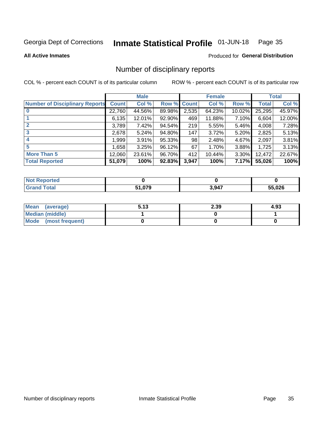#### Inmate Statistical Profile 01-JUN-18 Page 35

### **All Active Inmates**

### Produced for General Distribution

# Number of disciplinary reports

COL % - percent each COUNT is of its particular column

|                                       |              | <b>Male</b> |        |              | <b>Female</b> |          |              | <b>Total</b> |
|---------------------------------------|--------------|-------------|--------|--------------|---------------|----------|--------------|--------------|
| <b>Number of Disciplinary Reports</b> | <b>Count</b> | Col %       | Row %  | <b>Count</b> | Col %         | Row %    | <b>Total</b> | Col %        |
|                                       | 22,760       | 44.56%      | 89.98% | 2,535        | 64.23%        | 10.02%   | 25,295       | 45.97%       |
|                                       | 6,135        | 12.01%      | 92.90% | 469          | 11.88%        | $7.10\%$ | 6,604        | 12.00%       |
| $\mathbf{2}$                          | 3,789        | 7.42%       | 94.54% | 219          | 5.55%         | $5.46\%$ | 4,008        | 7.28%        |
| 3                                     | 2,678        | 5.24%       | 94.80% | 147          | 3.72%         | $5.20\%$ | 2,825        | 5.13%        |
|                                       | 1,999        | $3.91\%$    | 95.33% | 98           | 2.48%         | 4.67%    | 2,097        | 3.81%        |
| 5                                     | 1,658        | 3.25%       | 96.12% | 67           | 1.70%         | 3.88%    | 1,725        | 3.13%        |
| <b>More Than 5</b>                    | 12,060       | 23.61%      | 96.70% | 412          | 10.44%        | 3.30%    | 12,472       | 22.67%       |
| <b>Total Reported</b>                 | 51,079       | 100%        | 92.83% | 3,947        | 100%          | 7.17%    | 55,026       | 100%         |

| orted<br><b>NOT</b> |                 |       |        |
|---------------------|-----------------|-------|--------|
| Total               | ሰ70<br>- 1.VI J | 3,947 | 55.026 |

| Mean (average)       | 5.13 | 2.39 | 4.93 |
|----------------------|------|------|------|
| Median (middle)      |      |      |      |
| Mode (most frequent) |      |      |      |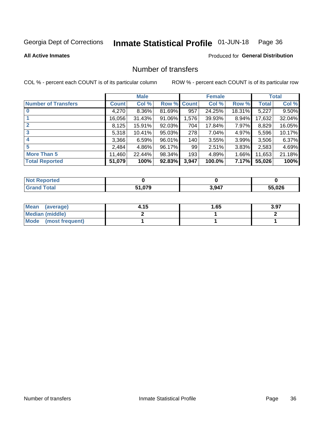#### Inmate Statistical Profile 01-JUN-18 Page 36

### **All Active Inmates**

### **Produced for General Distribution**

# Number of transfers

COL % - percent each COUNT is of its particular column

|                            |              | <b>Male</b> |             |       | <b>Female</b> |        |        | <b>Total</b> |
|----------------------------|--------------|-------------|-------------|-------|---------------|--------|--------|--------------|
| <b>Number of Transfers</b> | <b>Count</b> | Col %       | Row % Count |       | Col %         | Row %  | Total  | Col %        |
|                            | 4,270        | 8.36%       | 81.69%      | 957   | 24.25%        | 18.31% | 5,227  | 9.50%        |
|                            | 16,056       | 31.43%      | 91.06%      | 1,576 | 39.93%        | 8.94%  | 17,632 | 32.04%       |
| $\mathbf{2}$               | 8,125        | 15.91%      | 92.03%      | 704   | 17.84%        | 7.97%  | 8,829  | 16.05%       |
| 3                          | 5,318        | 10.41%      | $95.03\%$   | 278   | 7.04%         | 4.97%  | 5,596  | 10.17%       |
|                            | 3,366        | 6.59%       | 96.01%      | 140   | 3.55%         | 3.99%  | 3,506  | 6.37%        |
| 5                          | 2,484        | 4.86%       | 96.17%      | 99    | 2.51%         | 3.83%  | 2,583  | 4.69%        |
| <b>More Than 5</b>         | 11,460       | 22.44%      | 98.34%      | 193   | 4.89%         | 1.66%  | 11,653 | 21.18%       |
| <b>Total Reported</b>      | 51,079       | 100%        | 92.83%      | 3,947 | 100.0%        | 7.17%  | 55,026 | 100%         |

| orted<br><b>NOT</b> |                 |       |        |
|---------------------|-----------------|-------|--------|
| Total               | ሰ70<br>- 1.VI J | 3,947 | 55.026 |

| Mean (average)       | 4.15 | 1.65 | 3.97 |
|----------------------|------|------|------|
| Median (middle)      |      |      |      |
| Mode (most frequent) |      |      |      |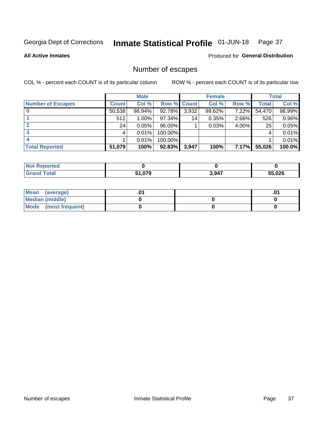#### Inmate Statistical Profile 01-JUN-18 Page 37

**All Active Inmates** 

### Produced for General Distribution

# Number of escapes

COL % - percent each COUNT is of its particular column

|                          |              | <b>Male</b> |             |       | <b>Female</b> |              |        | <b>Total</b> |
|--------------------------|--------------|-------------|-------------|-------|---------------|--------------|--------|--------------|
| <b>Number of Escapes</b> | <b>Count</b> | Col %       | Row % Count |       | Col %         | Row %        | Total  | Col %        |
|                          | 50,538       | 98.94%      | 92.78%      | 3,932 | 99.62%        | 7.22%        | 54,470 | 98.99%       |
|                          | 512          | $1.00\%$    | 97.34%      | 14    | 0.35%         | 2.66%        | 526    | 0.96%        |
|                          | 24           | 0.05%       | 96.00%      |       | 0.03%         | 4.00%        | 25     | 0.05%        |
|                          |              | 0.01%       | 100.00%     |       |               |              |        | 0.01%        |
|                          |              | 0.01%       | 100.00%     |       |               |              |        | 0.01%        |
| <b>Total Reported</b>    | 51,079       | 100%        | $92.83\%$   | 3,947 | 100%          | <b>7.17%</b> | 55,026 | 100.0%       |

| <b>Not Reported</b> |        |       |        |
|---------------------|--------|-------|--------|
| Total               | 51,079 | 3,947 | 55,026 |

| Mean (average)       |  | .0 <sup>1</sup> |
|----------------------|--|-----------------|
| Median (middle)      |  |                 |
| Mode (most frequent) |  |                 |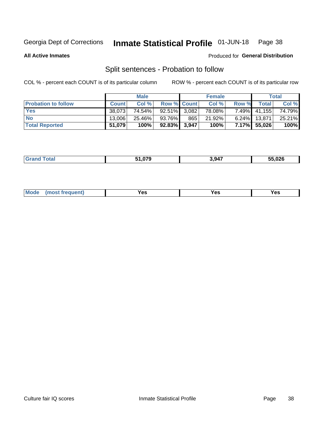#### Inmate Statistical Profile 01-JUN-18 Page 38

**All Active Inmates** 

### Produced for General Distribution

# Split sentences - Probation to follow

COL % - percent each COUNT is of its particular column

|                            |              | <b>Male</b> |                    |     | <b>Female</b> |          |                | <b>Total</b> |
|----------------------------|--------------|-------------|--------------------|-----|---------------|----------|----------------|--------------|
| <b>Probation to follow</b> | <b>Count</b> | Col%        | <b>Row % Count</b> |     | Col %         | Row %    | <b>Total</b> i | Col %        |
| <b>Yes</b>                 | 38.073       | 74.54%      | $92.51\%$ 3.082    |     | 78.08%        | $7.49\%$ | 41,155         | 74.79%       |
| <b>No</b>                  | 13.006       | 25.46%      | 93.76%             | 865 | 21.92%        | $6.24\%$ | 13,871         | 25.21%       |
| <b>Total Reported</b>      | 51,079       | 100%        | 92.83% 3,947       |     | 100%          |          | 7.17% 55,026   | 100%         |

| ________ | <b>FA 670</b><br> | 3.947 | 55,026 |
|----------|-------------------|-------|--------|
|          |                   |       |        |

| M<br>reauent)<br>/٥<br>$\sim$<br>v.,<br>.<br>w<br>$\cdot$ - $\cdot$ |  |  |  |  |  |
|---------------------------------------------------------------------|--|--|--|--|--|
|---------------------------------------------------------------------|--|--|--|--|--|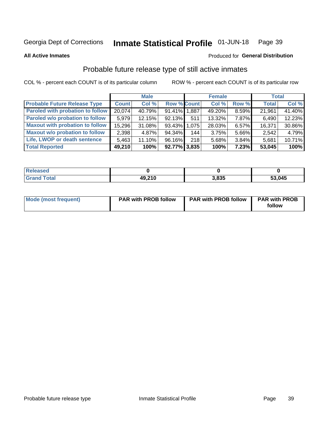#### Inmate Statistical Profile 01-JUN-18 Page 39

**All Active Inmates** 

### Produced for General Distribution

# Probable future release type of still active inmates

COL % - percent each COUNT is of its particular column

|                                         |              | <b>Male</b> |                    |     | <b>Female</b> |       | <b>Total</b> |        |
|-----------------------------------------|--------------|-------------|--------------------|-----|---------------|-------|--------------|--------|
| <b>Probable Future Release Type</b>     | <b>Count</b> | Col %       | <b>Row % Count</b> |     | Col %         | Row % | <b>Total</b> | Col %  |
| <b>Paroled with probation to follow</b> | 20,074       | 40.79%      | 91.41% 1.887       |     | 49.20%        | 8.59% | 21,961       | 41.40% |
| Paroled w/o probation to follow         | 5.979        | 12.15%      | 92.13%             | 511 | 13.32%        | 7.87% | 6,490        | 12.23% |
| <b>Maxout with probation to follow</b>  | 15,296       | 31.08%      | 93.43% 1.075       |     | 28.03%        | 6.57% | 16,371       | 30.86% |
| <b>Maxout w/o probation to follow</b>   | 2,398        | 4.87%       | 94.34%             | 144 | 3.75%         | 5.66% | 2,542        | 4.79%  |
| Life, LWOP or death sentence            | 5,463        | 11.10%      | 96.16%             | 218 | 5.68%         | 3.84% | 5,681        | 10.71% |
| <b>Total Reported</b>                   | 49,210       | 100%        | $92.77\%$ 3,835    |     | 100%          | 7.23% | 53,045       | 100%   |

| .eleased     |        |                |        |
|--------------|--------|----------------|--------|
| <b>cotal</b> | 49 210 | חפס פ<br>ა.ია: | 53,045 |

| Mode (most frequent) | <b>PAR with PROB follow</b> | <b>PAR with PROB follow</b> | <b>PAR with PROB</b><br>follow |
|----------------------|-----------------------------|-----------------------------|--------------------------------|
|                      |                             |                             |                                |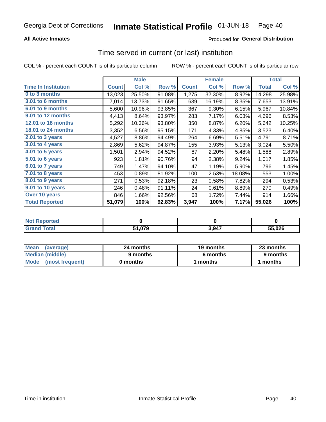### **All Active Inmates**

### Produced for General Distribution

## Time served in current (or last) institution

COL % - percent each COUNT is of its particular column

|                            |              | <b>Male</b> |        |              | <b>Female</b> |        |              | <b>Total</b> |
|----------------------------|--------------|-------------|--------|--------------|---------------|--------|--------------|--------------|
| <b>Time In Institution</b> | <b>Count</b> | Col %       | Row %  | <b>Count</b> | Col %         | Row %  | <b>Total</b> | Col %        |
| 0 to 3 months              | 13,023       | 25.50%      | 91.08% | 1,275        | 32.30%        | 8.92%  | 14,298       | 25.98%       |
| 3.01 to 6 months           | 7,014        | 13.73%      | 91.65% | 639          | 16.19%        | 8.35%  | 7,653        | 13.91%       |
| 6.01 to 9 months           | 5,600        | 10.96%      | 93.85% | 367          | 9.30%         | 6.15%  | 5,967        | 10.84%       |
| 9.01 to 12 months          | 4,413        | 8.64%       | 93.97% | 283          | 7.17%         | 6.03%  | 4,696        | 8.53%        |
| 12.01 to 18 months         | 5,292        | 10.36%      | 93.80% | 350          | 8.87%         | 6.20%  | 5,642        | 10.25%       |
| <b>18.01 to 24 months</b>  | 3,352        | 6.56%       | 95.15% | 171          | 4.33%         | 4.85%  | 3,523        | 6.40%        |
| 2.01 to 3 years            | 4,527        | 8.86%       | 94.49% | 264          | 6.69%         | 5.51%  | 4,791        | 8.71%        |
| 3.01 to 4 years            | 2,869        | 5.62%       | 94.87% | 155          | 3.93%         | 5.13%  | 3,024        | 5.50%        |
| $4.01$ to 5 years          | 1,501        | 2.94%       | 94.52% | 87           | 2.20%         | 5.48%  | 1,588        | 2.89%        |
| 5.01 to 6 years            | 923          | 1.81%       | 90.76% | 94           | 2.38%         | 9.24%  | 1,017        | 1.85%        |
| 6.01 to 7 years            | 749          | 1.47%       | 94.10% | 47           | 1.19%         | 5.90%  | 796          | 1.45%        |
| 7.01 to 8 years            | 453          | 0.89%       | 81.92% | 100          | 2.53%         | 18.08% | 553          | 1.00%        |
| $8.01$ to 9 years          | 271          | 0.53%       | 92.18% | 23           | 0.58%         | 7.82%  | 294          | 0.53%        |
| 9.01 to 10 years           | 246          | 0.48%       | 91.11% | 24           | 0.61%         | 8.89%  | 270          | 0.49%        |
| Over 10 years              | 846          | 1.66%       | 92.56% | 68           | 1.72%         | 7.44%  | 914          | 1.66%        |
| <b>Total Reported</b>      | 51,079       | 100%        | 92.83% | 3,947        | 100%          | 7.17%  | 55,026       | 100%         |

| <b>NOT</b><br>meo |                 |       |        |
|-------------------|-----------------|-------|--------|
|                   | . 079، ،<br>- 4 | 2 Q17 | 55.026 |

| <b>Mean</b><br>(average) | 24 months | 19 months | 23 months |  |
|--------------------------|-----------|-----------|-----------|--|
| Median (middle)          | 9 months  | 6 months  | 9 months  |  |
| Mode<br>(most frequent)  | 0 months  | months    | months    |  |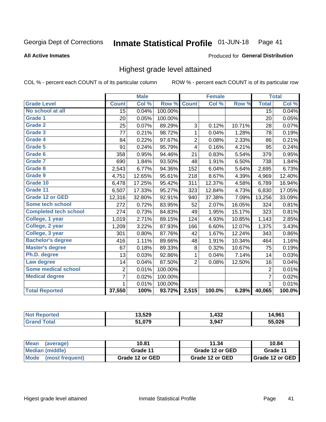#### Inmate Statistical Profile 01-JUN-18 Page 41

#### **All Active Inmates**

## Produced for General Distribution

## Highest grade level attained

COL % - percent each COUNT is of its particular column

|                              |                 | <b>Male</b> |         |                | <b>Female</b> |        |                 | <b>Total</b> |
|------------------------------|-----------------|-------------|---------|----------------|---------------|--------|-----------------|--------------|
| <b>Grade Level</b>           | <b>Count</b>    | Col %       | Row %   | <b>Count</b>   | Col %         | Row %  | <b>Total</b>    | Col %        |
| No school at all             | $\overline{15}$ | 0.04%       | 100.00% |                |               |        | $\overline{15}$ | 0.04%        |
| <b>Grade 1</b>               | 20              | 0.05%       | 100.00% |                |               |        | 20              | 0.05%        |
| <b>Grade 2</b>               | 25              | 0.07%       | 89.29%  | 3              | 0.12%         | 10.71% | 28              | 0.07%        |
| Grade 3                      | 77              | 0.21%       | 98.72%  | 1              | 0.04%         | 1.28%  | 78              | 0.19%        |
| Grade 4                      | 84              | 0.22%       | 97.67%  | $\overline{2}$ | 0.08%         | 2.33%  | 86              | 0.21%        |
| Grade 5                      | 91              | 0.24%       | 95.79%  | 4              | 0.16%         | 4.21%  | 95              | 0.24%        |
| Grade 6                      | 358             | 0.95%       | 94.46%  | 21             | 0.83%         | 5.54%  | 379             | 0.95%        |
| <b>Grade 7</b>               | 690             | 1.84%       | 93.50%  | 48             | 1.91%         | 6.50%  | 738             | 1.84%        |
| Grade 8                      | 2,543           | 6.77%       | 94.36%  | 152            | 6.04%         | 5.64%  | 2,695           | 6.73%        |
| Grade 9                      | 4,751           | 12.65%      | 95.61%  | 218            | 8.67%         | 4.39%  | 4,969           | 12.40%       |
| Grade 10                     | 6,478           | 17.25%      | 95.42%  | 311            | 12.37%        | 4.58%  | 6,789           | 16.94%       |
| Grade 11                     | 6,507           | 17.33%      | 95.27%  | 323            | 12.84%        | 4.73%  | 6,830           | 17.05%       |
| <b>Grade 12 or GED</b>       | 12,316          | 32.80%      | 92.91%  | 940            | 37.38%        | 7.09%  | 13,256          | 33.09%       |
| <b>Some tech school</b>      | 272             | 0.72%       | 83.95%  | 52             | 2.07%         | 16.05% | 324             | 0.81%        |
| <b>Completed tech school</b> | 274             | 0.73%       | 84.83%  | 49             | 1.95%         | 15.17% | 323             | 0.81%        |
| College, 1 year              | 1,019           | 2.71%       | 89.15%  | 124            | 4.93%         | 10.85% | 1,143           | 2.85%        |
| College, 2 year              | 1,209           | 3.22%       | 87.93%  | 166            | 6.60%         | 12.07% | 1,375           | 3.43%        |
| College, 3 year              | 301             | 0.80%       | 87.76%  | 42             | 1.67%         | 12.24% | 343             | 0.86%        |
| <b>Bachelor's degree</b>     | 416             | 1.11%       | 89.66%  | 48             | 1.91%         | 10.34% | 464             | 1.16%        |
| <b>Master's degree</b>       | 67              | 0.18%       | 89.33%  | $\, 8$         | 0.32%         | 10.67% | 75              | 0.19%        |
| Ph.D. degree                 | 13              | 0.03%       | 92.86%  | 1              | 0.04%         | 7.14%  | 14              | 0.03%        |
| Law degree                   | 14              | 0.04%       | 87.50%  | $\overline{2}$ | 0.08%         | 12.50% | 16              | 0.04%        |
| <b>Some medical school</b>   | $\overline{2}$  | 0.01%       | 100.00% |                |               |        | 2               | 0.01%        |
| <b>Medical degree</b>        | 7               | 0.02%       | 100.00% |                |               |        | $\overline{7}$  | 0.02%        |
|                              | 1.              | 0.01%       | 100.00% |                |               |        | 1               | 0.01%        |
| <b>Total Reported</b>        | 37,550          | 100%        | 93.72%  | 2,515          | 100.0%        | 6.28%  | 40,065          | 100.0%       |

| 13 520 | 127   | 0 <sup>2</sup> |
|--------|-------|----------------|
| J.JLJ  | 49Z   | 1.JU           |
| 51.079 | 3,947 |                |

| Mean<br>(average)    | 10.81           | 11.34           | 10.84           |
|----------------------|-----------------|-----------------|-----------------|
| Median (middle)      | Grade 11        | Grade 12 or GED | Grade 11        |
| Mode (most frequent) | Grade 12 or GED | Grade 12 or GED | Grade 12 or GED |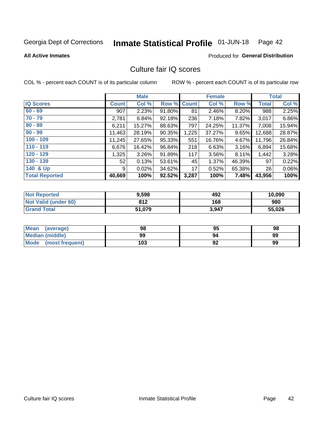#### Inmate Statistical Profile 01-JUN-18 Page 42

#### **All Active Inmates**

# **Produced for General Distribution**

## Culture fair IQ scores

COL % - percent each COUNT is of its particular column

|                       |              | <b>Male</b> |             |       | <b>Female</b> |        |              | <b>Total</b> |
|-----------------------|--------------|-------------|-------------|-------|---------------|--------|--------------|--------------|
| <b>IQ Scores</b>      | <b>Count</b> | Col %       | Row % Count |       | Col %         | Row %  | <b>Total</b> | Col %        |
| $60 - 69$             | 907          | 2.23%       | 91.80%      | 81    | 2.46%         | 8.20%  | 988          | 2.25%        |
| $70 - 79$             | 2,781        | 6.84%       | 92.18%      | 236   | 7.18%         | 7.82%  | 3,017        | 6.86%        |
| $80 - 89$             | 6,211        | 15.27%      | 88.63%      | 797   | 24.25%        | 11.37% | 7,008        | 15.94%       |
| $90 - 99$             | 11,463       | 28.19%      | 90.35%      | 1,225 | 37.27%        | 9.65%  | 12,688       | 28.87%       |
| $100 - 109$           | 11,245       | 27.65%      | 95.33%      | 551   | 16.76%        | 4.67%  | 11,796       | 26.84%       |
| $110 - 119$           | 6,676        | 16.42%      | 96.84%      | 218   | 6.63%         | 3.16%  | 6,894        | 15.68%       |
| $120 - 129$           | 1,325        | 3.26%       | 91.89%      | 117   | 3.56%         | 8.11%  | 1,442        | 3.28%        |
| $130 - 139$           | 52           | 0.13%       | 53.61%      | 45    | 1.37%         | 46.39% | 97           | 0.22%        |
| 140 & Up              | 9            | 0.02%       | 34.62%      | 17    | 0.52%         | 65.38% | 26           | $0.06\%$     |
| <b>Total Reported</b> | 40,669       | 100%        | 92.52%      | 3,287 | 100%          | 7.48%  | 43,956       | 100%         |

| <b>Not Reported</b>         | 9,598  | 492   | 10,090 |
|-----------------------------|--------|-------|--------|
| <b>Not Valid (under 60)</b> | 812    | 168   | 980    |
| <b>Grand Total</b>          | 51,079 | 3,947 | 55,026 |

| <b>Mean</b><br>(average) | 98  | 95 | 98 |
|--------------------------|-----|----|----|
| <b>Median (middle)</b>   | 99  | 94 | 99 |
| Mode<br>(most frequent)  | 103 | 92 | 99 |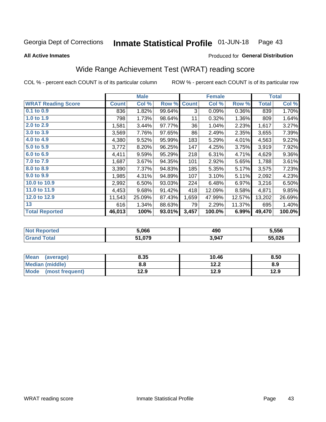#### Inmate Statistical Profile 01-JUN-18 Page 43

**All Active Inmates** 

### Produced for General Distribution

## Wide Range Achievement Test (WRAT) reading score

COL % - percent each COUNT is of its particular column

|                           |              | <b>Male</b> |        |              | <b>Female</b> |        |              | <b>Total</b> |
|---------------------------|--------------|-------------|--------|--------------|---------------|--------|--------------|--------------|
| <b>WRAT Reading Score</b> | <b>Count</b> | Col %       | Row %  | <b>Count</b> | Col %         | Row %  | <b>Total</b> | Col %        |
| $0.1$ to $0.9$            | 836          | 1.82%       | 99.64% | 3            | 0.09%         | 0.36%  | 839          | 1.70%        |
| 1.0 to 1.9                | 798          | 1.73%       | 98.64% | 11           | 0.32%         | 1.36%  | 809          | 1.64%        |
| 2.0 to 2.9                | 1,581        | 3.44%       | 97.77% | 36           | 1.04%         | 2.23%  | 1,617        | 3.27%        |
| 3.0 to 3.9                | 3,569        | 7.76%       | 97.65% | 86           | 2.49%         | 2.35%  | 3,655        | 7.39%        |
| 4.0 to 4.9                | 4,380        | 9.52%       | 95.99% | 183          | 5.29%         | 4.01%  | 4,563        | 9.22%        |
| 5.0 to 5.9                | 3,772        | 8.20%       | 96.25% | 147          | 4.25%         | 3.75%  | 3,919        | 7.92%        |
| 6.0 to 6.9                | 4,411        | 9.59%       | 95.29% | 218          | 6.31%         | 4.71%  | 4,629        | $9.36\%$     |
| 7.0 to 7.9                | 1,687        | 3.67%       | 94.35% | 101          | 2.92%         | 5.65%  | 1,788        | 3.61%        |
| 8.0 to 8.9                | 3,390        | 7.37%       | 94.83% | 185          | 5.35%         | 5.17%  | 3,575        | 7.23%        |
| 9.0 to 9.9                | 1,985        | 4.31%       | 94.89% | 107          | 3.10%         | 5.11%  | 2,092        | 4.23%        |
| 10.0 to 10.9              | 2,992        | 6.50%       | 93.03% | 224          | 6.48%         | 6.97%  | 3,216        | 6.50%        |
| 11.0 to 11.9              | 4,453        | 9.68%       | 91.42% | 418          | 12.09%        | 8.58%  | 4,871        | 9.85%        |
| 12.0 to 12.9              | 11,543       | 25.09%      | 87.43% | 1,659        | 47.99%        | 12.57% | 13,202       | 26.69%       |
| 13                        | 616          | 1.34%       | 88.63% | 79           | 2.29%         | 11.37% | 695          | 1.40%        |
| <b>Total Reported</b>     | 46,013       | 100%        | 93.01% | 3,457        | 100.0%        | 6.99%  | 49,470       | 100.0%       |

| NO | 5.066  | 490   | 5,556  |
|----|--------|-------|--------|
|    | 51,079 | 3,947 | 55,026 |

| <b>Mean</b><br>(average) | 8.35 | 10.46 | 8.50 |
|--------------------------|------|-------|------|
| Median (middle)          | 8.8  | 12.2  | 8.9  |
| Mode<br>(most frequent)  | 12.9 | 12.9  | 12.9 |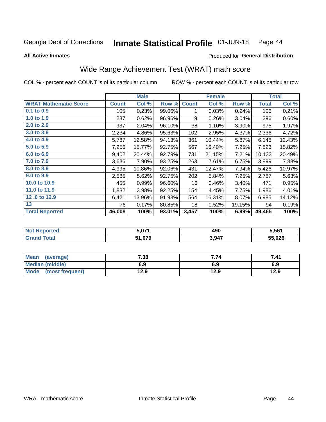#### Inmate Statistical Profile 01-JUN-18 Page 44

**All Active Inmates** 

### Produced for General Distribution

## Wide Range Achievement Test (WRAT) math score

COL % - percent each COUNT is of its particular column

|                              |              | <b>Male</b> |        |              | <b>Female</b> |        |              | <b>Total</b> |
|------------------------------|--------------|-------------|--------|--------------|---------------|--------|--------------|--------------|
| <b>WRAT Mathematic Score</b> | <b>Count</b> | Col %       | Row %  | <b>Count</b> | Col %         | Row %  | <b>Total</b> | Col %        |
| 0.1 to 0.9                   | 105          | 0.23%       | 99.06% | 1            | 0.03%         | 0.94%  | 106          | 0.21%        |
| 1.0 to 1.9                   | 287          | 0.62%       | 96.96% | 9            | 0.26%         | 3.04%  | 296          | 0.60%        |
| 2.0 to 2.9                   | 937          | 2.04%       | 96.10% | 38           | 1.10%         | 3.90%  | 975          | 1.97%        |
| 3.0 to 3.9                   | 2,234        | 4.86%       | 95.63% | 102          | 2.95%         | 4.37%  | 2,336        | 4.72%        |
| 4.0 to 4.9                   | 5,787        | 12.58%      | 94.13% | 361          | 10.44%        | 5.87%  | 6,148        | 12.43%       |
| 5.0 to 5.9                   | 7,256        | 15.77%      | 92.75% | 567          | 16.40%        | 7.25%  | 7,823        | 15.82%       |
| 6.0 to 6.9                   | 9,402        | 20.44%      | 92.79% | 731          | 21.15%        | 7.21%  | 10,133       | 20.49%       |
| 7.0 to 7.9                   | 3,636        | 7.90%       | 93.25% | 263          | 7.61%         | 6.75%  | 3,899        | 7.88%        |
| 8.0 to 8.9                   | 4,995        | 10.86%      | 92.06% | 431          | 12.47%        | 7.94%  | 5,426        | 10.97%       |
| 9.0 to 9.9                   | 2,585        | 5.62%       | 92.75% | 202          | 5.84%         | 7.25%  | 2,787        | 5.63%        |
| 10.0 to 10.9                 | 455          | 0.99%       | 96.60% | 16           | 0.46%         | 3.40%  | 471          | 0.95%        |
| 11.0 to 11.9                 | 1,832        | 3.98%       | 92.25% | 154          | 4.45%         | 7.75%  | 1,986        | 4.01%        |
| 12.0 to 12.9                 | 6,421        | 13.96%      | 91.93% | 564          | 16.31%        | 8.07%  | 6,985        | 14.12%       |
| 13                           | 76           | 0.17%       | 80.85% | 18           | 0.52%         | 19.15% | 94           | 0.19%        |
| <b>Total Reported</b>        | 46,008       | 100%        | 93.01% | 3,457        | 100%          | 6.99%  | 49,465       | 100%         |

| <b>Not</b><br>Reported | 071.د  | 490   | 5.561  |
|------------------------|--------|-------|--------|
| <b>Total</b>           | 51,079 | 3,947 | 55,026 |

| <b>Mean</b><br>(average) | 7.38 | 7.74 | 7.41 |
|--------------------------|------|------|------|
| <b>Median (middle)</b>   | 6.9  | 6.9  | 6.9  |
| Mode<br>(most frequent)  | l2.9 | 12.9 | 12.9 |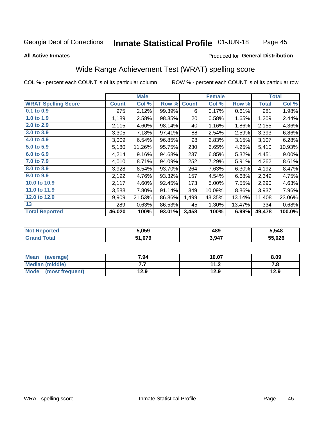#### Inmate Statistical Profile 01-JUN-18 Page 45

#### **All Active Inmates**

### Produced for General Distribution

## Wide Range Achievement Test (WRAT) spelling score

COL % - percent each COUNT is of its particular column

|                            |              | <b>Male</b> |        |              | <b>Female</b> |        |              | <b>Total</b> |
|----------------------------|--------------|-------------|--------|--------------|---------------|--------|--------------|--------------|
| <b>WRAT Spelling Score</b> | <b>Count</b> | Col %       | Row %  | <b>Count</b> | Col %         | Row %  | <b>Total</b> | Col %        |
| $0.1$ to $0.9$             | 975          | 2.12%       | 99.39% | 6            | 0.17%         | 0.61%  | 981          | 1.98%        |
| 1.0 to 1.9                 | 1,189        | 2.58%       | 98.35% | 20           | 0.58%         | 1.65%  | 1,209        | 2.44%        |
| 2.0 to 2.9                 | 2,115        | 4.60%       | 98.14% | 40           | 1.16%         | 1.86%  | 2,155        | 4.36%        |
| 3.0 to 3.9                 | 3,305        | 7.18%       | 97.41% | 88           | 2.54%         | 2.59%  | 3,393        | 6.86%        |
| 4.0 to 4.9                 | 3,009        | 6.54%       | 96.85% | 98           | 2.83%         | 3.15%  | 3,107        | 6.28%        |
| 5.0 to 5.9                 | 5,180        | 11.26%      | 95.75% | 230          | 6.65%         | 4.25%  | 5,410        | 10.93%       |
| 6.0 to 6.9                 | 4,214        | 9.16%       | 94.68% | 237          | 6.85%         | 5.32%  | 4,451        | $9.00\%$     |
| 7.0 to 7.9                 | 4,010        | 8.71%       | 94.09% | 252          | 7.29%         | 5.91%  | 4,262        | 8.61%        |
| 8.0 to 8.9                 | 3,928        | 8.54%       | 93.70% | 264          | 7.63%         | 6.30%  | 4,192        | 8.47%        |
| 9.0 to 9.9                 | 2,192        | 4.76%       | 93.32% | 157          | 4.54%         | 6.68%  | 2,349        | 4.75%        |
| 10.0 to 10.9               | 2,117        | 4.60%       | 92.45% | 173          | 5.00%         | 7.55%  | 2,290        | 4.63%        |
| 11.0 to 11.9               | 3,588        | 7.80%       | 91.14% | 349          | 10.09%        | 8.86%  | 3,937        | 7.96%        |
| 12.0 to 12.9               | 9,909        | 21.53%      | 86.86% | 1,499        | 43.35%        | 13.14% | 11,408       | 23.06%       |
| 13                         | 289          | 0.63%       | 86.53% | 45           | 1.30%         | 13.47% | 334          | 0.68%        |
| <b>Total Reported</b>      | 46,020       | 100%        | 93.01% | 3,458        | 100%          | 6.99%  | 49,478       | 100.0%       |

| <b>rted</b><br>NO | 5,059  | 489   | 5,548  |
|-------------------|--------|-------|--------|
|                   | 51,079 | 3,947 | 55,026 |

| <b>Mean</b><br>(average) | 7.94 | 10.07       | 8.09 |
|--------------------------|------|-------------|------|
| Median (middle)          | .    | 11 つ<br>1.Z | 7. L |
| Mode<br>(most frequent)  | 12.9 | 12.9        | 12.9 |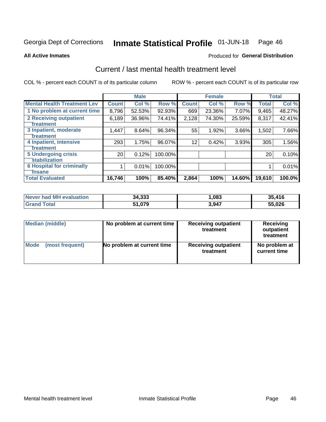#### Inmate Statistical Profile 01-JUN-18 Page 46

**All Active Inmates** 

### **Produced for General Distribution**

## Current / last mental health treatment level

COL % - percent each COUNT is of its particular column

|                                    |                 | <b>Male</b> |         |              | <b>Female</b> |        |              | <b>Total</b> |
|------------------------------------|-----------------|-------------|---------|--------------|---------------|--------|--------------|--------------|
| <b>Mental Health Treatment Lev</b> | <b>Count</b>    | Col %       | Row %   | <b>Count</b> | Col %         | Row %  | <b>Total</b> | Col %        |
| 1 No problem at current time       | 8,796           | 52.53%      | 92.93%  | 669          | 23.36%        | 7.07%  | 9,465        | 48.27%       |
| 2 Receiving outpatient             | 6,189           | 36.96%      | 74.41%  | 2,128        | 74.30%        | 25.59% | 8,317        | 42.41%       |
| <b>Treatment</b>                   |                 |             |         |              |               |        |              |              |
| 3 Inpatient, moderate              | 1,447           | 8.64%       | 96.34%  | 55           | 1.92%         | 3.66%  | 1,502        | 7.66%        |
| <b>Treatment</b>                   |                 |             |         |              |               |        |              |              |
| 4 Inpatient, intensive             | 293             | 1.75%       | 96.07%  | 12           | 0.42%         | 3.93%  | 305          | 1.56%        |
| Treatment                          |                 |             |         |              |               |        |              |              |
| <b>5 Undergoing crisis</b>         | 20 <sub>1</sub> | 0.12%       | 100.00% |              |               |        | 20           | 0.10%        |
| <b>stabilization</b>               |                 |             |         |              |               |        |              |              |
| <b>6 Hospital for criminally</b>   |                 | 0.01%       | 100.00% |              |               |        |              | 0.01%        |
| <b>Tinsane</b>                     |                 |             |         |              |               |        |              |              |
| <b>Total Evaluated</b>             | 16,746          | 100%        | 85.40%  | 2,864        | 100%          | 14.60% | 19,610       | 100.0%       |

| <b>Never had MH evaluation</b> | 34,333 | ,083  | 35,416 |
|--------------------------------|--------|-------|--------|
| Total                          | 51,079 | 3,947 | 55,026 |

| Median (middle) | No problem at current time | <b>Receiving outpatient</b><br>treatment | <b>Receiving</b><br>outpatient<br>treatment |
|-----------------|----------------------------|------------------------------------------|---------------------------------------------|
| <b>Mode</b>     | No problem at current time | <b>Receiving outpatient</b>              | No problem at                               |
| (most frequent) |                            | treatment                                | current time                                |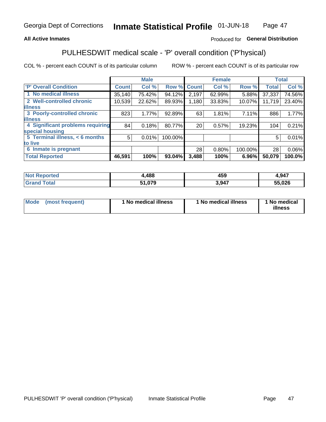### **All Active Inmates**

### Produced for General Distribution

## PULHESDWIT medical scale - 'P' overall condition ('P'hysical)

COL % - percent each COUNT is of its particular column

|                                  |              | <b>Male</b> |         |              | <b>Female</b> |         |              | <b>Total</b> |
|----------------------------------|--------------|-------------|---------|--------------|---------------|---------|--------------|--------------|
| 'P' Overall Condition            | <b>Count</b> | Col %       | Row %   | <b>Count</b> | Col %         | Row %   | <b>Total</b> | Col %        |
| 1 No medical illness             | 35,140       | 75.42%      | 94.12%  | 2,197        | 62.99%        | 5.88%   | 37,337       | 74.56%       |
| 2 Well-controlled chronic        | 10,539       | 22.62%      | 89.93%  | 1,180        | 33.83%        | 10.07%  | 11,719       | 23.40%       |
| <b>lillness</b>                  |              |             |         |              |               |         |              |              |
| 3 Poorly-controlled chronic      | 823          | 1.77%       | 92.89%  | 63           | 1.81%         | 7.11%   | 886          | 1.77%        |
| <b>lillness</b>                  |              |             |         |              |               |         |              |              |
| 4 Significant problems requiring | 84           | 0.18%       | 80.77%  | 20           | 0.57%         | 19.23%  | 104          | 0.21%        |
| special housing                  |              |             |         |              |               |         |              |              |
| 5 Terminal illness, < 6 months   | 5            | 0.01%       | 100.00% |              |               |         | 5            | 0.01%        |
| to live                          |              |             |         |              |               |         |              |              |
| 6 Inmate is pregnant             |              |             |         | 28           | 0.80%         | 100.00% | 28           | 0.06%        |
| <b>Total Reported</b>            | 46,591       | 100%        | 93.04%  | 3,488        | 100%          | 6.96%   | 50,079       | 100.0%       |

| тео | 488,ا | .<br>159 | ,947   |
|-----|-------|----------|--------|
|     | 0.7c  | 3.947    | EE NOC |

| Mode | (most frequent) | 1 No medical illness | 1 No medical illness | 1 No medical<br>illness |
|------|-----------------|----------------------|----------------------|-------------------------|
|------|-----------------|----------------------|----------------------|-------------------------|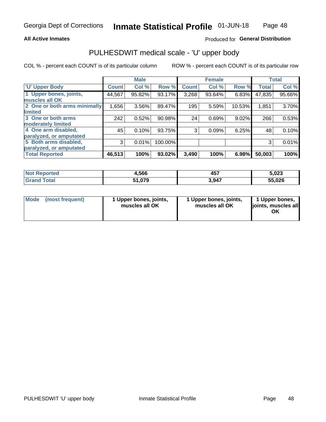### **All Active Inmates**

### Produced for General Distribution

## PULHESDWIT medical scale - 'U' upper body

COL % - percent each COUNT is of its particular column

|                              |              | <b>Male</b> |         |              | <b>Female</b> |        |              | <b>Total</b> |
|------------------------------|--------------|-------------|---------|--------------|---------------|--------|--------------|--------------|
| <b>U' Upper Body</b>         | <b>Count</b> | Col %       | Row %   | <b>Count</b> | Col %         | Row %  | <b>Total</b> | Col %        |
| 1 Upper bones, joints,       | 44,567       | 95.82%      | 93.17%  | 3,268        | 93.64%        | 6.83%  | 47,835       | 95.66%       |
| muscles all OK               |              |             |         |              |               |        |              |              |
| 2 One or both arms minimally | 1,656        | 3.56%       | 89.47%  | 195          | 5.59%         | 10.53% | 1,851        | 3.70%        |
| limited                      |              |             |         |              |               |        |              |              |
| 3 One or both arms           | 242          | 0.52%       | 90.98%  | 24           | 0.69%         | 9.02%  | 266          | 0.53%        |
| <b>moderately limited</b>    |              |             |         |              |               |        |              |              |
| 4 One arm disabled,          | 45           | 0.10%       | 93.75%  | 3            | 0.09%         | 6.25%  | 48           | 0.10%        |
| paralyzed, or amputated      |              |             |         |              |               |        |              |              |
| 5 Both arms disabled,        | 3            | 0.01%       | 100.00% |              |               |        | 3            | 0.01%        |
| paralyzed, or amputated      |              |             |         |              |               |        |              |              |
| <b>Total Reported</b>        | 46,513       | 100%        | 93.02%  | 3,490        | 100%          | 6.98%  | 50,003       | 100%         |

| <b>Not Reported</b>     | 4,566  | 457   | 5,023  |
|-------------------------|--------|-------|--------|
| <b>Total</b><br>' Grand | 51,079 | 3,947 | 55,026 |

| <b>Mode</b> | (most frequent) | 1 Upper bones, joints,<br>muscles all OK | 1 Upper bones, joints,<br>muscles all OK | 1 Upper bones,<br>ljoints, muscles all<br>ОK |
|-------------|-----------------|------------------------------------------|------------------------------------------|----------------------------------------------|
|-------------|-----------------|------------------------------------------|------------------------------------------|----------------------------------------------|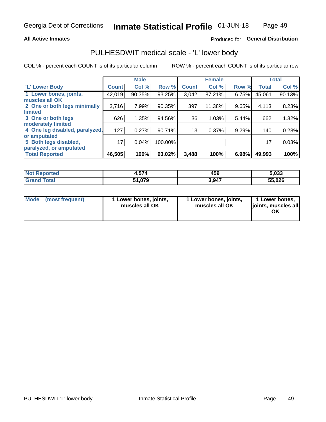### **All Active Inmates**

### Produced for General Distribution

## PULHESDWIT medical scale - 'L' lower body

COL % - percent each COUNT is of its particular column

|                                |                 | <b>Male</b> |         |              | <b>Female</b> |       |              | <b>Total</b> |
|--------------------------------|-----------------|-------------|---------|--------------|---------------|-------|--------------|--------------|
| 'L' Lower Body                 | <b>Count!</b>   | Col %       | Row %   | <b>Count</b> | Col %         | Row % | <b>Total</b> | Col %        |
| 1 Lower bones, joints,         | 42,019          | 90.35%      | 93.25%  | 3,042        | 87.21%        | 6.75% | 45,061       | 90.13%       |
| muscles all OK                 |                 |             |         |              |               |       |              |              |
| 2 One or both legs minimally   | 3,716           | 7.99%       | 90.35%  | 397          | 11.38%        | 9.65% | 4,113        | 8.23%        |
| limited                        |                 |             |         |              |               |       |              |              |
| 3 One or both legs             | 626             | 1.35%       | 94.56%  | 36           | 1.03%         | 5.44% | 662          | 1.32%        |
| moderately limited             |                 |             |         |              |               |       |              |              |
| 4 One leg disabled, paralyzed, | 127             | 0.27%       | 90.71%  | 13           | 0.37%         | 9.29% | 140          | 0.28%        |
| or amputated                   |                 |             |         |              |               |       |              |              |
| 5 Both legs disabled,          | 17 <sub>1</sub> | 0.04%       | 100.00% |              |               |       | 17           | 0.03%        |
| paralyzed, or amputated        |                 |             |         |              |               |       |              |              |
| <b>Total Reported</b>          | 46,505          | 100%        | 93.02%  | 3,488        | 100%          | 6.98% | 49,993       | 100%         |

| <b>Not Reported</b>          | 4,574  | 459   | 5,033  |
|------------------------------|--------|-------|--------|
| <b>Total</b><br><b>Grand</b> | 51,079 | 3,947 | 55,026 |

|  | Mode (most frequent) | 1 Lower bones, joints,<br>muscles all OK | 1 Lower bones, joints,<br>muscles all OK | 1 Lower bones,<br>joints, muscles all<br>ΟK |
|--|----------------------|------------------------------------------|------------------------------------------|---------------------------------------------|
|--|----------------------|------------------------------------------|------------------------------------------|---------------------------------------------|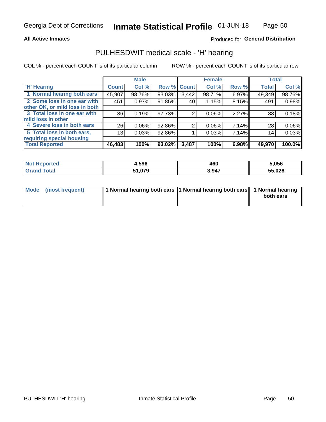### **All Active Inmates**

### Produced for General Distribution

## PULHESDWIT medical scale - 'H' hearing

COL % - percent each COUNT is of its particular column

|                                |                 | <b>Male</b> |             |       | <b>Female</b> |       | <b>Total</b> |        |
|--------------------------------|-----------------|-------------|-------------|-------|---------------|-------|--------------|--------|
| <b>'H' Hearing</b>             | <b>Count</b>    | Col %       | Row % Count |       | Col %         | Row % | <b>Total</b> | Col %  |
| 1 Normal hearing both ears     | 45,907          | 98.76%      | 93.03%      | 3,442 | 98.71%        | 6.97% | 49,349       | 98.76% |
| 2 Some loss in one ear with    | 451             | 0.97%       | 91.85%      | 40    | 1.15%         | 8.15% | 491          | 0.98%  |
| other OK, or mild loss in both |                 |             |             |       |               |       |              |        |
| 3 Total loss in one ear with   | 86              | 0.19%       | 97.73%      | 2     | 0.06%         | 2.27% | 88           | 0.18%  |
| mild loss in other             |                 |             |             |       |               |       |              |        |
| 4 Severe loss in both ears     | 26              | 0.06%       | 92.86%      | 2     | $0.06\%$      | 7.14% | 28           | 0.06%  |
| 5 Total loss in both ears,     | 13 <sub>1</sub> | 0.03%       | 92.86%      |       | 0.03%         | 7.14% | 14           | 0.03%  |
| requiring special housing      |                 |             |             |       |               |       |              |        |
| <b>Total Reported</b>          | 46,483          | 100%        | $93.02\%$   | 3,487 | 100%          | 6.98% | 49,970       | 100.0% |

| <b>Not Renc</b><br>ాorted | 1,596  | 460   | i.056  |
|---------------------------|--------|-------|--------|
| Total                     | 51,079 | 3,947 | 55,026 |

| Mode (most frequent) | 1 Normal hearing both ears 11 Normal hearing both ears 1 Normal hearing | both ears |
|----------------------|-------------------------------------------------------------------------|-----------|
|                      |                                                                         |           |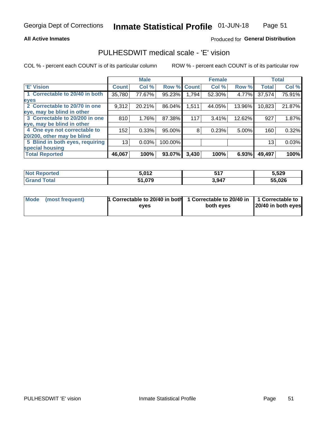### **All Active Inmates**

### Produced for General Distribution

## PULHESDWIT medical scale - 'E' vision

COL % - percent each COUNT is of its particular column

|                                 |              | <b>Male</b> |         |              | <b>Female</b> |        |              | <b>Total</b> |
|---------------------------------|--------------|-------------|---------|--------------|---------------|--------|--------------|--------------|
| <b>E' Vision</b>                | <b>Count</b> | Col %       | Row %   | <b>Count</b> | Col %         | Row %  | <b>Total</b> | Col %        |
| 1 Correctable to 20/40 in both  | 35,780       | 77.67%      | 95.23%  | 1,794        | 52.30%        | 4.77%  | 37,574       | 75.91%       |
| eyes                            |              |             |         |              |               |        |              |              |
| 2 Correctable to 20/70 in one   | 9,312        | 20.21%      | 86.04%  | 1,511        | 44.05%        | 13.96% | 10,823       | 21.87%       |
| eye, may be blind in other      |              |             |         |              |               |        |              |              |
| 3 Correctable to 20/200 in one  | 810          | 1.76%       | 87.38%  | 117          | 3.41%         | 12.62% | 927          | 1.87%        |
| eye, may be blind in other      |              |             |         |              |               |        |              |              |
| 4 One eye not correctable to    | 152          | 0.33%       | 95.00%  | 8            | 0.23%         | 5.00%  | 160          | 0.32%        |
| 20/200, other may be blind      |              |             |         |              |               |        |              |              |
| 5 Blind in both eyes, requiring | 13           | 0.03%       | 100.00% |              |               |        | 13           | 0.03%        |
| special housing                 |              |             |         |              |               |        |              |              |
| <b>Total Reported</b>           | 46,067       | 100%        | 93.07%  | 3,430        | 100%          | 6.93%  | 49,497       | 100%         |

| <b>Not Reported</b> | C NAM<br>J, J, L | <b>C47</b> | 5,529  |
|---------------------|------------------|------------|--------|
| Гоtal               | 51,079<br>E4.    | 3,947      | 55,026 |

| Mode (most frequent) | 1 Correctable to 20/40 in both<br>eves | 1 Correctable to 20/40 in   1 Correctable to  <br>both eves | 20/40 in both eyes |
|----------------------|----------------------------------------|-------------------------------------------------------------|--------------------|
|                      |                                        |                                                             |                    |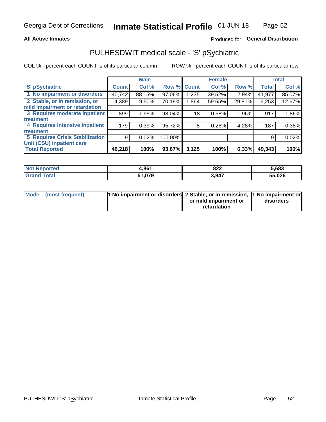### **All Active Inmates**

### Produced for General Distribution

## PULHESDWIT medical scale - 'S' pSychiatric

COL % - percent each COUNT is of its particular column

|                                        |              | <b>Male</b> |         |       | <b>Female</b> |        |              | <b>Total</b> |
|----------------------------------------|--------------|-------------|---------|-------|---------------|--------|--------------|--------------|
| 'S' pSychiatric                        | <b>Count</b> | Col %       | Row %   | Count | Col %         | Row %  | <b>Total</b> | Col %        |
| 1 No impairment or disorders           | 40,742       | 88.15%      | 97.06%  | ,235  | 39.52%        | 2.94%  | 41,977       | 85.07%       |
| 2 Stable, or in remission, or          | 4,389        | $9.50\%$    | 70.19%  | 1,864 | 59.65%        | 29.81% | 6,253        | 12.67%       |
| mild impairment or retardation         |              |             |         |       |               |        |              |              |
| 3 Requires moderate inpatient          | 899          | 1.95%       | 98.04%  | 18    | 0.58%         | 1.96%  | 917          | 1.86%        |
| treatment                              |              |             |         |       |               |        |              |              |
| 4 Requires intensive inpatient         | 179          | 0.39%       | 95.72%  | 8     | 0.26%         | 4.28%  | 187          | 0.38%        |
| treatment                              |              |             |         |       |               |        |              |              |
| <b>5 Requires Crisis Stabilization</b> | 9            | 0.02%       | 100.00% |       |               |        | 9            | 0.02%        |
| Unit (CSU) inpatient care              |              |             |         |       |               |        |              |              |
| <b>Total Reported</b>                  | 46,218       | 100%        | 93.67%  | 3,125 | 100%          | 6.33%  | 49,343       | 100%         |

| <b>Not Reported</b> | 4,861  | 822   | 5,683  |
|---------------------|--------|-------|--------|
| Total<br>' Grand    | 1,079ذ | 3,947 | 55,026 |

| Mode (most frequent) | <b>1 No impairment or disorders 2 Stable, or in remission, 1 No impairment or</b> |                       |           |
|----------------------|-----------------------------------------------------------------------------------|-----------------------|-----------|
|                      |                                                                                   | or mild impairment or | disorders |
|                      |                                                                                   | retardation           |           |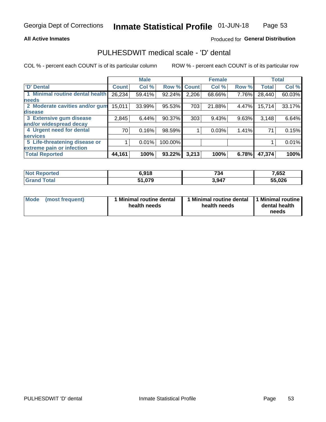### **All Active Inmates**

### Produced for General Distribution

## PULHESDWIT medical scale - 'D' dental

COL % - percent each COUNT is of its particular column

|                                 |              | <b>Male</b> |         |              | <b>Female</b> |       |              | <b>Total</b> |
|---------------------------------|--------------|-------------|---------|--------------|---------------|-------|--------------|--------------|
| 'D' Dental                      | <b>Count</b> | Col %       | Row %   | <b>Count</b> | Col %         | Row % | <b>Total</b> | Col %        |
| 1 Minimal routine dental health | 26,234       | 59.41%      | 92.24%  | 2,206        | 68.66%        | 7.76% | 28,440       | 60.03%       |
| <b>needs</b>                    |              |             |         |              |               |       |              |              |
| 2 Moderate cavities and/or gum  | 15,011       | 33.99%      | 95.53%  | 703          | 21.88%        | 4.47% | 15,714       | 33.17%       |
| disease                         |              |             |         |              |               |       |              |              |
| 3 Extensive gum disease         | 2,845        | 6.44%       | 90.37%  | 303          | 9.43%         | 9.63% | 3,148        | 6.64%        |
| and/or widespread decay         |              |             |         |              |               |       |              |              |
| 4 Urgent need for dental        | 70           | 0.16%       | 98.59%  |              | 0.03%         | 1.41% | 71           | 0.15%        |
| <b>services</b>                 |              |             |         |              |               |       |              |              |
| 5 Life-threatening disease or   |              | 0.01%       | 100.00% |              |               |       |              | 0.01%        |
| extreme pain or infection       |              |             |         |              |               |       |              |              |
| <b>Total Reported</b>           | 44,161       | 100%        | 93.22%  | 3,213        | 100%          | 6.78% | 47,374       | 100%         |

| <b>Not Reported</b> | 6.918         | 734   | 7,652  |
|---------------------|---------------|-------|--------|
| Гоtal               | 51,079<br>E4. | 3,947 | 55,026 |

| 1 Minimal routine dental<br>Mode<br>(most frequent)<br>health needs | 1 Minimal routine dental 1 Minimal routine<br>health needs | dental health<br>needs |
|---------------------------------------------------------------------|------------------------------------------------------------|------------------------|
|---------------------------------------------------------------------|------------------------------------------------------------|------------------------|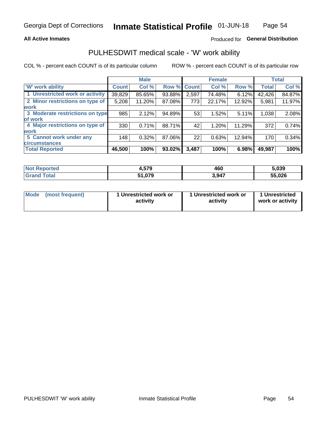### **All Active Inmates**

### Produced for General Distribution

## PULHESDWIT medical scale - 'W' work ability

COL % - percent each COUNT is of its particular column

|                                 |              | <b>Male</b> |        |             | <b>Female</b> |        |              | <b>Total</b> |
|---------------------------------|--------------|-------------|--------|-------------|---------------|--------|--------------|--------------|
| <b>W' work ability</b>          | <b>Count</b> | Col %       |        | Row % Count | Col %         | Row %  | <b>Total</b> | Col %        |
| 1 Unrestricted work or activity | 39,829       | 85.65%      | 93.88% | 2,597       | 74.48%        | 6.12%  | 42,426       | 84.87%       |
| 2 Minor restrictions on type of | 5,208        | 11.20%      | 87.08% | 773         | 22.17%        | 12.92% | 5,981        | 11.97%       |
| <b>work</b>                     |              |             |        |             |               |        |              |              |
| 3 Moderate restrictions on type | 985          | 2.12%       | 94.89% | 53          | 1.52%         | 5.11%  | 1,038        | 2.08%        |
| lof work                        |              |             |        |             |               |        |              |              |
| 4 Major restrictions on type of | 330          | 0.71%       | 88.71% | 42          | 1.20%         | 11.29% | 372          | 0.74%        |
| <b>work</b>                     |              |             |        |             |               |        |              |              |
| 5 Cannot work under any         | 148          | 0.32%       | 87.06% | 22          | 0.63%         | 12.94% | 170          | 0.34%        |
| <b>circumstances</b>            |              |             |        |             |               |        |              |              |
| <b>Total Reported</b>           | 46,500       | 100%        | 93.02% | 3,487       | 100%          | 6.98%  | 49,987       | 100%         |

| <b>Not Reported</b>     | $+0.579$ | 460   | 5,039  |
|-------------------------|----------|-------|--------|
| <b>Total</b><br>' Grand | 51,079   | 3,947 | 55,026 |

| Mode            | 1 Unrestricted work or | 1 Unrestricted work or | 1 Unrestricted   |
|-----------------|------------------------|------------------------|------------------|
| (most frequent) | activity               | activity               | work or activity |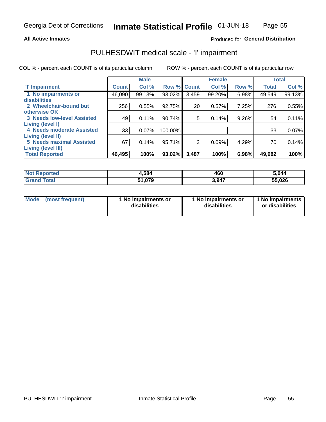### **All Active Inmates**

### Produced for General Distribution

## PULHESDWIT medical scale - 'I' impairment

COL % - percent each COUNT is of its particular column

|                                   |              | <b>Male</b> |             |       | <b>Female</b> |       |              | <b>Total</b> |
|-----------------------------------|--------------|-------------|-------------|-------|---------------|-------|--------------|--------------|
| <b>T' Impairment</b>              | <b>Count</b> | Col %       | Row % Count |       | Col %         | Row % | <b>Total</b> | Col %        |
| 1 No impairments or               | 46,090       | 99.13%      | 93.02%      | 3,459 | 99.20%        | 6.98% | 49,549       | 99.13%       |
| disabilities                      |              |             |             |       |               |       |              |              |
| 2 Wheelchair-bound but            | 256          | 0.55%       | 92.75%      | 20    | 0.57%         | 7.25% | 276          | 0.55%        |
| otherwise OK                      |              |             |             |       |               |       |              |              |
| <b>3 Needs low-level Assisted</b> | 49           | 0.11%       | 90.74%      | 5     | 0.14%         | 9.26% | 54           | 0.11%        |
| Living (level I)                  |              |             |             |       |               |       |              |              |
| 4 Needs moderate Assisted         | 33           | 0.07%       | 100.00%     |       |               |       | 33           | 0.07%        |
| Living (level II)                 |              |             |             |       |               |       |              |              |
| <b>5 Needs maximal Assisted</b>   | 67           | 0.14%       | 95.71%      | 3     | 0.09%         | 4.29% | 70           | 0.14%        |
| <b>Living (level III)</b>         |              |             |             |       |               |       |              |              |
| <b>Total Reported</b>             | 46,495       | 100%        | 93.02%      | 3,487 | 100%          | 6.98% | 49,982       | 100%         |

| <b>Not</b><br>Reported | 4,584  | 460   | 5,044  |
|------------------------|--------|-------|--------|
| <b>Total</b>           | 51,079 | 3,947 | 55,026 |

| <b>Mode</b> | (most frequent) | <b>No impairments or</b><br>disabilities | 1 No impairments or<br>disabilities | 1 No impairments<br>or disabilities |
|-------------|-----------------|------------------------------------------|-------------------------------------|-------------------------------------|
|-------------|-----------------|------------------------------------------|-------------------------------------|-------------------------------------|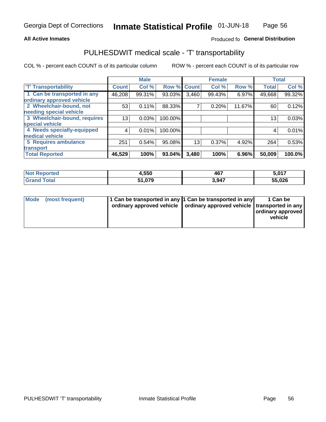### **All Active Inmates**

### Produced fo General Distribution

## PULHESDWIT medical scale - 'T' transportability

COL % - percent each COUNT is of its particular column

|                              |                    | <b>Male</b> |         |              | <b>Female</b> |        |              | <b>Total</b> |
|------------------------------|--------------------|-------------|---------|--------------|---------------|--------|--------------|--------------|
| <b>T' Transportability</b>   | Count <sup>1</sup> | Col %       | Row %   | <b>Count</b> | Col %         | Row %  | <b>Total</b> | Col %        |
| 1 Can be transported in any  | 46,208             | 99.31%      | 93.03%  | 3,460        | 99.43%        | 6.97%  | 49,668       | 99.32%       |
| ordinary approved vehicle    |                    |             |         |              |               |        |              |              |
| 2 Wheelchair-bound, not      | 53                 | 0.11%       | 88.33%  | 7            | 0.20%         | 11.67% | 60           | 0.12%        |
| needing special vehicle      |                    |             |         |              |               |        |              |              |
| 3 Wheelchair-bound, requires | 13                 | 0.03%       | 100.00% |              |               |        | 13           | 0.03%        |
| special vehicle              |                    |             |         |              |               |        |              |              |
| 4 Needs specially-equipped   | 4                  | 0.01%       | 100.00% |              |               |        | 4            | 0.01%        |
| medical vehicle              |                    |             |         |              |               |        |              |              |
| <b>5 Requires ambulance</b>  | 251                | 0.54%       | 95.08%  | 13           | 0.37%         | 4.92%  | 264          | 0.53%        |
| transport                    |                    |             |         |              |               |        |              |              |
| <b>Total Reported</b>        | 46,529             | 100%        | 93.04%  | 3,480        | 100%          | 6.96%  | 50,009       | 100.0%       |

| <b>eported</b> | 4,550  | 467   | 5,017         |
|----------------|--------|-------|---------------|
| <b>otal</b>    | 51.079 | 3.947 | 55,026<br>-55 |

|  | Mode (most frequent) | 1 Can be transported in any 1 Can be transported in any<br>ordinary approved vehicle   ordinary approved vehicle   transported in any |  | 1 Can be<br>  ordinary approved  <br>vehicle |
|--|----------------------|---------------------------------------------------------------------------------------------------------------------------------------|--|----------------------------------------------|
|--|----------------------|---------------------------------------------------------------------------------------------------------------------------------------|--|----------------------------------------------|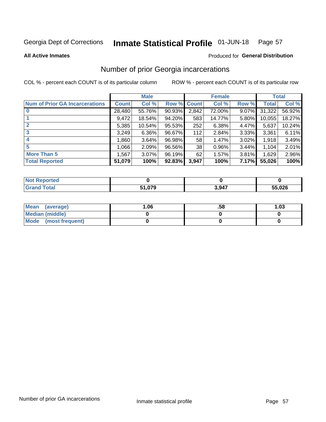#### Inmate Statistical Profile 01-JUN-18 Page 57

**All Active Inmates** 

### **Produced for General Distribution**

## Number of prior Georgia incarcerations

COL % - percent each COUNT is of its particular column

|                                       |              | <b>Male</b> |             |       | <b>Female</b> |       |        | <b>Total</b> |
|---------------------------------------|--------------|-------------|-------------|-------|---------------|-------|--------|--------------|
| <b>Num of Prior GA Incarcerations</b> | <b>Count</b> | Col %       | Row % Count |       | Col %         | Row % | Total  | Col %        |
|                                       | 28,480       | 55.76%      | $90.93\%$   | 2,842 | 72.00%        | 9.07% | 31,322 | 56.92%       |
|                                       | 9,472        | 18.54%      | 94.20%      | 583   | 14.77%        | 5.80% | 10,055 | 18.27%       |
| $\overline{2}$                        | 5,385        | 10.54%      | 95.53%      | 252   | 6.38%         | 4.47% | 5,637  | 10.24%       |
| 3                                     | 3,249        | $6.36\%$    | 96.67%      | 112   | 2.84%         | 3.33% | 3,361  | $6.11\%$     |
| $\boldsymbol{4}$                      | ∣ 860.1      | 3.64%       | 96.98%      | 58    | 1.47%         | 3.02% | 1,918  | 3.49%        |
| 5                                     | 1,066        | 2.09%       | 96.56%      | 38    | 0.96%         | 3.44% | 1,104  | 2.01%        |
| <b>More Than 5</b>                    | 1,567        | 3.07%       | 96.19%      | 62    | 1.57%         | 3.81% | 1,629  | 2.96%        |
| <b>Total Reported</b>                 | 51,079       | 100%        | 92.83%      | 3,947 | 100%          | 7.17% | 55,026 | 100%         |

| orted<br>NO. |        |       |        |
|--------------|--------|-------|--------|
| <b>Total</b> | 51,079 | 3.947 | 55,026 |

| Mean (average)       | .06 | .58 | 1.03 |
|----------------------|-----|-----|------|
| Median (middle)      |     |     |      |
| Mode (most frequent) |     |     |      |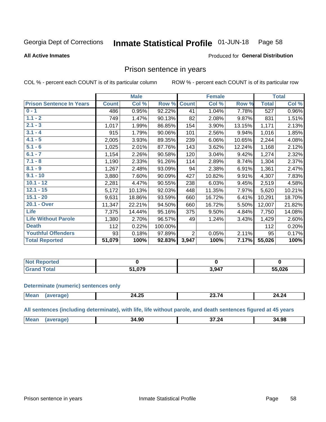#### Inmate Statistical Profile 01-JUN-18 Page 58

#### **All Active Inmates**

#### Produced for General Distribution

### Prison sentence in years

COL % - percent each COUNT is of its particular column

ROW % - percent each COUNT is of its particular row

|                                 |              | <b>Male</b> |         |                | <b>Female</b> |        |              | <b>Total</b> |
|---------------------------------|--------------|-------------|---------|----------------|---------------|--------|--------------|--------------|
| <b>Prison Sentence In Years</b> | <b>Count</b> | Col %       | Row %   | <b>Count</b>   | Col %         | Row %  | <b>Total</b> | Col %        |
| $0 - 1$                         | 486          | 0.95%       | 92.22%  | 41             | 1.04%         | 7.78%  | 527          | 0.96%        |
| $1.1 - 2$                       | 749          | 1.47%       | 90.13%  | 82             | 2.08%         | 9.87%  | 831          | 1.51%        |
| $2.1 - 3$                       | 1,017        | 1.99%       | 86.85%  | 154            | 3.90%         | 13.15% | 1,171        | 2.13%        |
| $3.1 - 4$                       | 915          | 1.79%       | 90.06%  | 101            | 2.56%         | 9.94%  | 1,016        | 1.85%        |
| $4.1 - 5$                       | 2,005        | 3.93%       | 89.35%  | 239            | 6.06%         | 10.65% | 2,244        | 4.08%        |
| $5.1 - 6$                       | 1,025        | 2.01%       | 87.76%  | 143            | 3.62%         | 12.24% | 1,168        | 2.12%        |
| $6.1 - 7$                       | 1,154        | 2.26%       | 90.58%  | 120            | 3.04%         | 9.42%  | 1,274        | 2.32%        |
| $7.1 - 8$                       | 1,190        | 2.33%       | 91.26%  | 114            | 2.89%         | 8.74%  | 1,304        | 2.37%        |
| $8.1 - 9$                       | 1,267        | 2.48%       | 93.09%  | 94             | 2.38%         | 6.91%  | 1,361        | 2.47%        |
| $9.1 - 10$                      | 3,880        | 7.60%       | 90.09%  | 427            | 10.82%        | 9.91%  | 4,307        | 7.83%        |
| $10.1 - 12$                     | 2,281        | 4.47%       | 90.55%  | 238            | 6.03%         | 9.45%  | 2,519        | 4.58%        |
| $12.1 - 15$                     | 5,172        | 10.13%      | 92.03%  | 448            | 11.35%        | 7.97%  | 5,620        | 10.21%       |
| $15.1 - 20$                     | 9,631        | 18.86%      | 93.59%  | 660            | 16.72%        | 6.41%  | 10,291       | 18.70%       |
| 20.1 - Over                     | 11,347       | 22.21%      | 94.50%  | 660            | 16.72%        | 5.50%  | 12,007       | 21.82%       |
| <b>Life</b>                     | 7,375        | 14.44%      | 95.16%  | 375            | 9.50%         | 4.84%  | 7,750        | 14.08%       |
| <b>Life Without Parole</b>      | 1,380        | 2.70%       | 96.57%  | 49             | 1.24%         | 3.43%  | 1,429        | 2.60%        |
| <b>Death</b>                    | 112          | 0.22%       | 100.00% |                |               |        | 112          | 0.20%        |
| <b>Youthful Offenders</b>       | 93           | 0.18%       | 97.89%  | $\overline{2}$ | 0.05%         | 2.11%  | 95           | 0.17%        |
| <b>Total Reported</b>           | 51,079       | 100%        | 92.83%  | 3,947          | 100%          | 7.17%  | 55,026       | 100%         |

| <b>Not Reported</b> |     |       |        |
|---------------------|-----|-------|--------|
| Total               | 070 | 3,947 | 55,026 |

#### **Determinate (numeric) sentences only**

| Mea<br>$n \sim$ | ハ つら<br><u> 27.20</u> | $\sim$ $ \sim$ | 24.24 |
|-----------------|-----------------------|----------------|-------|
|                 |                       |                |       |

All sentences (including determinate), with life, life without parole, and death sentences figured at 45 years

| <b>Mear</b><br>$\sim$<br>$- - -$<br>34.98<br>34.90<br>. 20 |  |  |  |
|------------------------------------------------------------|--|--|--|
|                                                            |  |  |  |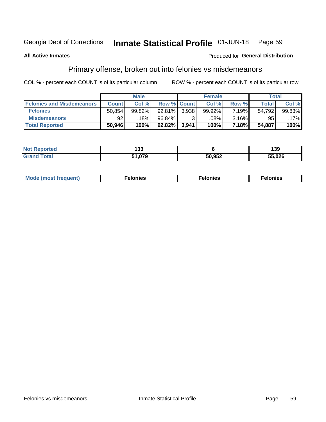#### Inmate Statistical Profile 01-JUN-18 Page 59

#### **All Active Inmates**

### **Produced for General Distribution**

## Primary offense, broken out into felonies vs misdemeanors

COL % - percent each COUNT is of its particular column

|                                  |              | <b>Male</b> |                    |       | <b>Female</b> |       | Total  |           |
|----------------------------------|--------------|-------------|--------------------|-------|---------------|-------|--------|-----------|
| <b>Felonies and Misdemeanors</b> | <b>Count</b> | Col %       | <b>Row % Count</b> |       | Col %         | Row % | Total  | Col %     |
| <b>Felonies</b>                  | 50,854       | 99.82%      | $92.81\%$          | 3.938 | 99.92%        | 7.19% | 54,792 | $99.83\%$ |
| <b>Misdemeanors</b>              | 92           | 18%         | 96.84%             |       | .08%          | 3.16% | 95     | .17%      |
| <b>Total Reported</b>            | 50,946       | 100%        | $92.82\%$          | 3,941 | 100%          | 7.18% | 54,887 | 100%      |

| <b>Not</b><br>Reported | ,,,<br>נטו                |        | 139    |
|------------------------|---------------------------|--------|--------|
| <b>Grand</b><br>™otal  | 070<br>-4<br>1.V <i>I</i> | 50,952 | 55,026 |

| Mo | ____ | 11 C.S<br>. | onies<br>. |
|----|------|-------------|------------|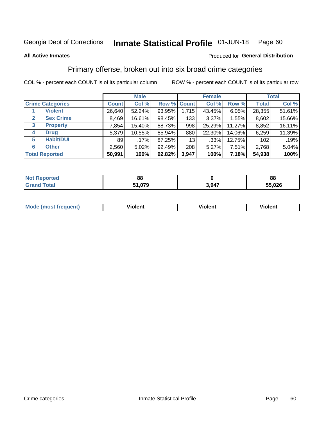#### Inmate Statistical Profile 01-JUN-18 Page 60

#### **All Active Inmates**

### Produced for General Distribution

## Primary offense, broken out into six broad crime categories

COL % - percent each COUNT is of its particular column

|                                  |              | <b>Male</b> |           |             | <b>Female</b> |          |              | <b>Total</b> |
|----------------------------------|--------------|-------------|-----------|-------------|---------------|----------|--------------|--------------|
| <b>Crime Categories</b>          | <b>Count</b> | Col %       |           | Row % Count | Col %         | Row %    | <b>Total</b> | Col %        |
| <b>Violent</b>                   | 26,640       | 52.24%      | 93.95%    | 1,715       | 43.45%        | $6.05\%$ | 28,355       | 51.61%       |
| <b>Sex Crime</b><br>$\mathbf{2}$ | 8,469        | 16.61%      | 98.45%    | 133         | $3.37\%$      | 1.55%    | 8,602        | 15.66%       |
| <b>Property</b><br>3             | 7,854        | 15.40%      | 88.73%    | 998         | 25.29%        | 11.27%   | 8,852        | 16.11%       |
| <b>Drug</b><br>4                 | 5,379        | 10.55%      | 85.94%    | 880         | 22.30%        | 14.06%   | 6,259        | 11.39%       |
| <b>Habit/DUI</b><br>5            | 89           | .17%        | 87.25%    | 13          | $.33\%$       | 12.75%   | 102          | .19%         |
| <b>Other</b><br>6                | 2,560        | 5.02%       | 92.49%    | 208         | 5.27%         | 7.51%    | 2,768        | 5.04%        |
| <b>Total Reported</b>            | 50,991       | 100%        | $92.82\%$ | 3,947       | 100%          | 7.18%    | 54,938       | 100%         |

| enorted     | n r<br>oo       |       | 88   |
|-------------|-----------------|-------|------|
| <b>otal</b> | ሰ70<br>C 4<br>. | 3,947 | .026 |

| Mc | .<br>$\cdots$ | VIOIEM |
|----|---------------|--------|
|    |               |        |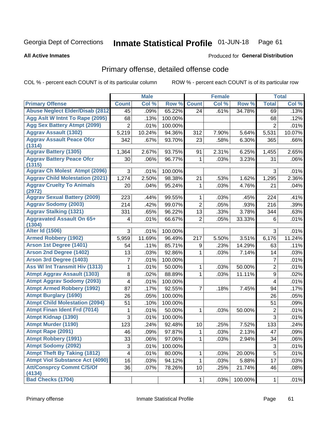#### Inmate Statistical Profile 01-JUN-18 Page 61

**Produced for General Distribution** 

#### **All Active Inmates**

## Primary offense, detailed offense code

COL % - percent each COUNT is of its particular column

|                                            |                 | <b>Male</b> |         |                | <b>Female</b> |         |                  | <b>Total</b> |
|--------------------------------------------|-----------------|-------------|---------|----------------|---------------|---------|------------------|--------------|
| <b>Primary Offense</b>                     | <b>Count</b>    | Col %       | Row %   | <b>Count</b>   | Col %         | Row %   | <b>Total</b>     | Col %        |
| <b>Abuse Neglect Elder/Disab (2812)</b>    | $\overline{45}$ | .09%        | 65.22%  | 24             | .61%          | 34.78%  | 69               | .13%         |
| Agg Aslt W Intnt To Rape (2095)            | 68              | .13%        | 100.00% |                |               |         | 68               | .12%         |
| <b>Agg Sex Battery Atmpt (2099)</b>        | $\overline{2}$  | .01%        | 100.00% |                |               |         | $\overline{2}$   | .01%         |
| <b>Aggrav Assault (1302)</b>               | 5,219           | 10.24%      | 94.36%  | 312            | 7.90%         | 5.64%   | 5,531            | 10.07%       |
| <b>Aggrav Assault Peace Ofcr</b><br>(1314) | 342             | .67%        | 93.70%  | 23             | .58%          | 6.30%   | 365              | .66%         |
| <b>Aggrav Battery (1305)</b>               | 1,364           | 2.67%       | 93.75%  | 91             | 2.31%         | 6.25%   | 1,455            | 2.65%        |
| <b>Aggrav Battery Peace Ofcr</b><br>(1315) | 30              | .06%        | 96.77%  | 1              | .03%          | 3.23%   | 31               | .06%         |
| <b>Aggrav Ch Molest Atmpt (2096)</b>       | 3               | .01%        | 100.00% |                |               |         | 3                | .01%         |
| <b>Aggrav Child Molestation (2021)</b>     | 1,274           | 2.50%       | 98.38%  | 21             | .53%          | 1.62%   | 1,295            | 2.36%        |
| <b>Aggrav Cruelty To Animals</b><br>(2972) | 20              | .04%        | 95.24%  | 1              | .03%          | 4.76%   | 21               | .04%         |
| <b>Aggrav Sexual Battery (2009)</b>        | 223             | .44%        | 99.55%  | 1              | .03%          | .45%    | 224              | .41%         |
| <b>Aggrav Sodomy (2003)</b>                | 214             | .42%        | 99.07%  | $\overline{2}$ | .05%          | .93%    | 216              | .39%         |
| <b>Aggrav Stalking (1321)</b>              | 331             | .65%        | 96.22%  | 13             | .33%          | 3.78%   | 344              | .63%         |
| <b>Aggravated Assault On 65+</b><br>(1304) | 4               | .01%        | 66.67%  | $\overline{2}$ | .05%          | 33.33%  | 6                | .01%         |
| <b>Alter Id (1506)</b>                     | 3               | .01%        | 100.00% |                |               |         | 3                | .01%         |
| <b>Armed Robbery (1902)</b>                | 5,959           | 11.69%      | 96.49%  | 217            | 5.50%         | 3.51%   | 6,176            | 11.24%       |
| Arson 1st Degree (1401)                    | 54              | .11%        | 85.71%  | 9              | .23%          | 14.29%  | 63               | .11%         |
| <b>Arson 2nd Degree (1402)</b>             | 13              | .03%        | 92.86%  | 1              | .03%          | 7.14%   | 14               | .03%         |
| <b>Arson 3rd Degree (1403)</b>             | $\overline{7}$  | .01%        | 100.00% |                |               |         | $\overline{7}$   | .01%         |
| <b>Ass W/ Int Transmit Hiv (1313)</b>      | 1               | .01%        | 50.00%  | 1              | .03%          | 50.00%  | $\overline{2}$   | .01%         |
| <b>Atmpt Aggrav Assault (1303)</b>         | 8               | .02%        | 88.89%  | 1              | .03%          | 11.11%  | $\boldsymbol{9}$ | .02%         |
| <b>Atmpt Aggrav Sodomy (2093)</b>          | 4               | .01%        | 100.00% |                |               |         | $\overline{4}$   | .01%         |
| <b>Atmpt Armed Robbery (1992)</b>          | 87              | .17%        | 92.55%  | 7              | .18%          | 7.45%   | 94               | .17%         |
| <b>Atmpt Burglary (1690)</b>               | 26              | .05%        | 100.00% |                |               |         | 26               | .05%         |
| <b>Atmpt Child Molestation (2094)</b>      | 51              | .10%        | 100.00% |                |               |         | 51               | .09%         |
| <b>Atmpt Finan Ident Frd (7014)</b>        | 1               | .01%        | 50.00%  | 1              | .03%          | 50.00%  | $\overline{2}$   | .01%         |
| <b>Atmpt Kidnap (1390)</b>                 | 3               | .01%        | 100.00% |                |               |         | $\overline{3}$   | .01%         |
| <b>Atmpt Murder (1190)</b>                 | 123             | .24%        | 92.48%  | 10             | .25%          | 7.52%   | 133              | .24%         |
| Atmpt Rape (2091)                          | 46              | .09%        | 97.87%  | 1              | .03%          | 2.13%   | 47               | .09%         |
| <b>Atmpt Robbery (1991)</b>                | 33              | .06%        | 97.06%  | 1              | .03%          | 2.94%   | 34               | .06%         |
| <b>Atmpt Sodomy (2092)</b>                 | 3               | .01%        | 100.00% |                |               |         | $\sqrt{3}$       | .01%         |
| <b>Atmpt Theft By Taking (1812)</b>        | 4               | .01%        | 80.00%  | 1              | .03%          | 20.00%  | 5                | .01%         |
| <b>Atmpt Viol Substance Act (4090)</b>     | 16              | .03%        | 94.12%  | 1              | .03%          | 5.88%   | 17               | .03%         |
| <b>Att/Consprcy Commt C/S/Of</b><br>(4134) | 36              | .07%        | 78.26%  | 10             | .25%          | 21.74%  | 46               | .08%         |
| <b>Bad Checks (1704)</b>                   |                 |             |         | 1              | .03%          | 100.00% | $\mathbf{1}$     | .01%         |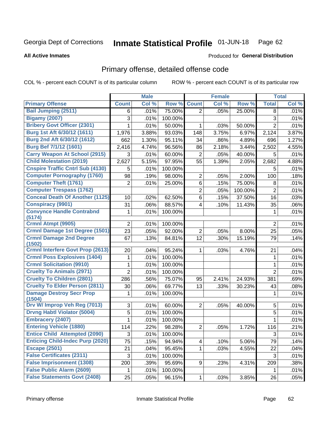#### Inmate Statistical Profile 01-JUN-18 Page 62

#### **All Active Inmates**

### **Produced for General Distribution**

## Primary offense, detailed offense code

COL % - percent each COUNT is of its particular column

|                                          |                 | <b>Male</b> |         |                | <b>Female</b> |         |                | <b>Total</b> |
|------------------------------------------|-----------------|-------------|---------|----------------|---------------|---------|----------------|--------------|
| <b>Primary Offense</b>                   | <b>Count</b>    | Col %       | Row %   | <b>Count</b>   | Col %         | Row %   | <b>Total</b>   | Col %        |
| <b>Bail Jumping (2511)</b>               | 6               | .01%        | 75.00%  | $\overline{2}$ | .05%          | 25.00%  | 8              | .01%         |
| <b>Bigamy (2007)</b>                     | 3               | .01%        | 100.00% |                |               |         | 3              | .01%         |
| <b>Bribery Govt Officer (2301)</b>       | 1               | .01%        | 50.00%  | 1              | .03%          | 50.00%  | $\overline{2}$ | .01%         |
| Burg 1st Aft 6/30/12 (1611)              | 1,976           | 3.88%       | 93.03%  | 148            | 3.75%         | 6.97%   | 2,124          | 3.87%        |
| Burg 2nd Aft 6/30/12 (1612)              | 662             | 1.30%       | 95.11%  | 34             | .86%          | 4.89%   | 696            | 1.27%        |
| <b>Burg Bef 7/1/12 (1601)</b>            | 2,416           | 4.74%       | 96.56%  | 86             | 2.18%         | 3.44%   | 2,502          | 4.55%        |
| <b>Carry Weapon At School (2915)</b>     | 3               | .01%        | 60.00%  | $\overline{2}$ | .05%          | 40.00%  | 5              | .01%         |
| <b>Child Molestation (2019)</b>          | 2,627           | 5.15%       | 97.95%  | 55             | 1.39%         | 2.05%   | 2,682          | 4.88%        |
| <b>Cnspire Traffic Cntrl Sub (4130)</b>  | 5               | .01%        | 100.00% |                |               |         | 5              | .01%         |
| <b>Computer Pornography (1760)</b>       | 98              | .19%        | 98.00%  | $\overline{c}$ | .05%          | 2.00%   | 100            | .18%         |
| <b>Computer Theft (1761)</b>             | $\overline{2}$  | .01%        | 25.00%  | 6              | .15%          | 75.00%  | 8              | .01%         |
| <b>Computer Trespass (1762)</b>          |                 |             |         | $\overline{2}$ | .05%          | 100.00% | $\overline{2}$ | .01%         |
| <b>Conceal Death Of Another (1125)</b>   | 10              | .02%        | 62.50%  | 6              | .15%          | 37.50%  | 16             | .03%         |
| <b>Conspiracy (9901)</b>                 | 31              | .06%        | 88.57%  | 4              | .10%          | 11.43%  | 35             | .06%         |
| <b>Convynce Handle Contrabnd</b>         | 1               | .01%        | 100.00% |                |               |         | 1              | .01%         |
| (5174)                                   |                 |             |         |                |               |         |                |              |
| Crmnl Atmpt (9905)                       | 2               | .01%        | 100.00% |                |               |         | $\overline{2}$ | .01%         |
| <b>Crmnl Damage 1st Degree (1501)</b>    | $\overline{23}$ | .05%        | 92.00%  | $\overline{2}$ | .05%          | 8.00%   | 25             | .05%         |
| <b>Crmnl Damage 2nd Degree</b><br>(1502) | 67              | .13%        | 84.81%  | 12             | .30%          | 15.19%  | 79             | .14%         |
| <b>Crmnl Interfere Govt Prop (2613)</b>  | 20              | .04%        | 95.24%  | 1              | .03%          | 4.76%   | 21             | .04%         |
| <b>Crmnl Poss Explosives (1404)</b>      | 1               | .01%        | 100.00% |                |               |         | $\mathbf 1$    | .01%         |
| <b>Crmnl Solicitation (9910)</b>         | 1               | .01%        | 100.00% |                |               |         | $\mathbf{1}$   | .01%         |
| <b>Cruelty To Animals (2971)</b>         | $\overline{2}$  | .01%        | 100.00% |                |               |         | $\overline{2}$ | .01%         |
| <b>Cruelty To Children (2801)</b>        | 286             | .56%        | 75.07%  | 95             | 2.41%         | 24.93%  | 381            | .69%         |
| <b>Cruelty To Elder Person (2811)</b>    | 30              | .06%        | 69.77%  | 13             | .33%          | 30.23%  | 43             | .08%         |
| <b>Damage Destroy Secr Prop</b>          | 1               | .01%        | 100.00% |                |               |         | 1              | .01%         |
| (1504)                                   |                 |             |         |                |               |         |                |              |
| Drv W/ Improp Veh Reg (7013)             | 3               | .01%        | 60.00%  | $\overline{2}$ | .05%          | 40.00%  | 5              | .01%         |
| <b>Drvng Habtl Violator (5004)</b>       | 5               | .01%        | 100.00% |                |               |         | 5              | .01%         |
| <b>Embracery (2407)</b>                  | 1               | .01%        | 100.00% |                |               |         | $\mathbf{1}$   | .01%         |
| <b>Entering Vehicle (1880)</b>           | 114             | .22%        | 98.28%  | $\overline{c}$ | .05%          | 1.72%   | 116            | .21%         |
| <b>Entice Child Attempted (2090)</b>     | 3               | .01%        | 100.00% |                |               |         | $\mathfrak{S}$ | .01%         |
| <b>Enticing Child-Indec Purp (2020)</b>  | 75              | .15%        | 94.94%  | 4              | .10%          | 5.06%   | 79             | .14%         |
| <b>Escape (2501)</b>                     | 21              | .04%        | 95.45%  | 1              | .03%          | 4.55%   | 22             | .04%         |
| <b>False Certificates (2311)</b>         | 3               | .01%        | 100.00% |                |               |         | 3              | .01%         |
| <b>False Imprisonment (1308)</b>         | 200             | .39%        | 95.69%  | 9              | .23%          | 4.31%   | 209            | .38%         |
| <b>False Public Alarm (2609)</b>         | 1.              | .01%        | 100.00% |                |               |         | 1              | .01%         |
| <b>False Statements Govt (2408)</b>      | 25              | .05%        | 96.15%  | 1              | .03%          | 3.85%   | 26             | .05%         |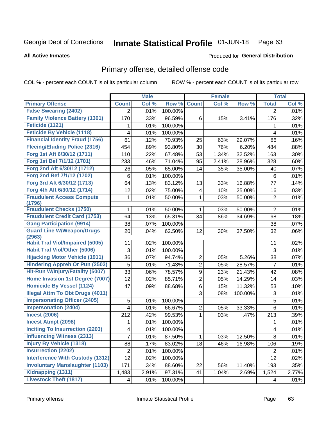#### Inmate Statistical Profile 01-JUN-18 Page 63

**All Active Inmates** 

### **Produced for General Distribution**

## Primary offense, detailed offense code

COL % - percent each COUNT is of its particular column

|                                            |                | <b>Male</b> |         |                | <b>Female</b> |         |                | <b>Total</b> |
|--------------------------------------------|----------------|-------------|---------|----------------|---------------|---------|----------------|--------------|
| <b>Primary Offense</b>                     | <b>Count</b>   | Col %       | Row %   | <b>Count</b>   | Col %         | Row %   | <b>Total</b>   | Col %        |
| <b>False Swearing (2402)</b>               | $\overline{2}$ | .01%        | 100.00% |                |               |         | $\overline{2}$ | .01%         |
| <b>Family Violence Battery (1301)</b>      | 170            | .33%        | 96.59%  | 6              | .15%          | 3.41%   | 176            | .32%         |
| Feticide (1121)                            | 1              | .01%        | 100.00% |                |               |         | 1              | .01%         |
| <b>Feticide By Vehicle (1118)</b>          | 4              | .01%        | 100.00% |                |               |         | 4              | .01%         |
| <b>Financial Identity Fraud (1756)</b>     | 61             | .12%        | 70.93%  | 25             | .63%          | 29.07%  | 86             | .16%         |
| <b>Fleeing/Eluding Police (2316)</b>       | 454            | .89%        | 93.80%  | 30             | .76%          | 6.20%   | 484            | .88%         |
| Forg 1st Aft 6/30/12 (1711)                | 110            | .22%        | 67.48%  | 53             | 1.34%         | 32.52%  | 163            | .30%         |
| Forg 1st Bef 7/1/12 (1701)                 | 233            | .46%        | 71.04%  | 95             | 2.41%         | 28.96%  | 328            | .60%         |
| Forg 2nd Aft 6/30/12 (1712)                | 26             | .05%        | 65.00%  | 14             | .35%          | 35.00%  | 40             | .07%         |
| Forg 2nd Bef 7/1/12 (1702)                 | 6              | .01%        | 100.00% |                |               |         | 6              | .01%         |
| Forg 3rd Aft 6/30/12 (1713)                | 64             | .13%        | 83.12%  | 13             | .33%          | 16.88%  | 77             | .14%         |
| Forg 4th Aft 6/30/12 (1714)                | 12             | .02%        | 75.00%  | $\overline{4}$ | .10%          | 25.00%  | 16             | .03%         |
| <b>Fraudulent Access Compute</b><br>(1796) | 1              | .01%        | 50.00%  | $\mathbf{1}$   | .03%          | 50.00%  | $\overline{2}$ | .01%         |
| <b>Fraudulent Checks (1750)</b>            | 1              | .01%        | 50.00%  | $\mathbf{1}$   | .03%          | 50.00%  | $\overline{2}$ | .01%         |
| <b>Fraudulent Credit Card (1753)</b>       | 64             | .13%        | 65.31%  | 34             | .86%          | 34.69%  | 98             | .18%         |
| <b>Gang Participation (9914)</b>           | 38             | .07%        | 100.00% |                |               |         | 38             | .07%         |
| <b>Guard Line W/Weapon/Drugs</b><br>(2963) | 20             | .04%        | 62.50%  | 12             | .30%          | 37.50%  | 32             | .06%         |
| <b>Habit Traf Viol/Impaired (5005)</b>     | 11             | .02%        | 100.00% |                |               |         | 11             | .02%         |
| <b>Habit Traf Viol/Other (5006)</b>        | 3              | .01%        | 100.00% |                |               |         | 3              | .01%         |
| <b>Hijacking Motor Vehicle (1911)</b>      | 36             | .07%        | 94.74%  | $\overline{2}$ | .05%          | 5.26%   | 38             | .07%         |
| <b>Hindering Appreh Or Pun (2503)</b>      | 5              | .01%        | 71.43%  | $\overline{2}$ | .05%          | 28.57%  | $\overline{7}$ | .01%         |
| Hit-Run W/Injury/Fatality (5007)           | 33             | .06%        | 78.57%  | 9              | .23%          | 21.43%  | 42             | .08%         |
| Home Invasion 1st Degree (7007)            | 12             | .02%        | 85.71%  | $\overline{2}$ | .05%          | 14.29%  | 14             | .03%         |
| <b>Homicide By Vessel (1124)</b>           | 47             | .09%        | 88.68%  | $6\phantom{a}$ | .15%          | 11.32%  | 53             | .10%         |
| <b>Illegal Attm To Obt Drugs (4011)</b>    |                |             |         | 3              | .08%          | 100.00% | 3              | .01%         |
| <b>Impersonating Officer (2405)</b>        | 5              | .01%        | 100.00% |                |               |         | 5              | .01%         |
| <b>Impersonation (2404)</b>                | 4              | .01%        | 66.67%  | $\overline{2}$ | .05%          | 33.33%  | 6              | .01%         |
| <b>Incest (2006)</b>                       | 212            | .42%        | 99.53%  | $\mathbf{1}$   | .03%          | .47%    | 213            | .39%         |
| <b>Incest Atmpt (2098)</b>                 | 1              | .01%        | 100.00% |                |               |         | 1              | .01%         |
| <b>Inciting To Insurrection (2203)</b>     | 4              | .01%        | 100.00% |                |               |         | $\overline{4}$ | .01%         |
| <b>Influencing Witness (2313)</b>          | 7              | .01%        | 87.50%  | $\mathbf{1}$   | .03%          | 12.50%  | 8              | .01%         |
| <b>Injury By Vehicle (1318)</b>            | 88             | .17%        | 83.02%  | 18             | .46%          | 16.98%  | 106            | .19%         |
| <b>Insurrection (2202)</b>                 | $\overline{2}$ | .01%        | 100.00% |                |               |         | $\overline{2}$ | .01%         |
| <b>Interference With Custody (1312)</b>    | 12             | .02%        | 100.00% |                |               |         | 12             | .02%         |
| <b>Involuntary Manslaughter (1103)</b>     | 171            | .34%        | 88.60%  | 22             | .56%          | 11.40%  | 193            | .35%         |
| Kidnapping (1311)                          | 1,483          | 2.91%       | 97.31%  | 41             | 1.04%         | 2.69%   | 1,524          | 2.77%        |
| <b>Livestock Theft (1817)</b>              | 4              | .01%        | 100.00% |                |               |         | 4              | .01%         |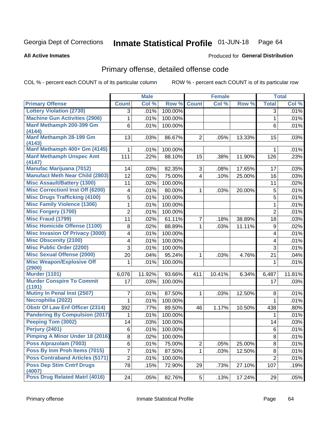#### Inmate Statistical Profile 01-JUN-18 Page 64

#### **All Active Inmates**

## Produced for General Distribution

## Primary offense, detailed offense code

COL % - percent each COUNT is of its particular column

|                                            |                | <b>Male</b> |         |                | <b>Female</b> |        |                | <b>Total</b> |
|--------------------------------------------|----------------|-------------|---------|----------------|---------------|--------|----------------|--------------|
| <b>Primary Offense</b>                     | <b>Count</b>   | Col %       | Row %   | <b>Count</b>   | Col %         | Row %  | <b>Total</b>   | Col %        |
| <b>Lottery Violation (2730)</b>            | 3              | .01%        | 100.00% |                |               |        | 3              | .01%         |
| <b>Machine Gun Activities (2906)</b>       | 1              | .01%        | 100.00% |                |               |        | 1              | .01%         |
| Manf Methamph 200-399 Gm<br>(4144)         | 6              | .01%        | 100.00% |                |               |        | 6              | .01%         |
| Manf Methamph 28-199 Gm<br>(4143)          | 13             | .03%        | 86.67%  | $\overline{2}$ | .05%          | 13.33% | 15             | .03%         |
| Manf Methamph 400+ Gm (4145)               | 1              | .01%        | 100.00% |                |               |        | 1              | .01%         |
| <b>Manf Methamph Unspec Amt</b><br>(4147)  | 111            | .22%        | 88.10%  | 15             | .38%          | 11.90% | 126            | .23%         |
| <b>Manufac Marijuana (7012)</b>            | 14             | .03%        | 82.35%  | 3              | .08%          | 17.65% | 17             | .03%         |
| <b>Manufact Meth Near Child (2803)</b>     | 12             | .02%        | 75.00%  | $\overline{4}$ | .10%          | 25.00% | 16             | .03%         |
| <b>Misc Assault/Battery (1300)</b>         | 11             | .02%        | 100.00% |                |               |        | 11             | .02%         |
| <b>Misc Correctionl Inst Off (6200)</b>    | 4              | .01%        | 80.00%  | $\mathbf 1$    | .03%          | 20.00% | $\mathbf 5$    | .01%         |
| <b>Misc Drugs Trafficking (4100)</b>       | 5              | .01%        | 100.00% |                |               |        | 5              | .01%         |
| <b>Misc Family Violence (1306)</b>         | 1              | .01%        | 100.00% |                |               |        | 1              | .01%         |
| <b>Misc Forgery (1700)</b>                 | $\overline{2}$ | .01%        | 100.00% |                |               |        | $\overline{2}$ | .01%         |
| <b>Misc Fraud (1799)</b>                   | 11             | .02%        | 61.11%  | 7              | .18%          | 38.89% | 18             | .03%         |
| <b>Misc Homicide Offense (1100)</b>        | 8              | .02%        | 88.89%  | 1              | .03%          | 11.11% | 9              | .02%         |
| <b>Misc Invasion Of Privacy (3000)</b>     | 4              | .01%        | 100.00% |                |               |        | 4              | .01%         |
| <b>Misc Obscenity (2100)</b>               | 4              | .01%        | 100.00% |                |               |        | 4              | .01%         |
| <b>Misc Public Order (2200)</b>            | 3              | .01%        | 100.00% |                |               |        | 3              | .01%         |
| <b>Misc Sexual Offense (2000)</b>          | 20             | .04%        | 95.24%  | 1              | .03%          | 4.76%  | 21             | .04%         |
| <b>Misc Weapon/Explosive Off</b><br>(2900) | 1              | .01%        | 100.00% |                |               |        | 1              | .01%         |
| <b>Murder (1101)</b>                       | 6,076          | 11.92%      | 93.66%  | 411            | 10.41%        | 6.34%  | 6,487          | 11.81%       |
| <b>Murder Conspire To Commit</b><br>(1191) | 17             | .03%        | 100.00% |                |               |        | 17             | .03%         |
| <b>Mutiny In Penal Inst (2507)</b>         | 7              | .01%        | 87.50%  | 1              | .03%          | 12.50% | 8              | .01%         |
| Necrophilia (2022)                         | 1              | .01%        | 100.00% |                |               |        | 1              | .01%         |
| <b>Obstr Of Law Enf Officer (2314)</b>     | 392            | .77%        | 89.50%  | 46             | 1.17%         | 10.50% | 438            | .80%         |
| <b>Pandering By Compulsion (2017)</b>      | 1              | .01%        | 100.00% |                |               |        | 1              | .01%         |
| Peeping Tom (3002)                         | 14             | .03%        | 100.00% |                |               |        | 14             | .03%         |
| <b>Perjury (2401)</b>                      | 6              | .01%        | 100.00% |                |               |        | 6              | .01%         |
| <b>Pimping A Minor Under 18 (2016)</b>     | 8              | .02%        | 100.00% |                |               |        | 8              | .01%         |
| Poss Alprazolam (7003)                     | 6              | .01%        | 75.00%  | $\overline{2}$ | .05%          | 25.00% | 8              | .01%         |
| Poss By Inm Proh Items (7015)              | 7              | .01%        | 87.50%  | 1              | .03%          | 12.50% | 8              | .01%         |
| <b>Poss Contraband Articles (5171)</b>     | $\overline{2}$ | .01%        | 100.00% |                |               |        | $\overline{2}$ | .01%         |
| <b>Poss Dep Stim Cntrf Drugs</b><br>(4007) | 78             | .15%        | 72.90%  | 29             | .73%          | 27.10% | 107            | .19%         |
| Poss Drug Related Matrl (4016)             | 24             | .05%        | 82.76%  | $5\vert$       | .13%          | 17.24% | 29             | .05%         |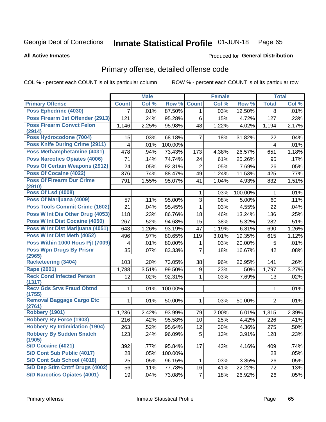#### Inmate Statistical Profile 01-JUN-18 Page 65

#### **All Active Inmates**

### Produced for General Distribution

## Primary offense, detailed offense code

COL % - percent each COUNT is of its particular column

|                                            |              | <b>Male</b> |         |                | <b>Female</b> |         |                | <b>Total</b> |
|--------------------------------------------|--------------|-------------|---------|----------------|---------------|---------|----------------|--------------|
| <b>Primary Offense</b>                     | <b>Count</b> | Col %       | Row %   | <b>Count</b>   | Col %         | Row %   | <b>Total</b>   | Col %        |
| <b>Poss Ephedrine (4030)</b>               | 7            | .01%        | 87.50%  | $\mathbf{1}$   | .03%          | 12.50%  | 8              | .01%         |
| Poss Firearm 1st Offender (2913)           | 121          | .24%        | 95.28%  | 6              | .15%          | 4.72%   | 127            | .23%         |
| <b>Poss Firearm Convct Felon</b>           | 1,146        | 2.25%       | 95.98%  | 48             | 1.22%         | 4.02%   | 1,194          | 2.17%        |
| (2914)                                     |              |             |         |                |               |         |                |              |
| Poss Hydrocodone (7004)                    | 15           | .03%        | 68.18%  | $\overline{7}$ | .18%          | 31.82%  | 22             | .04%         |
| <b>Poss Knife During Crime (2911)</b>      | 4            | .01%        | 100.00% |                |               |         | $\overline{4}$ | .01%         |
| <b>Poss Methamphetamine (4031)</b>         | 478          | .94%        | 73.43%  | 173            | 4.38%         | 26.57%  | 651            | 1.18%        |
| <b>Poss Narcotics Opiates (4006)</b>       | 71           | .14%        | 74.74%  | 24             | .61%          | 25.26%  | 95             | .17%         |
| <b>Poss Of Certain Weapons (2912)</b>      | 24           | .05%        | 92.31%  | $\overline{2}$ | .05%          | 7.69%   | 26             | .05%         |
| <b>Poss Of Cocaine (4022)</b>              | 376          | .74%        | 88.47%  | 49             | 1.24%         | 11.53%  | 425            | .77%         |
| <b>Poss Of Firearm Dur Crime</b>           | 791          | 1.55%       | 95.07%  | 41             | 1.04%         | 4.93%   | 832            | 1.51%        |
| (2910)                                     |              |             |         |                |               |         |                |              |
| <b>Poss Of Lsd (4008)</b>                  |              |             |         | 1              | .03%          | 100.00% | 1              | .01%         |
| Poss Of Marijuana (4009)                   | 57           | .11%        | 95.00%  | 3              | .08%          | 5.00%   | 60             | .11%         |
| <b>Poss Tools Commit Crime (1602)</b>      | 21           | .04%        | 95.45%  | 1              | .03%          | 4.55%   | 22             | .04%         |
| Poss W Int Dis Other Drug (4053)           | 118          | .23%        | 86.76%  | 18             | .46%          | 13.24%  | 136            | .25%         |
| Poss W Int Dist Cocaine (4050)             | 267          | .52%        | 94.68%  | 15             | .38%          | 5.32%   | 282            | .51%         |
| Poss W Int Dist Marijuana (4051)           | 643          | 1.26%       | 93.19%  | 47             | 1.19%         | 6.81%   | 690            | 1.26%        |
| Poss W Int Dist Meth (4052)                | 496          | .97%        | 80.65%  | 119            | 3.01%         | 19.35%  | 615            | 1.12%        |
| Poss Within 1000 Hous Pit (7009)           | 4            | .01%        | 80.00%  | 1              | .03%          | 20.00%  | 5              | .01%         |
| <b>Poss Wpn Drugs By Prisnr</b><br>(2965)  | 35           | .07%        | 83.33%  | 7              | .18%          | 16.67%  | 42             | .08%         |
| <b>Racketeering (3404)</b>                 | 103          | .20%        | 73.05%  | 38             | .96%          | 26.95%  | 141            | .26%         |
| <b>Rape (2001)</b>                         | 1,788        | 3.51%       | 99.50%  | 9              | .23%          | .50%    | 1,797          | 3.27%        |
| <b>Reck Cond Infected Person</b>           | 12           | .02%        | 92.31%  | 1              | .03%          | 7.69%   | 13             | .02%         |
| (1317)                                     |              |             |         |                |               |         |                |              |
| <b>Recv Gds Srvs Fraud Obtnd</b><br>(1755) | 1            | .01%        | 100.00% |                |               |         | 1              | .01%         |
| <b>Removal Baggage Cargo Etc</b>           | 1            | .01%        | 50.00%  | 1              | .03%          | 50.00%  | $\overline{2}$ | .01%         |
| (2761)                                     |              |             |         |                |               |         |                |              |
| <b>Robbery (1901)</b>                      | 1,236        | 2.42%       | 93.99%  | 79             | 2.00%         | 6.01%   | 1,315          | 2.39%        |
| <b>Robbery By Force (1903)</b>             | 216          | .42%        | 95.58%  | 10             | .25%          | 4.42%   | 226            | .41%         |
| <b>Robbery By Intimidation (1904)</b>      | 263          | .52%        | 95.64%  | 12             | .30%          | 4.36%   | 275            | .50%         |
| <b>Robbery By Sudden Snatch</b><br>(1905)  | 123          | .24%        | 96.09%  | 5              | .13%          | 3.91%   | 128            | .23%         |
| <b>S/D Cocaine (4021)</b>                  | 392          | .77%        | 95.84%  | 17             | .43%          | 4.16%   | 409            | .74%         |
| S/D Cont Sub Public (4017)                 | 28           | .05%        | 100.00% |                |               |         | 28             | .05%         |
| S/D Cont Sub School (4018)                 | 25           | .05%        | 96.15%  | 1              | .03%          | 3.85%   | 26             | .05%         |
| S/D Dep Stim Cntrf Drugs (4002)            | 56           | .11%        | 77.78%  | 16             | .41%          | 22.22%  | 72             | .13%         |
| <b>S/D Narcotics Opiates (4001)</b>        | 19           | .04%        | 73.08%  | $\overline{7}$ | .18%          | 26.92%  | 26             | .05%         |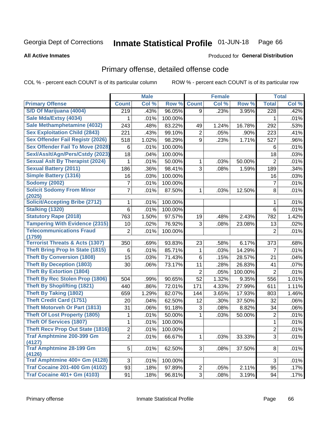#### Inmate Statistical Profile 01-JUN-18 Page 66

**All Active Inmates** 

### **Produced for General Distribution**

## Primary offense, detailed offense code

COL % - percent each COUNT is of its particular column

|                                            |                | <b>Male</b> |         |                | <b>Female</b> |         |                  | <b>Total</b> |
|--------------------------------------------|----------------|-------------|---------|----------------|---------------|---------|------------------|--------------|
| <b>Primary Offense</b>                     | <b>Count</b>   | Col %       | Row %   | <b>Count</b>   | Col %         | Row %   | <b>Total</b>     | Col %        |
| S/D Of Marijuana (4004)                    | 219            | .43%        | 96.05%  | 9              | .23%          | 3.95%   | $\overline{228}$ | .42%         |
| Sale Mda/Extsy (4034)                      |                | .01%        | 100.00% |                |               |         | 1                | .01%         |
| Sale Methamphetamine (4032)                | 243            | .48%        | 83.22%  | 49             | 1.24%         | 16.78%  | 292              | .53%         |
| <b>Sex Exploitation Child (2843)</b>       | 221            | .43%        | 99.10%  | $\overline{2}$ | .05%          | .90%    | 223              | .41%         |
| <b>Sex Offender Fail Registr (2026)</b>    | 518            | 1.02%       | 98.29%  | 9              | .23%          | 1.71%   | 527              | .96%         |
| <b>Sex Offender Fail To Move (2028)</b>    | 6              | .01%        | 100.00% |                |               |         | 6                | .01%         |
| Sexl/Asslt/Agn/Pers/Cstdy (2023)           | 18             | .04%        | 100.00% |                |               |         | 18               | .03%         |
| <b>Sexual Aslt By Therapist (2024)</b>     | 1              | .01%        | 50.00%  | 1              | .03%          | 50.00%  | $\overline{2}$   | .01%         |
| <b>Sexual Battery (2011)</b>               | 186            | .36%        | 98.41%  | 3              | .08%          | 1.59%   | 189              | .34%         |
| <b>Simple Battery (1316)</b>               | 16             | .03%        | 100.00% |                |               |         | 16               | .03%         |
| <b>Sodomy (2002)</b>                       | 7              | .01%        | 100.00% |                |               |         | $\overline{7}$   | .01%         |
| <b>Solicit Sodomy From Minor</b><br>(2025) | 7              | .01%        | 87.50%  | $\mathbf{1}$   | .03%          | 12.50%  | 8                | .01%         |
| <b>Solicit/Accepting Bribe (2712)</b>      | 1              | .01%        | 100.00% |                |               |         | 1                | .01%         |
| Stalking (1320)                            | 6              | .01%        | 100.00% |                |               |         | 6                | .01%         |
| <b>Statutory Rape (2018)</b>               | 763            | 1.50%       | 97.57%  | 19             | .48%          | 2.43%   | 782              | 1.42%        |
| <b>Tampering With Evidence (2315)</b>      | 10             | .02%        | 76.92%  | 3              | .08%          | 23.08%  | 13               | .02%         |
| <b>Telecommunications Fraud</b><br>(1759)  | $\overline{2}$ | .01%        | 100.00% |                |               |         | $\overline{2}$   | .01%         |
| <b>Terrorist Threats &amp; Acts (1307)</b> | 350            | .69%        | 93.83%  | 23             | .58%          | 6.17%   | 373              | .68%         |
| <b>Theft Bring Prop In State (1815)</b>    | 6              | .01%        | 85.71%  | 1              | .03%          | 14.29%  | $\overline{7}$   | .01%         |
| <b>Theft By Conversion (1808)</b>          | 15             | .03%        | 71.43%  | 6              | .15%          | 28.57%  | 21               | .04%         |
| <b>Theft By Deception (1803)</b>           | 30             | .06%        | 73.17%  | 11             | .28%          | 26.83%  | 41               | .07%         |
| <b>Theft By Extortion (1804)</b>           |                |             |         | $\overline{2}$ | .05%          | 100.00% | $\overline{2}$   | .01%         |
| <b>Theft By Rec Stolen Prop (1806)</b>     | 504            | .99%        | 90.65%  | 52             | 1.32%         | 9.35%   | 556              | 1.01%        |
| <b>Theft By Shoplifting (1821)</b>         | 440            | .86%        | 72.01%  | 171            | 4.33%         | 27.99%  | 611              | 1.11%        |
| <b>Theft By Taking (1802)</b>              | 659            | 1.29%       | 82.07%  | 144            | 3.65%         | 17.93%  | 803              | 1.46%        |
| <b>Theft Credit Card (1751)</b>            | 20             | .04%        | 62.50%  | 12             | .30%          | 37.50%  | 32               | .06%         |
| <b>Theft Motorveh Or Part (1813)</b>       | 31             | .06%        | 91.18%  | 3              | .08%          | 8.82%   | 34               | .06%         |
| <b>Theft Of Lost Property (1805)</b>       | 1              | .01%        | 50.00%  | $\mathbf{1}$   | .03%          | 50.00%  | 2                | .01%         |
| <b>Theft Of Services (1807)</b>            | 1              | .01%        | 100.00% |                |               |         | 1                | .01%         |
| <b>Theft Recv Prop Out State (1816)</b>    | $\overline{2}$ | .01%        | 100.00% |                |               |         | $\overline{2}$   | .01%         |
| <b>Traf Amphtmine 200-399 Gm</b><br>(4127) | $\overline{2}$ | .01%        | 66.67%  | $\mathbf{1}$   | .03%          | 33.33%  | 3                | .01%         |
| <b>Traf Amphtmine 28-199 Gm</b><br>(4126)  | 5              | .01%        | 62.50%  | 3              | .08%          | 37.50%  | 8                | .01%         |
| Traf Amphtmine 400+ Gm (4128)              | 3              | .01%        | 100.00% |                |               |         | 3                | .01%         |
| <b>Traf Cocaine 201-400 Gm (4102)</b>      | 93             | .18%        | 97.89%  | $\mathbf{2}$   | .05%          | 2.11%   | 95               | .17%         |
| <b>Traf Cocaine 401+ Gm (4103)</b>         | 91             | .18%        | 96.81%  | 3              | .08%          | 3.19%   | 94               | .17%         |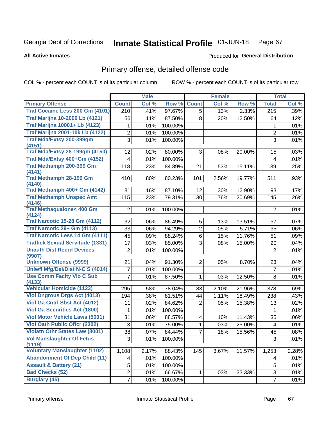#### Inmate Statistical Profile 01-JUN-18 Page 67

**All Active Inmates** 

### **Produced for General Distribution**

## Primary offense, detailed offense code

COL % - percent each COUNT is of its particular column

|                                               |                 | <b>Male</b> |         |                | Female |        |                          | <b>Total</b> |
|-----------------------------------------------|-----------------|-------------|---------|----------------|--------|--------|--------------------------|--------------|
| <b>Primary Offense</b>                        | <b>Count</b>    | Col %       | Row %   | <b>Count</b>   | Col %  | Row %  | <b>Total</b>             | Col %        |
| Traf Cocaine Less 200 Gm (4101)               | 210             | .41%        | 97.67%  | 5              | .13%   | 2.33%  | 215                      | .39%         |
| <b>Traf Marijna 10-2000 Lb (4121)</b>         | 56              | .11%        | 87.50%  | 8              | .20%   | 12.50% | 64                       | .12%         |
| <b>Traf Marijna 10001+ Lb (4123)</b>          | 1               | .01%        | 100.00% |                |        |        | 1                        | .01%         |
| <b>Traf Marijna 2001-10k Lb (4122)</b>        | $\overline{2}$  | .01%        | 100.00% |                |        |        | $\overline{2}$           | .01%         |
| Traf Mda/Extsy 200-399gm                      | 3               | .01%        | 100.00% |                |        |        | 3                        | .01%         |
| (4151)                                        |                 |             |         |                |        |        |                          |              |
| <b>Traf Mda/Extsy 28-199gm (4150)</b>         | 12              | .02%        | 80.00%  | 3              | .08%   | 20.00% | 15                       | .03%         |
| Traf Mda/Extsy 400+Gm (4152)                  | 4               | .01%        | 100.00% |                |        |        | $\overline{4}$           | .01%         |
| Traf Methamph 200-399 Gm                      | 118             | .23%        | 84.89%  | 21             | .53%   | 15.11% | 139                      | .25%         |
| (4141)<br><b>Traf Methamph 28-199 Gm</b>      | 410             | .80%        | 80.23%  | 101            | 2.56%  | 19.77% | 511                      | .93%         |
| (4140)                                        |                 |             |         |                |        |        |                          |              |
| Traf Methamph 400+ Gm (4142)                  | 81              | .16%        | 87.10%  | 12             | .30%   | 12.90% | 93                       | .17%         |
| <b>Traf Methamph Unspec Amt</b>               | 115             | .23%        | 79.31%  | 30             | .76%   | 20.69% | 145                      | .26%         |
| (4146)                                        |                 |             |         |                |        |        |                          |              |
| <b>Traf Methaqualone&lt; 400 Gm</b><br>(4124) | $\overline{2}$  | .01%        | 100.00% |                |        |        | $\overline{2}$           | .01%         |
| <b>Traf Narcotic 15-28 Gm (4112)</b>          | 32              | .06%        | 86.49%  | 5              | .13%   | 13.51% | 37                       | .07%         |
| Traf Narcotic 29+ Gm (4113)                   | 33              | .06%        | 94.29%  | $\overline{2}$ | .05%   | 5.71%  | 35                       | .06%         |
| <b>Traf Narcotic Less 14 Gm (4111)</b>        | 45              | .09%        | 88.24%  | 6              | .15%   | 11.76% | 51                       | .09%         |
| <b>Traffick Sexual Servitude (1331)</b>       | 17              | .03%        | 85.00%  | 3              | .08%   | 15.00% | 20                       | .04%         |
| <b>Unauth Dist Recrd Devices</b>              | $\overline{2}$  | .01%        | 100.00% |                |        |        | $\overline{2}$           | .01%         |
| (9907)                                        |                 |             |         |                |        |        |                          |              |
| <b>Unknown Offense (9999)</b>                 | 21              | .04%        | 91.30%  | $\overline{2}$ | .05%   | 8.70%  | 23                       | .04%         |
| Uniwfl Mfg/Del/Dist N-C S (4014)              | 7               | .01%        | 100.00% |                |        |        | $\overline{7}$           | .01%         |
| <b>Use Comm Facity Vio C Sub</b>              | 7               | .01%        | 87.50%  | $\mathbf 1$    | .03%   | 12.50% | 8                        | .01%         |
| (4133)                                        |                 |             |         |                |        |        |                          |              |
| <b>Vehicular Homicide (1123)</b>              | 295             | .58%        | 78.04%  | 83             | 2.10%  | 21.96% | 378                      | .69%         |
| <b>Viol Dngrous Drgs Act (4013)</b>           | 194             | .38%        | 81.51%  | 44             | 1.11%  | 18.49% | 238                      | .43%         |
| <b>Viol Ga Cntrl Sbst Act (4012)</b>          | 11              | .02%        | 84.62%  | $\overline{2}$ | .05%   | 15.38% | 13                       | .02%         |
| <b>Viol Ga Securities Act (1800)</b>          | 1               | .01%        | 100.00% |                |        |        | 1                        | .01%         |
| <b>Viol Motor Vehicle Laws (5001)</b>         | 31              | .06%        | 88.57%  | 4              | .10%   | 11.43% | 35                       | $.06\%$      |
| <b>Viol Oath Public Offcr (2302)</b>          | 3               | .01%        | 75.00%  | $\mathbf{1}$   | .03%   | 25.00% | $\overline{\mathcal{A}}$ | .01%         |
| <b>Violatn Othr States Law (8001)</b>         | $\overline{38}$ | .07%        | 84.44%  | $\overline{7}$ | .18%   | 15.56% | $\overline{45}$          | .08%         |
| <b>Vol Manslaughter Of Fetus</b><br>(1119)    | 3               | .01%        | 100.00% |                |        |        | 3                        | .01%         |
| <b>Voluntary Manslaughter (1102)</b>          | 1,108           | 2.17%       | 88.43%  | 145            | 3.67%  | 11.57% | 1,253                    | 2.28%        |
| <b>Abandonment Of Dep Child (11)</b>          | 4               | .01%        | 100.00% |                |        |        | 4                        | .01%         |
| <b>Assault &amp; Battery (21)</b>             | 5               | .01%        | 100.00% |                |        |        | 5                        | .01%         |
| <b>Bad Checks (52)</b>                        | $\overline{2}$  | .01%        | 66.67%  | $\mathbf{1}$   | .03%   | 33.33% | 3                        | .01%         |
| <b>Burglary (45)</b>                          | $\overline{7}$  | .01%        | 100.00% |                |        |        | $\overline{7}$           | .01%         |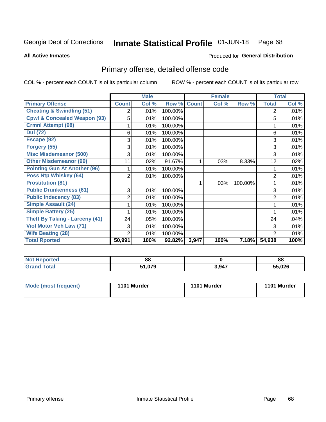#### Inmate Statistical Profile 01-JUN-18 Page 68

#### **All Active Inmates**

## Produced for General Distribution

## Primary offense, detailed offense code

COL % - percent each COUNT is of its particular column

|                                         |              | <b>Male</b> |         |              | <b>Female</b> |         |              | <b>Total</b> |
|-----------------------------------------|--------------|-------------|---------|--------------|---------------|---------|--------------|--------------|
| <b>Primary Offense</b>                  | <b>Count</b> | Col %       | Row %   | <b>Count</b> | Col %         | Row %   | <b>Total</b> | Col %        |
| <b>Cheating &amp; Swindling (51)</b>    | 2            | .01%        | 100.00% |              |               |         | 2            | .01%         |
| <b>Cpwl &amp; Concealed Weapon (93)</b> | 5            | .01%        | 100.00% |              |               |         | 5            | .01%         |
| <b>Crmnl Attempt (98)</b>               |              | .01%        | 100.00% |              |               |         |              | .01%         |
| <b>Dui (72)</b>                         | 6            | .01%        | 100.00% |              |               |         | 6            | .01%         |
| Escape (92)                             | 3            | .01%        | 100.00% |              |               |         | 3            | .01%         |
| Forgery (55)                            | 3            | .01%        | 100.00% |              |               |         | 3            | .01%         |
| <b>Misc Misdemeanor (500)</b>           | 3            | .01%        | 100.00% |              |               |         | 3            | .01%         |
| <b>Other Misdemeanor (99)</b>           | 11           | .02%        | 91.67%  |              | .03%          | 8.33%   | 12           | .02%         |
| <b>Pointing Gun At Another (96)</b>     |              | .01%        | 100.00% |              |               |         |              | .01%         |
| <b>Poss Ntp Whiskey (64)</b>            | 2            | .01%        | 100.00% |              |               |         | 2            | .01%         |
| <b>Prostitution (81)</b>                |              |             |         |              | .03%          | 100.00% |              | .01%         |
| <b>Public Drunkenness (61)</b>          | 3            | .01%        | 100.00% |              |               |         | 3            | .01%         |
| <b>Public Indecency (83)</b>            | 2            | .01%        | 100.00% |              |               |         | 2            | .01%         |
| <b>Simple Assault (24)</b>              |              | .01%        | 100.00% |              |               |         |              | .01%         |
| Simple Battery (25)                     |              | .01%        | 100.00% |              |               |         |              | .01%         |
| <b>Theft By Taking - Larceny (41)</b>   | 24           | .05%        | 100.00% |              |               |         | 24           | .04%         |
| Viol Motor Veh Law (71)                 | 3            | .01%        | 100.00% |              |               |         | 3            | .01%         |
| <b>Wife Beating (28)</b>                | 2            | .01%        | 100.00% |              |               |         | 2            | .01%         |
| <b>Total Rported</b>                    | 50,991       | 100%        | 92.82%  | 3,947        | 100%          | 7.18%   | 54,938       | 100%         |

| <b>Not Reported</b> | 88     |       | 88     |
|---------------------|--------|-------|--------|
| <b>cotal</b>        | $\sim$ | 3,947 | 55,026 |

| <b>Mode (most frequent)</b><br>1101 Murder<br>1101 Murder |  |  |  | 1101 Murder |
|-----------------------------------------------------------|--|--|--|-------------|
|-----------------------------------------------------------|--|--|--|-------------|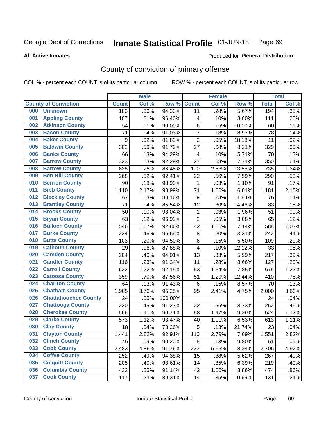#### Inmate Statistical Profile 01-JUN-18 Page 69

**All Active Inmates** 

#### Produced for General Distribution

## County of conviction of primary offense

COL % - percent each COUNT is of its particular column

|     |                             |              | <b>Male</b> |         |                         | <b>Female</b> |        |              | <b>Total</b> |
|-----|-----------------------------|--------------|-------------|---------|-------------------------|---------------|--------|--------------|--------------|
|     | <b>County of Conviction</b> | <b>Count</b> | Col %       | Row %   | <b>Count</b>            | Col %         | Row %  | <b>Total</b> | Col %        |
| 000 | <b>Unknown</b>              | 183          | .36%        | 94.33%  | 11                      | .28%          | 5.67%  | 194          | .35%         |
| 001 | <b>Appling County</b>       | 107          | .21%        | 96.40%  | 4                       | .10%          | 3.60%  | 111          | .20%         |
| 002 | <b>Atkinson County</b>      | 54           | .11%        | 90.00%  | 6                       | .15%          | 10.00% | 60           | .11%         |
| 003 | <b>Bacon County</b>         | 71           | .14%        | 91.03%  | $\overline{7}$          | .18%          | 8.97%  | 78           | .14%         |
| 004 | <b>Baker County</b>         | 9            | .02%        | 81.82%  | $\overline{2}$          | .05%          | 18.18% | 11           | .02%         |
| 005 | <b>Baldwin County</b>       | 302          | .59%        | 91.79%  | 27                      | .68%          | 8.21%  | 329          | .60%         |
| 006 | <b>Banks County</b>         | 66           | .13%        | 94.29%  | $\overline{\mathbf{4}}$ | .10%          | 5.71%  | 70           | .13%         |
| 007 | <b>Barrow County</b>        | 323          | .63%        | 92.29%  | 27                      | .68%          | 7.71%  | 350          | .64%         |
| 008 | <b>Bartow County</b>        | 638          | 1.25%       | 86.45%  | 100                     | 2.53%         | 13.55% | 738          | 1.34%        |
| 009 | <b>Ben Hill County</b>      | 268          | .52%        | 92.41%  | 22                      | .56%          | 7.59%  | 290          | .53%         |
| 010 | <b>Berrien County</b>       | 90           | .18%        | 98.90%  | 1                       | .03%          | 1.10%  | 91           | .17%         |
| 011 | <b>Bibb County</b>          | 1,110        | 2.17%       | 93.99%  | 71                      | 1.80%         | 6.01%  | 1,181        | 2.15%        |
| 012 | <b>Bleckley County</b>      | 67           | .13%        | 88.16%  | $\boldsymbol{9}$        | .23%          | 11.84% | 76           | .14%         |
| 013 | <b>Brantley County</b>      | 71           | .14%        | 85.54%  | 12                      | .30%          | 14.46% | 83           | .15%         |
| 014 | <b>Brooks County</b>        | 50           | .10%        | 98.04%  | $\mathbf{1}$            | .03%          | 1.96%  | 51           | .09%         |
| 015 | <b>Bryan County</b>         | 63           | .12%        | 96.92%  | $\overline{2}$          | .05%          | 3.08%  | 65           | .12%         |
| 016 | <b>Bulloch County</b>       | 546          | 1.07%       | 92.86%  | 42                      | 1.06%         | 7.14%  | 588          | 1.07%        |
| 017 | <b>Burke County</b>         | 234          | .46%        | 96.69%  | 8                       | .20%          | 3.31%  | 242          | .44%         |
| 018 | <b>Butts County</b>         | 103          | .20%        | 94.50%  | 6                       | .15%          | 5.50%  | 109          | .20%         |
| 019 | <b>Calhoun County</b>       | 29           | .06%        | 87.88%  | 4                       | .10%          | 12.12% | 33           | .06%         |
| 020 | <b>Camden County</b>        | 204          | .40%        | 94.01%  | 13                      | .33%          | 5.99%  | 217          | .39%         |
| 021 | <b>Candler County</b>       | 116          | .23%        | 91.34%  | 11                      | .28%          | 8.66%  | 127          | .23%         |
| 022 | <b>Carroll County</b>       | 622          | 1.22%       | 92.15%  | 53                      | 1.34%         | 7.85%  | 675          | 1.23%        |
| 023 | <b>Catoosa County</b>       | 359          | .70%        | 87.56%  | 51                      | 1.29%         | 12.44% | 410          | .75%         |
| 024 | <b>Charlton County</b>      | 64           | .13%        | 91.43%  | 6                       | .15%          | 8.57%  | 70           | .13%         |
| 025 | <b>Chatham County</b>       | 1,905        | 3.73%       | 95.25%  | 95                      | 2.41%         | 4.75%  | 2,000        | 3.63%        |
| 026 | <b>Chattahoochee County</b> | 24           | .05%        | 100.00% |                         |               |        | 24           | .04%         |
| 027 | <b>Chattooga County</b>     | 230          | .45%        | 91.27%  | 22                      | .56%          | 8.73%  | 252          | .46%         |
| 028 | <b>Cherokee County</b>      | 566          | 1.11%       | 90.71%  | 58                      | 1.47%         | 9.29%  | 624          | 1.13%        |
| 029 | <b>Clarke County</b>        | 573          | 1.12%       | 93.47%  | 40                      | 1.01%         | 6.53%  | 613          | 1.11%        |
| 030 | <b>Clay County</b>          | 18           | .04%        | 78.26%  | 5                       | .13%          | 21.74% | 23           | .04%         |
| 031 | <b>Clayton County</b>       | 1,441        | 2.82%       | 92.91%  | 110                     | 2.79%         | 7.09%  | 1,551        | 2.82%        |
| 032 | <b>Clinch County</b>        | 46           | .09%        | 90.20%  | 5                       | .13%          | 9.80%  | 51           | .09%         |
| 033 | <b>Cobb County</b>          | 2,483        | 4.86%       | 91.76%  | 223                     | 5.65%         | 8.24%  | 2,706        | 4.92%        |
| 034 | <b>Coffee County</b>        | 252          | .49%        | 94.38%  | 15                      | .38%          | 5.62%  | 267          | .49%         |
| 035 | <b>Colquitt County</b>      | 205          | .40%        | 93.61%  | 14                      | .35%          | 6.39%  | 219          | .40%         |
| 036 | <b>Columbia County</b>      | 432          | .85%        | 91.14%  | 42                      | 1.06%         | 8.86%  | 474          | .86%         |
| 037 | <b>Cook County</b>          | 117          | .23%        | 89.31%  | 14                      | .35%          | 10.69% | 131          | .24%         |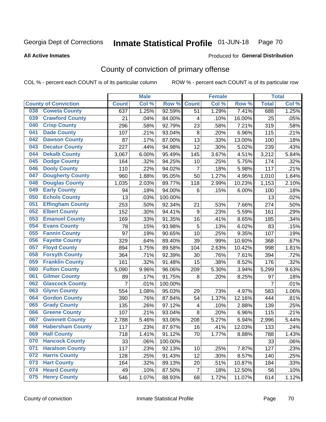#### Inmate Statistical Profile 01-JUN-18 Page 70

Produced for General Distribution

#### **All Active Inmates**

## County of conviction of primary offense

COL % - percent each COUNT is of its particular column

|     |                             |                | <b>Male</b> |         |                  | <b>Female</b> |        |                | <b>Total</b> |
|-----|-----------------------------|----------------|-------------|---------|------------------|---------------|--------|----------------|--------------|
|     | <b>County of Conviction</b> | <b>Count</b>   | Col %       | Row %   | <b>Count</b>     | Col %         | Row %  | <b>Total</b>   | Col %        |
| 038 | <b>Coweta County</b>        | 637            | 1.25%       | 92.59%  | 51               | 1.29%         | 7.41%  | 688            | 1.25%        |
| 039 | <b>Crawford County</b>      | 21             | .04%        | 84.00%  | 4                | .10%          | 16.00% | 25             | .05%         |
| 040 | <b>Crisp County</b>         | 296            | .58%        | 92.79%  | 23               | .58%          | 7.21%  | 319            | .58%         |
| 041 | <b>Dade County</b>          | 107            | .21%        | 93.04%  | $\, 8$           | .20%          | 6.96%  | 115            | .21%         |
| 042 | <b>Dawson County</b>        | 87             | .17%        | 87.00%  | 13               | .33%          | 13.00% | 100            | .18%         |
| 043 | <b>Decatur County</b>       | 227            | .44%        | 94.98%  | 12               | .30%          | 5.02%  | 239            | .43%         |
| 044 | <b>Dekalb County</b>        | 3,067          | 6.00%       | 95.49%  | 145              | 3.67%         | 4.51%  | 3,212          | 5.84%        |
| 045 | <b>Dodge County</b>         | 164            | .32%        | 94.25%  | 10               | .25%          | 5.75%  | 174            | .32%         |
| 046 | <b>Dooly County</b>         | 110            | .22%        | 94.02%  | $\overline{7}$   | .18%          | 5.98%  | 117            | .21%         |
| 047 | <b>Dougherty County</b>     | 960            | 1.88%       | 95.05%  | 50               | 1.27%         | 4.95%  | 1,010          | 1.84%        |
| 048 | <b>Douglas County</b>       | 1,035          | 2.03%       | 89.77%  | 118              | 2.99%         | 10.23% | 1,153          | 2.10%        |
| 049 | <b>Early County</b>         | 94             | .18%        | 94.00%  | $6\phantom{1}$   | .15%          | 6.00%  | 100            | .18%         |
| 050 | <b>Echols County</b>        | 13             | .03%        | 100.00% |                  |               |        | 13             | .02%         |
| 051 | <b>Effingham County</b>     | 253            | .50%        | 92.34%  | 21               | .53%          | 7.66%  | 274            | .50%         |
| 052 | <b>Elbert County</b>        | 152            | .30%        | 94.41%  | $\boldsymbol{9}$ | .23%          | 5.59%  | 161            | .29%         |
| 053 | <b>Emanuel County</b>       | 169            | .33%        | 91.35%  | 16               | .41%          | 8.65%  | 185            | .34%         |
| 054 | <b>Evans County</b>         | 78             | .15%        | 93.98%  | 5                | .13%          | 6.02%  | 83             | .15%         |
| 055 | <b>Fannin County</b>        | 97             | .19%        | 90.65%  | 10               | .25%          | 9.35%  | 107            | .19%         |
| 056 | <b>Fayette County</b>       | 329            | .64%        | 89.40%  | 39               | .99%          | 10.60% | 368            | .67%         |
| 057 | <b>Floyd County</b>         | 894            | 1.75%       | 89.58%  | 104              | 2.63%         | 10.42% | 998            | 1.81%        |
| 058 | <b>Forsyth County</b>       | 364            | .71%        | 92.39%  | 30               | .76%          | 7.61%  | 394            | .72%         |
| 059 | <b>Franklin County</b>      | 161            | .32%        | 91.48%  | 15               | .38%          | 8.52%  | 176            | .32%         |
| 060 | <b>Fulton County</b>        | 5,090          | 9.96%       | 96.06%  | 209              | 5.30%         | 3.94%  | 5,299          | 9.63%        |
| 061 | <b>Gilmer County</b>        | 89             | .17%        | 91.75%  | 8                | .20%          | 8.25%  | 97             | .18%         |
| 062 | <b>Glascock County</b>      | $\overline{7}$ | .01%        | 100.00% |                  |               |        | $\overline{7}$ | .01%         |
| 063 | <b>Glynn County</b>         | 554            | 1.08%       | 95.03%  | 29               | .73%          | 4.97%  | 583            | 1.06%        |
| 064 | <b>Gordon County</b>        | 390            | .76%        | 87.84%  | 54               | 1.37%         | 12.16% | 444            | .81%         |
| 065 | <b>Grady County</b>         | 135            | .26%        | 97.12%  | 4                | .10%          | 2.88%  | 139            | .25%         |
| 066 | <b>Greene County</b>        | 107            | .21%        | 93.04%  | 8                | .20%          | 6.96%  | 115            | .21%         |
| 067 | <b>Gwinnett County</b>      | 2,788          | 5.46%       | 93.06%  | 208              | 5.27%         | 6.94%  | 2,996          | 5.44%        |
| 068 | <b>Habersham County</b>     | 117            | .23%        | 87.97%  | 16               | .41%          | 12.03% | 133            | .24%         |
| 069 | <b>Hall County</b>          | 718            | 1.41%       | 91.12%  | 70               | 1.77%         | 8.88%  | 788            | 1.43%        |
| 070 | <b>Hancock County</b>       | 33             | .06%        | 100.00% |                  |               |        | 33             | .06%         |
| 071 | <b>Haralson County</b>      | 117            | .23%        | 92.13%  | 10               | .25%          | 7.87%  | 127            | .23%         |
| 072 | <b>Harris County</b>        | 128            | .25%        | 91.43%  | 12               | .30%          | 8.57%  | 140            | .25%         |
| 073 | <b>Hart County</b>          | 164            | .32%        | 89.13%  | 20               | .51%          | 10.87% | 184            | .33%         |
| 074 | <b>Heard County</b>         | 49             | .10%        | 87.50%  | $\overline{7}$   | .18%          | 12.50% | 56             | .10%         |
| 075 | <b>Henry County</b>         | 546            | 1.07%       | 88.93%  | 68               | 1.72%         | 11.07% | 614            | 1.12%        |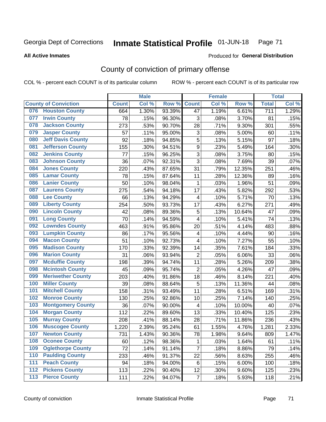#### Inmate Statistical Profile 01-JUN-18 Page 71

#### **All Active Inmates**

#### Produced for General Distribution

## County of conviction of primary offense

COL % - percent each COUNT is of its particular column

|                  |                             |              | <b>Male</b> |        |                         | <b>Female</b> |        |              | <b>Total</b> |
|------------------|-----------------------------|--------------|-------------|--------|-------------------------|---------------|--------|--------------|--------------|
|                  | <b>County of Conviction</b> | <b>Count</b> | Col %       | Row %  | <b>Count</b>            | Col %         | Row %  | <b>Total</b> | Col %        |
|                  | 076 Houston County          | 664          | 1.30%       | 93.39% | 47                      | 1.19%         | 6.61%  | 711          | 1.29%        |
| 077              | <b>Irwin County</b>         | 78           | .15%        | 96.30% | 3                       | .08%          | 3.70%  | 81           | .15%         |
| 078              | <b>Jackson County</b>       | 273          | .53%        | 90.70% | 28                      | .71%          | 9.30%  | 301          | .55%         |
| 079              | <b>Jasper County</b>        | 57           | .11%        | 95.00% | 3                       | .08%          | 5.00%  | 60           | .11%         |
| 080              | <b>Jeff Davis County</b>    | 92           | .18%        | 94.85% | 5                       | .13%          | 5.15%  | 97           | .18%         |
| 081              | <b>Jefferson County</b>     | 155          | .30%        | 94.51% | $\boldsymbol{9}$        | .23%          | 5.49%  | 164          | .30%         |
| 082              | <b>Jenkins County</b>       | 77           | .15%        | 96.25% | 3                       | .08%          | 3.75%  | 80           | .15%         |
| 083              | <b>Johnson County</b>       | 36           | .07%        | 92.31% | 3                       | .08%          | 7.69%  | 39           | .07%         |
| 084              | <b>Jones County</b>         | 220          | .43%        | 87.65% | 31                      | .79%          | 12.35% | 251          | .46%         |
| 085              | <b>Lamar County</b>         | 78           | .15%        | 87.64% | 11                      | .28%          | 12.36% | 89           | .16%         |
| 086              | <b>Lanier County</b>        | 50           | .10%        | 98.04% | 1                       | .03%          | 1.96%  | 51           | .09%         |
| 087              | <b>Laurens County</b>       | 275          | .54%        | 94.18% | 17                      | .43%          | 5.82%  | 292          | .53%         |
| 088              | <b>Lee County</b>           | 66           | .13%        | 94.29% | 4                       | .10%          | 5.71%  | 70           | .13%         |
| 089              | <b>Liberty County</b>       | 254          | .50%        | 93.73% | 17                      | .43%          | 6.27%  | 271          | .49%         |
| 090              | <b>Lincoln County</b>       | 42           | .08%        | 89.36% | 5                       | .13%          | 10.64% | 47           | .09%         |
| 091              | <b>Long County</b>          | 70           | .14%        | 94.59% | 4                       | .10%          | 5.41%  | 74           | .13%         |
| 092              | <b>Lowndes County</b>       | 463          | .91%        | 95.86% | 20                      | .51%          | 4.14%  | 483          | .88%         |
| 093              | <b>Lumpkin County</b>       | 86           | .17%        | 95.56% | 4                       | .10%          | 4.44%  | 90           | .16%         |
| 094              | <b>Macon County</b>         | 51           | .10%        | 92.73% | 4                       | .10%          | 7.27%  | 55           | .10%         |
| 095              | <b>Madison County</b>       | 170          | .33%        | 92.39% | 14                      | .35%          | 7.61%  | 184          | .33%         |
| 096              | <b>Marion County</b>        | 31           | .06%        | 93.94% | $\overline{2}$          | .05%          | 6.06%  | 33           | .06%         |
| 097              | <b>Mcduffie County</b>      | 198          | .39%        | 94.74% | 11                      | .28%          | 5.26%  | 209          | .38%         |
| 098              | <b>Mcintosh County</b>      | 45           | .09%        | 95.74% | $\overline{2}$          | .05%          | 4.26%  | 47           | .09%         |
| 099              | <b>Meriwether County</b>    | 203          | .40%        | 91.86% | 18                      | .46%          | 8.14%  | 221          | .40%         |
| 100              | <b>Miller County</b>        | 39           | .08%        | 88.64% | 5                       | .13%          | 11.36% | 44           | .08%         |
| 101              | <b>Mitchell County</b>      | 158          | .31%        | 93.49% | 11                      | .28%          | 6.51%  | 169          | .31%         |
| 102              | <b>Monroe County</b>        | 130          | .25%        | 92.86% | 10                      | .25%          | 7.14%  | 140          | .25%         |
| 103              | <b>Montgomery County</b>    | 36           | .07%        | 90.00% | $\overline{\mathbf{4}}$ | .10%          | 10.00% | 40           | .07%         |
| 104              | <b>Morgan County</b>        | 112          | .22%        | 89.60% | 13                      | .33%          | 10.40% | 125          | .23%         |
| 105              | <b>Murray County</b>        | 208          | .41%        | 88.14% | 28                      | .71%          | 11.86% | 236          | .43%         |
| 106              | <b>Muscogee County</b>      | 1,220        | 2.39%       | 95.24% | 61                      | 1.55%         | 4.76%  | 1,281        | 2.33%        |
| 107              | <b>Newton County</b>        | 731          | 1.43%       | 90.36% | 78                      | 1.98%         | 9.64%  | 809          | 1.47%        |
| 108              | <b>Oconee County</b>        | 60           | .12%        | 98.36% | 1                       | .03%          | 1.64%  | 61           | .11%         |
| 109              | <b>Oglethorpe County</b>    | 72           | .14%        | 91.14% | $\overline{7}$          | .18%          | 8.86%  | 79           | .14%         |
| 110              | <b>Paulding County</b>      | 233          | .46%        | 91.37% | 22                      | .56%          | 8.63%  | 255          | .46%         |
| 111              | <b>Peach County</b>         | 94           | .18%        | 94.00% | 6                       | .15%          | 6.00%  | 100          | .18%         |
| $\overline{112}$ | <b>Pickens County</b>       | 113          | .22%        | 90.40% | 12                      | .30%          | 9.60%  | 125          | .23%         |
| 113              | <b>Pierce County</b>        | 111          | .22%        | 94.07% | $\overline{7}$          | .18%          | 5.93%  | 118          | .21%         |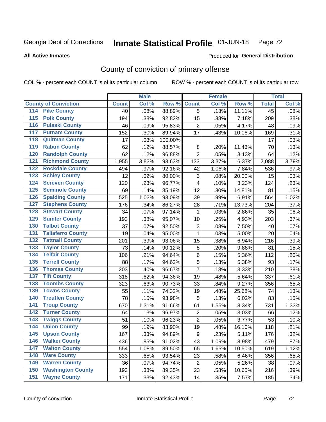#### Inmate Statistical Profile 01-JUN-18 Page 72

Produced for General Distribution

#### **All Active Inmates**

## County of conviction of primary offense

COL % - percent each COUNT is of its particular column

|                                          |              | <b>Male</b> |         |                         | <b>Female</b> |        |              | <b>Total</b> |
|------------------------------------------|--------------|-------------|---------|-------------------------|---------------|--------|--------------|--------------|
| <b>County of Conviction</b>              | <b>Count</b> | Col %       | Row %   | <b>Count</b>            | Col %         | Row %  | <b>Total</b> | Col %        |
| 114 Pike County                          | 40           | .08%        | 88.89%  | $\overline{5}$          | .13%          | 11.11% | 45           | .08%         |
| <b>Polk County</b><br>$\overline{115}$   | 194          | .38%        | 92.82%  | 15                      | .38%          | 7.18%  | 209          | .38%         |
| <b>Pulaski County</b><br>116             | 46           | .09%        | 95.83%  | $\overline{c}$          | .05%          | 4.17%  | 48           | .09%         |
| 117<br><b>Putnam County</b>              | 152          | .30%        | 89.94%  | 17                      | .43%          | 10.06% | 169          | .31%         |
| <b>Quitman County</b><br>118             | 17           | .03%        | 100.00% |                         |               |        | 17           | .03%         |
| <b>Rabun County</b><br>119               | 62           | .12%        | 88.57%  | 8                       | .20%          | 11.43% | 70           | .13%         |
| <b>Randolph County</b><br>120            | 62           | .12%        | 96.88%  | $\overline{2}$          | .05%          | 3.13%  | 64           | .12%         |
| <b>Richmond County</b><br>121            | 1,955        | 3.83%       | 93.63%  | 133                     | 3.37%         | 6.37%  | 2,088        | 3.79%        |
| <b>Rockdale County</b><br>122            | 494          | .97%        | 92.16%  | 42                      | 1.06%         | 7.84%  | 536          | .97%         |
| <b>Schley County</b><br>123              | 12           | .02%        | 80.00%  | 3                       | .08%          | 20.00% | 15           | .03%         |
| <b>Screven County</b><br>124             | 120          | .23%        | 96.77%  | $\overline{\mathbf{4}}$ | .10%          | 3.23%  | 124          | .23%         |
| <b>Seminole County</b><br>125            | 69           | .14%        | 85.19%  | 12                      | .30%          | 14.81% | 81           | .15%         |
| 126<br><b>Spalding County</b>            | 525          | 1.03%       | 93.09%  | 39                      | .99%          | 6.91%  | 564          | 1.02%        |
| <b>Stephens County</b><br>127            | 176          | .34%        | 86.27%  | 28                      | .71%          | 13.73% | 204          | .37%         |
| <b>Stewart County</b><br>128             | 34           | .07%        | 97.14%  | $\mathbf{1}$            | .03%          | 2.86%  | 35           | .06%         |
| <b>Sumter County</b><br>129              | 193          | .38%        | 95.07%  | 10                      | .25%          | 4.93%  | 203          | .37%         |
| <b>Talbot County</b><br>130              | 37           | .07%        | 92.50%  | 3                       | .08%          | 7.50%  | 40           | .07%         |
| <b>Taliaferro County</b><br>131          | 19           | .04%        | 95.00%  | $\mathbf{1}$            | .03%          | 5.00%  | 20           | .04%         |
| <b>Tattnall County</b><br>132            | 201          | .39%        | 93.06%  | 15                      | .38%          | 6.94%  | 216          | .39%         |
| <b>Taylor County</b><br>133              | 73           | .14%        | 90.12%  | $\bf 8$                 | .20%          | 9.88%  | 81           | .15%         |
| <b>Telfair County</b><br>134             | 106          | .21%        | 94.64%  | $\,6$                   | .15%          | 5.36%  | 112          | .20%         |
| <b>Terrell County</b><br>135             | 88           | .17%        | 94.62%  | 5                       | .13%          | 5.38%  | 93           | .17%         |
| <b>Thomas County</b><br>136              | 203          | .40%        | 96.67%  | $\overline{7}$          | .18%          | 3.33%  | 210          | .38%         |
| <b>Tift County</b><br>137                | 318          | .62%        | 94.36%  | 19                      | .48%          | 5.64%  | 337          | .61%         |
| <b>Toombs County</b><br>138              | 323          | .63%        | 90.73%  | 33                      | .84%          | 9.27%  | 356          | .65%         |
| <b>Towns County</b><br>139               | 55           | .11%        | 74.32%  | 19                      | .48%          | 25.68% | 74           | .13%         |
| <b>Treutlen County</b><br>140            | 78           | .15%        | 93.98%  | 5                       | .13%          | 6.02%  | 83           | .15%         |
| <b>Troup County</b><br>141               | 670          | 1.31%       | 91.66%  | 61                      | 1.55%         | 8.34%  | 731          | 1.33%        |
| <b>Turner County</b><br>142              | 64           | .13%        | 96.97%  | $\overline{2}$          | .05%          | 3.03%  | 66           | .12%         |
| <b>Twiggs County</b><br>$\overline{143}$ | 51           | .10%        | 96.23%  | $\overline{2}$          | .05%          | 3.77%  | 53           | .10%         |
| <b>Union County</b><br>144               | 99           | .19%        | 83.90%  | 19                      | .48%          | 16.10% | 118          | .21%         |
| 145<br><b>Upson County</b>               | 167          | .33%        | 94.89%  | 9                       | .23%          | 5.11%  | 176          | .32%         |
| <b>Walker County</b><br>146              | 436          | .85%        | 91.02%  | 43                      | 1.09%         | 8.98%  | 479          | .87%         |
| <b>Walton County</b><br>147              | 554          | 1.08%       | 89.50%  | 65                      | 1.65%         | 10.50% | 619          | 1.12%        |
| <b>Ware County</b><br>148                | 333          | .65%        | 93.54%  | 23                      | .58%          | 6.46%  | 356          | .65%         |
| <b>Warren County</b><br>149              | 36           | .07%        | 94.74%  | $\overline{2}$          | .05%          | 5.26%  | 38           | .07%         |
| <b>Washington County</b><br>150          | 193          | .38%        | 89.35%  | 23                      | .58%          | 10.65% | 216          | .39%         |
| <b>Wayne County</b><br>151               | 171          | .33%        | 92.43%  | 14                      | .35%          | 7.57%  | 185          | .34%         |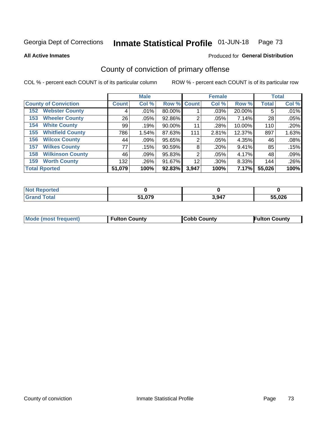#### Inmate Statistical Profile 01-JUN-18 Page 73

**All Active Inmates** 

### Produced for General Distribution

## County of conviction of primary offense

COL % - percent each COUNT is of its particular column

|                                |              | <b>Male</b> |             |       | <b>Female</b> |              |              | <b>Total</b> |
|--------------------------------|--------------|-------------|-------------|-------|---------------|--------------|--------------|--------------|
| <b>County of Conviction</b>    | <b>Count</b> | Col %       | Row % Count |       | Col %         | Row %        | <b>Total</b> | Col %        |
| <b>Webster County</b><br>152   | 4            | .01%        | 80.00%      |       | .03%          | 20.00%       | 5            | .01%         |
| <b>Wheeler County</b><br>153   | 26           | .05%        | 92.86%      | 2     | .05%          | 7.14%        | 28           | .05%         |
| <b>White County</b><br>154     | 99           | .19%        | $90.00\%$   | 11    | .28%          | 10.00%       | 110          | .20%         |
| <b>Whitfield County</b><br>155 | 786          | 1.54%       | 87.63%      | 111   | 2.81%         | 12.37%       | 897          | 1.63%        |
| <b>Wilcox County</b><br>156    | 44           | $.09\%$     | 95.65%      | 2     | .05%          | 4.35%        | 46           | .08%         |
| <b>Wilkes County</b><br>157    | 77           | .15%        | 90.59%      | 8     | .20%          | 9.41%        | 85           | .15%         |
| <b>Wilkinson County</b><br>158 | 46           | .09%        | 95.83%      | 2     | .05%          | 4.17%        | 48           | .09%         |
| <b>Worth County</b><br>159     | 132          | .26%        | 91.67%      | 12    | .30%          | 8.33%        | 144          | .26%         |
| <b>Total Rported</b>           | 51,079       | 100%        | 92.83%      | 3,947 | 100%          | <b>7.17%</b> | 55,026       | 100%         |

| <b>Not Reported</b> |        |       |        |
|---------------------|--------|-------|--------|
| <b>Grand Total</b>  | 51,079 | 3,947 | 55,026 |

| Mode (most frequent) | <b>Fulton County</b> | <b>Cobb County</b> | <b>Fulton County</b> |
|----------------------|----------------------|--------------------|----------------------|
|                      |                      |                    |                      |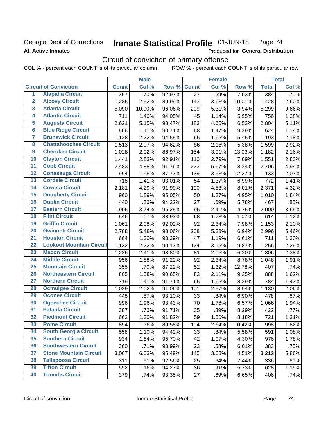## Georgia Dept of Corrections **All Active Inmates**

#### Inmate Statistical Profile 01-JUN-18 Page 74

Produced for General Distribution

## Circuit of conviction of primary offense

COL % - percent each COUNT is of its particular column ROW % - percent each COUNT is of its particular row

|                         |                                 |              | <b>Male</b> |        |                 | <b>Female</b> |        |              | <b>Total</b> |
|-------------------------|---------------------------------|--------------|-------------|--------|-----------------|---------------|--------|--------------|--------------|
|                         | <b>Circuit of Conviction</b>    | <b>Count</b> | Col %       | Row %  | <b>Count</b>    | Col %         | Row %  | <b>Total</b> | Col %        |
| 1                       | <b>Alapaha Circuit</b>          | 357          | .70%        | 92.97% | $\overline{27}$ | .69%          | 7.03%  | 384          | .70%         |
| $\overline{2}$          | <b>Alcovy Circuit</b>           | 1,285        | 2.52%       | 89.99% | 143             | 3.63%         | 10.01% | 1,428        | 2.60%        |
| $\overline{\mathbf{3}}$ | <b>Atlanta Circuit</b>          | 5,090        | 10.00%      | 96.06% | 209             | 5.31%         | 3.94%  | 5,299        | 9.66%        |
| 4                       | <b>Atlantic Circuit</b>         | 711          | 1.40%       | 94.05% | 45              | 1.14%         | 5.95%  | 756          | 1.38%        |
| 5                       | <b>Augusta Circuit</b>          | 2,621        | 5.15%       | 93.47% | 183             | 4.65%         | 6.53%  | 2,804        | 5.11%        |
| $\overline{6}$          | <b>Blue Ridge Circuit</b>       | 566          | 1.11%       | 90.71% | 58              | 1.47%         | 9.29%  | 624          | 1.14%        |
| 7                       | <b>Brunswick Circuit</b>        | 1,128        | 2.22%       | 94.55% | 65              | 1.65%         | 5.45%  | 1,193        | 2.18%        |
| 8                       | <b>Chattahoochee Circuit</b>    | 1,513        | 2.97%       | 94.62% | 86              | 2.18%         | 5.38%  | 1,599        | 2.92%        |
| 9                       | <b>Cherokee Circuit</b>         | 1,028        | 2.02%       | 86.97% | 154             | 3.91%         | 13.03% | 1,182        | 2.16%        |
| 10                      | <b>Clayton Circuit</b>          | 1,441        | 2.83%       | 92.91% | 110             | 2.79%         | 7.09%  | 1,551        | 2.83%        |
| $\overline{11}$         | <b>Cobb Circuit</b>             | 2,483        | 4.88%       | 91.76% | 223             | 5.67%         | 8.24%  | 2,706        | 4.94%        |
| 12                      | <b>Conasauga Circuit</b>        | 994          | 1.95%       | 87.73% | 139             | 3.53%         | 12.27% | 1,133        | 2.07%        |
| 13                      | <b>Cordele Circuit</b>          | 718          | 1.41%       | 93.01% | 54              | 1.37%         | 6.99%  | 772          | 1.41%        |
| $\overline{14}$         | <b>Coweta Circuit</b>           | 2,181        | 4.29%       | 91.99% | 190             | 4.83%         | 8.01%  | 2,371        | 4.32%        |
| 15                      | <b>Dougherty Circuit</b>        | 960          | 1.89%       | 95.05% | 50              | 1.27%         | 4.95%  | 1,010        | 1.84%        |
| 16                      | <b>Dublin Circuit</b>           | 440          | .86%        | 94.22% | 27              | .69%          | 5.78%  | 467          | .85%         |
| 17                      | <b>Eastern Circuit</b>          | 1,905        | 3.74%       | 95.25% | 95              | 2.41%         | 4.75%  | 2,000        | 3.65%        |
| 18                      | <b>Flint Circuit</b>            | 546          | 1.07%       | 88.93% | 68              | 1.73%         | 11.07% | 614          | 1.12%        |
| 19                      | <b>Griffin Circuit</b>          | 1,061        | 2.08%       | 92.02% | 92              | 2.34%         | 7.98%  | 1,153        | 2.10%        |
| 20                      | <b>Gwinnett Circuit</b>         | 2,788        | 5.48%       | 93.06% | 208             | 5.28%         | 6.94%  | 2,996        | 5.46%        |
| $\overline{21}$         | <b>Houston Circuit</b>          | 664          | 1.30%       | 93.39% | 47              | 1.19%         | 6.61%  | 711          | 1.30%        |
| $\overline{22}$         | <b>Lookout Mountain Circuit</b> | 1,132        | 2.22%       | 90.13% | 124             | 3.15%         | 9.87%  | 1,256        | 2.29%        |
| 23                      | <b>Macon Circuit</b>            | 1,225        | 2.41%       | 93.80% | 81              | 2.06%         | 6.20%  | 1,306        | 2.38%        |
| 24                      | <b>Middle Circuit</b>           | 956          | 1.88%       | 91.22% | 92              | 2.34%         | 8.78%  | 1,048        | 1.91%        |
| $\overline{25}$         | <b>Mountain Circuit</b>         | 355          | .70%        | 87.22% | 52              | 1.32%         | 12.78% | 407          | .74%         |
| 26                      | <b>Northeastern Circuit</b>     | 805          | 1.58%       | 90.65% | 83              | 2.11%         | 9.35%  | 888          | 1.62%        |
| $\overline{27}$         | <b>Northern Circuit</b>         | 719          | 1.41%       | 91.71% | 65              | 1.65%         | 8.29%  | 784          | 1.43%        |
| 28                      | <b>Ocmulgee Circuit</b>         | 1,029        | 2.02%       | 91.06% | 101             | 2.57%         | 8.94%  | 1,130        | 2.06%        |
| 29                      | <b>Oconee Circuit</b>           | 445          | .87%        | 93.10% | 33              | .84%          | 6.90%  | 478          | .87%         |
| 30                      | <b>Ogeechee Circuit</b>         | 996          | 1.96%       | 93.43% | 70              | 1.78%         | 6.57%  | 1,066        | 1.94%        |
| $\overline{31}$         | <b>Pataula Circuit</b>          | 387          | .76%        | 91.71% | 35              | .89%          | 8.29%  | 422          | .77%         |
| 32                      | <b>Piedmont Circuit</b>         | 662          | 1.30%       | 91.82% | 59              | 1.50%         | 8.18%  | 721          | 1.31%        |
| 33                      | <b>Rome Circuit</b>             | 894          | 1.76%       | 89.58% | 104             | 2.64%         | 10.42% | 998          | 1.82%        |
| 34                      | <b>South Georgia Circuit</b>    | 558          | 1.10%       | 94.42% | 33              | .84%          | 5.58%  | 591          | 1.08%        |
| 35                      | <b>Southern Circuit</b>         | 934          | 1.84%       | 95.70% | 42              | 1.07%         | 4.30%  | 976          | 1.78%        |
| 36                      | <b>Southwestern Circuit</b>     | 360          | .71%        | 93.99% | 23              | .58%          | 6.01%  | 383          | .70%         |
| 37                      | <b>Stone Mountain Circuit</b>   | 3,067        | 6.03%       | 95.49% | 145             | 3.68%         | 4.51%  | 3,212        | 5.86%        |
| 38                      | <b>Tallapoosa Circuit</b>       | 311          | .61%        | 92.56% | 25              | .64%          | 7.44%  | 336          | .61%         |
| 39                      | <b>Tifton Circuit</b>           | 592          | 1.16%       | 94.27% | 36              | .91%          | 5.73%  | 628          | 1.15%        |
| 40                      | <b>Toombs Circuit</b>           | 379          | .74%        | 93.35% | 27              | .69%          | 6.65%  | 406          | .74%         |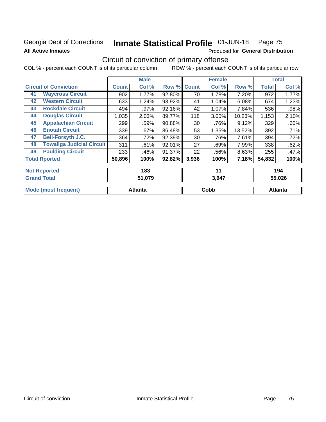## Georgia Dept of Corrections **All Active Inmates**

# Inmate Statistical Profile 01-JUN-18 Page 75

Produced for General Distribution

## Circuit of conviction of primary offense

COL % - percent each COUNT is of its particular column ROW % - percent each COUNT is of its particular row

|                                        |              | <b>Male</b> |        |                 | <b>Female</b> |        |        | <b>Total</b> |
|----------------------------------------|--------------|-------------|--------|-----------------|---------------|--------|--------|--------------|
| <b>Circuit of Conviction</b>           | <b>Count</b> | Col %       | Row %  | <b>Count</b>    | Col %         | Row %  | Total  | Col %        |
| <b>Waycross Circuit</b><br>41          | 902          | 1.77%       | 92.80% | 70              | 1.78%         | 7.20%  | 972    | 1.77%        |
| <b>Western Circuit</b><br>42           | 633          | 1.24%       | 93.92% | 41              | 1.04%         | 6.08%  | 674    | 1.23%        |
| <b>Rockdale Circuit</b><br>43          | 494          | .97%        | 92.16% | 42              | 1.07%         | 7.84%  | 536    | .98%         |
| <b>Douglas Circuit</b><br>44           | 1,035        | 2.03%       | 89.77% | 118             | 3.00%         | 10.23% | 1,153  | 2.10%        |
| <b>Appalachian Circuit</b><br>45       | 299          | .59%        | 90.88% | 30 <sup>1</sup> | .76%          | 9.12%  | 329    | .60%         |
| <b>Enotah Circuit</b><br>46            | 339          | $.67\%$     | 86.48% | 53              | 1.35%         | 13.52% | 392    | .71%         |
| 47<br><b>Bell-Forsyth J.C.</b>         | 364          | .72%        | 92.39% | 30              | .76%          | 7.61%  | 394    | .72%         |
| <b>Towaliga Judicial Circuit</b><br>48 | 311          | .61%        | 92.01% | 27              | .69%          | 7.99%  | 338    | .62%         |
| <b>Paulding Circuit</b><br>49          | 233          | .46%        | 91.37% | 22              | .56%          | 8.63%  | 255    | .47%         |
| <b>Total Rported</b>                   | 50,896       | 100%        | 92.82% | 3,936           | 100%          | 7.18%  | 54,832 | 100%         |
| <b>Not Reported</b>                    |              | 183         |        |                 | 11            |        |        | 194          |
| <b>Grand Total</b>                     |              | 51.079      |        |                 | 3.947         |        |        | 55.026       |

| $v \sim v \sim v$ | 5.571 | <b></b> | $V1$ unu TV          |
|-------------------|-------|---------|----------------------|
|                   |       |         |                      |
| ⊿tlanta           | Cobb  | Atlanta | Mode (most frequent) |
|                   |       |         |                      |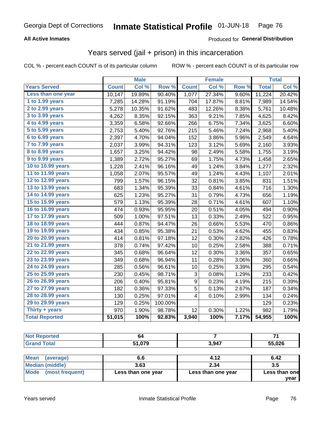### **All Active Inmates**

### Produced for **General Distribution**

## Years served (jail + prison) in this incarceration

|                        |              | <b>Male</b> |         |                  | <b>Female</b> |       |              | <b>Total</b> |
|------------------------|--------------|-------------|---------|------------------|---------------|-------|--------------|--------------|
| <b>Years Served</b>    | <b>Count</b> | Col %       | Row %   | <b>Count</b>     | Col %         | Row % | <b>Total</b> | Col%         |
| Less than one year     | 10,147       | 19.89%      | 90.40%  | 1,077            | 27.34%        | 9.60% | 11,224       | 20.42%       |
| 1 to 1.99 years        | 7,285        | 14.28%      | 91.19%  | 704              | 17.87%        | 8.81% | 7,989        | 14.54%       |
| 2 to 2.99 years        | 5,278        | 10.35%      | 91.62%  | 483              | 12.26%        | 8.38% | 5,761        | 10.48%       |
| 3 to 3.99 years        | 4,262        | 8.35%       | 92.15%  | 363              | 9.21%         | 7.85% | 4,625        | 8.42%        |
| 4 to 4.99 years        | 3,359        | 6.58%       | 92.66%  | 266              | 6.75%         | 7.34% | 3,625        | 6.60%        |
| 5 to 5.99 years        | 2,753        | 5.40%       | 92.76%  | 215              | 5.46%         | 7.24% | 2,968        | 5.40%        |
| 6 to 6.99 years        | 2,397        | 4.70%       | 94.04%  | 152              | 3.86%         | 5.96% | 2,549        | 4.64%        |
| 7 to 7.99 years        | 2,037        | 3.99%       | 94.31%  | 123              | 3.12%         | 5.69% | 2,160        | 3.93%        |
| <b>8 to 8.99 years</b> | 1,657        | 3.25%       | 94.42%  | 98               | 2.49%         | 5.58% | 1,755        | 3.19%        |
| 9 to 9.99 years        | 1,389        | 2.72%       | 95.27%  | 69               | 1.75%         | 4.73% | 1,458        | 2.65%        |
| 10 to 10.99 years      | 1,228        | 2.41%       | 96.16%  | 49               | 1.24%         | 3.84% | 1,277        | 2.32%        |
| 11 to 11.99 years      | 1,058        | 2.07%       | 95.57%  | 49               | 1.24%         | 4.43% | 1,107        | 2.01%        |
| 12 to 12.99 years      | 799          | 1.57%       | 96.15%  | 32               | 0.81%         | 3.85% | 831          | 1.51%        |
| 13 to 13.99 years      | 683          | 1.34%       | 95.39%  | 33               | 0.84%         | 4.61% | 716          | 1.30%        |
| 14 to 14.99 years      | 625          | 1.23%       | 95.27%  | 31               | 0.79%         | 4.73% | 656          | 1.19%        |
| 15 to 15.99 years      | 579          | 1.13%       | 95.39%  | 28               | 0.71%         | 4.61% | 607          | 1.10%        |
| 16 to 16.99 years      | 474          | 0.93%       | 95.95%  | 20               | 0.51%         | 4.05% | 494          | 0.90%        |
| 17 to 17.99 years      | 509          | 1.00%       | 97.51%  | 13               | 0.33%         | 2.49% | 522          | 0.95%        |
| 18 to 18.99 years      | 444          | 0.87%       | 94.47%  | 26               | 0.66%         | 5.53% | 470          | 0.86%        |
| 19 to 19.99 years      | 434          | 0.85%       | 95.38%  | 21               | 0.53%         | 4.62% | 455          | 0.83%        |
| 20 to 20.99 years      | 414          | 0.81%       | 97.18%  | 12               | 0.30%         | 2.82% | 426          | 0.78%        |
| 21 to 21.99 years      | 378          | 0.74%       | 97.42%  | 10               | 0.25%         | 2.58% | 388          | 0.71%        |
| 22 to 22.99 years      | 345          | 0.68%       | 96.64%  | 12               | 0.30%         | 3.36% | 357          | 0.65%        |
| 23 to 23.99 years      | 349          | 0.68%       | 96.94%  | 11               | 0.28%         | 3.06% | 360          | 0.66%        |
| 24 to 24.99 years      | 285          | 0.56%       | 96.61%  | 10               | 0.25%         | 3.39% | 295          | 0.54%        |
| 25 to 25.99 years      | 230          | 0.45%       | 98.71%  | 3                | 0.08%         | 1.29% | 233          | 0.42%        |
| 26 to 26.99 years      | 206          | 0.40%       | 95.81%  | $\boldsymbol{9}$ | 0.23%         | 4.19% | 215          | 0.39%        |
| 27 to 27.99 years      | 182          | 0.36%       | 97.33%  | 5                | 0.13%         | 2.67% | 187          | 0.34%        |
| 28 to 28.99 years      | 130          | 0.25%       | 97.01%  | 4                | 0.10%         | 2.99% | 134          | 0.24%        |
| 29 to 29.99 years      | 129          | 0.25%       | 100.00% |                  |               |       | 129          | 0.23%        |
| Thirty + years         | 970          | 1.90%       | 98.78%  | 12               | 0.30%         | 1.22% | 982          | 1.79%        |
| <b>Total Reported</b>  | 51,015       | 100%        | 92.83%  | 3,940            | 100%          | 7.17% | 54,955       | 100%         |

| reo.    | ״מ     |       | -      |
|---------|--------|-------|--------|
| المقماد | 51 N70 | 3,947 | 55,026 |

| <b>Mean</b><br>(average) | 6.6                | 4.12               | 6.42          |
|--------------------------|--------------------|--------------------|---------------|
| Median (middle)          | 3.63               | 2.34               | 3.5           |
| Mode (most frequent)     | Less than one year | Less than one year | Less than one |
|                          |                    |                    | vear          |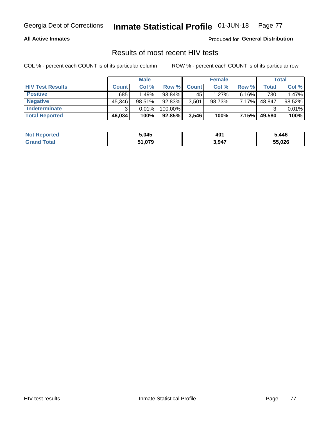### **All Active Inmates**

Produced for **General Distribution**

## Results of most recent HIV tests

|                         |              | <b>Male</b> |         |              | <b>Female</b> |       |        | Total  |
|-------------------------|--------------|-------------|---------|--------------|---------------|-------|--------|--------|
| <b>HIV Test Results</b> | <b>Count</b> | Col %       | Row %I  | <b>Count</b> | Col %         | Row % | Total  | Col %  |
| <b>Positive</b>         | 685          | 1.49%       | 93.84%  | 45           | $1.27\%$      | 6.16% | 730    | 1.47%  |
| <b>Negative</b>         | 45,346       | 98.51%      | 92.83%  | 3,501        | 98.73%        | 7.17% | 48,847 | 98.52% |
| Indeterminate           | ີ            | 0.01%       | 100.00% |              |               |       |        | 0.01%  |
| <b>Total Reported</b>   | 46,034       | 100%        | 92.85%  | 3,546        | 100%          | 7.15% | 49,580 | 100%   |

| <b>Not Reported</b> | 5,045  | 40 <sup>′</sup> | ,446   |
|---------------------|--------|-----------------|--------|
| Total<br>Gran       | 51,079 | 3,947           | 55,026 |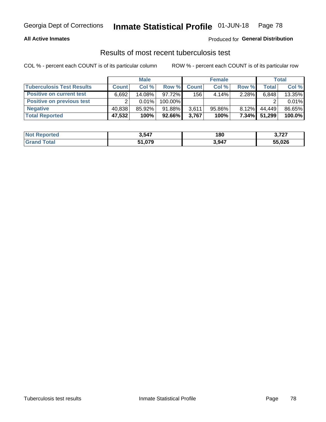### **All Active Inmates**

## Produced for **General Distribution**

## Results of most recent tuberculosis test

|                                  | <b>Male</b>  |          | <b>Female</b> |              |           | Total    |              |        |
|----------------------------------|--------------|----------|---------------|--------------|-----------|----------|--------------|--------|
| <b>Tuberculosis Test Results</b> | <b>Count</b> | Col%     | Row %         | <b>Count</b> | Col %     | Row %    | <b>Total</b> | Col %  |
| <b>Positive on current test</b>  | 6.692        | 14.08%   | 97.72%        | 156          | 4.14%     | 2.28%    | 6,848        | 13.35% |
| <b>Positive on previous test</b> | ົ            | $0.01\%$ | 100.00%       |              |           |          |              | 0.01%  |
| <b>Negative</b>                  | 40,838       | 85.92%   | $91.88\%$     | 3,611        | $95.86\%$ | $8.12\%$ | 44.449       | 86.65% |
| <b>Total Reported</b>            | 47,532       | 100%     | 92.66%        | 3,767        | 100%      | $7.34\%$ | 51,299       | 100.0% |

| <b>Not Reported</b> | 3,547  | 180   | דמד מ<br>. |
|---------------------|--------|-------|------------|
| <b>Total</b>        | 51,079 | 3,947 | 55,026     |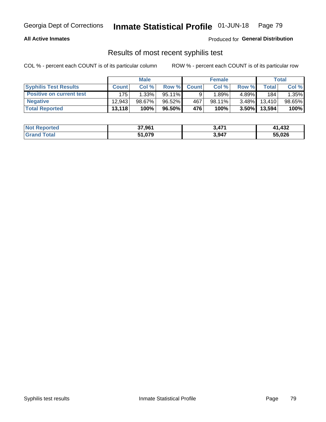### **All Active Inmates**

Produced for **General Distribution**

## Results of most recent syphilis test

|                                 | <b>Male</b>  |           |           | <b>Female</b> |        |          | Total   |        |
|---------------------------------|--------------|-----------|-----------|---------------|--------|----------|---------|--------|
| <b>Syphilis Test Results</b>    | <b>Count</b> | Col%      | Row %     | <b>Count</b>  | Col %  | Row %    | Total I | Col %  |
| <b>Positive on current test</b> | 175          | 1.33%     | $95.11\%$ |               | 1.89%  | 4.89%    | 184     | 1.35%  |
| <b>Negative</b>                 | 12.943       | $98.67\%$ | 96.52%    | 467           | 98.11% | $3.48\%$ | 13,410  | 98.65% |
| <b>Total Reported</b>           | 13,118       | 100%      | 96.50%    | 476           | 100%   | $3.50\%$ | 13,594  | 100%   |

| <b>Not Reported</b> | 37,961 | 3,471 | 432. ا |
|---------------------|--------|-------|--------|
| <b>Grand Total</b>  | 51,079 | 3,947 | 55,026 |